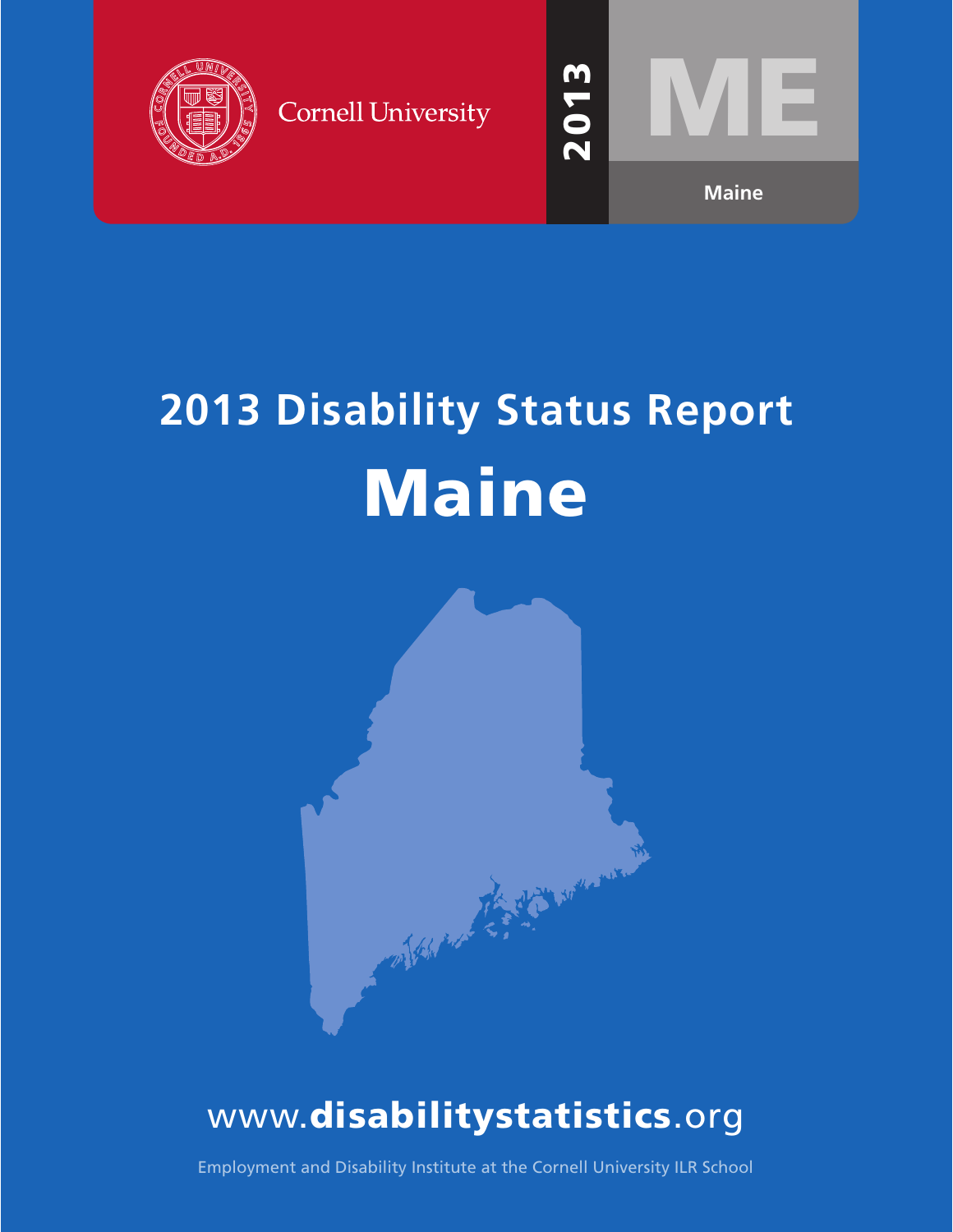

**Cornell University** 



# **2013 Disability Status Report** Maine



## www.disabilitystatistics.org

Employment and Disability Institute at the Cornell University ILR School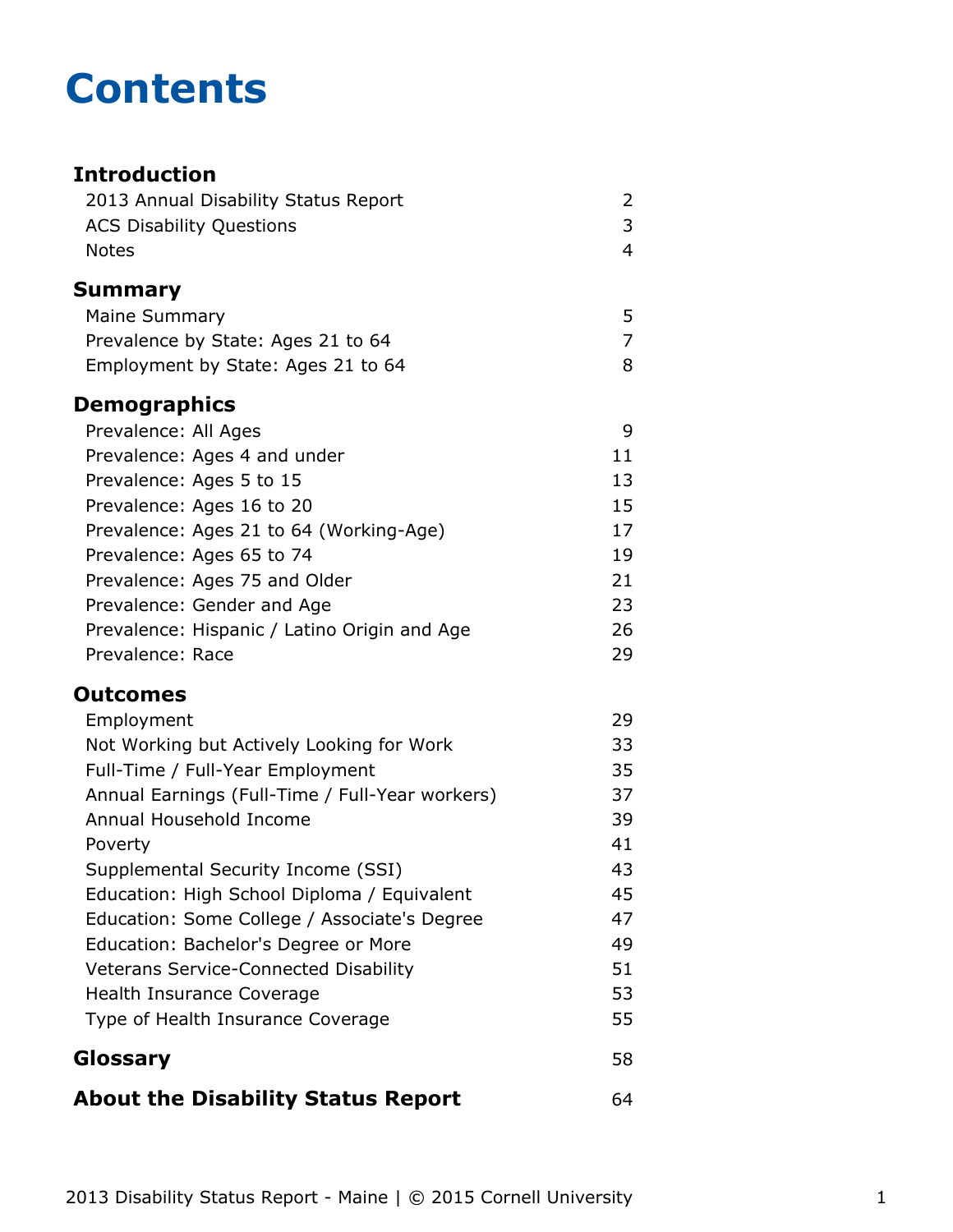## **Contents**

## **Introduction** [2013 Annual Disability Status Report](#page-2-0) 2 [ACS Disability Questions](#page-3-0) 3 [Notes](#page-4-0) 4 **[Summary](#page-5-0)** [Maine Summary](#page-5-0) 5 [Prevalence by State: Ages 21 to 64](#page-7-0) 7 [Employment by State: Ages 21 to 64](#page-8-0) 8 **Demographics** [Prevalence: All Ages](#page-9-0) 9 [Prevalence: Ages 4 and under](#page-11-0) 11 [Prevalence: Ages 5 to 15](#page-13-0) 13 [Prevalence: Ages 16 to 20](#page-15-0) 15 [Prevalence: Ages 21 to 64 \(Working-Age\)](#page-17-0) 17 [Prevalence: Ages 65 to 74](#page-19-0) 19 [Prevalence: Ages 75 and Older](#page-21-0) 21 [Prevalence: Gender and Age](#page-23-0) 23 [Prevalence: Hispanic / Latino Origin and Age](#page-26-0) 26 [Prevalence: Race](#page-29-0) 29 **Outcomes** [Employment](#page-31-0) 29 [Not Working but Actively Looking for Work](#page-33-0) 33 [Full-Time / Full-Year Employment](#page-35-0) 35 [Annual Earnings \(Full-Time / Full-Year workers\)](#page-37-0) 37 [Annual Household Income](#page-39-0) 39 [Poverty](#page-41-0) 41 [Supplemental Security Income \(SSI\)](#page-43-0) 43 [Education: High School Diploma / Equivalent](#page-45-0) 45 [Education: Some College / Associate's Degree](#page-47-0) 47 [Education: Bachelor's Degree or More](#page-49-0) **1988** [Veterans Service-Connected Disability](#page-51-0) 51 [Health Insurance Coverage](#page-53-0) 63 and 53 [Type of Health Insurance Coverage](#page-55-0) 55 **[Glossary](#page-58-0)** 58 **[About the Disability Status Report](#page-64-0)** 64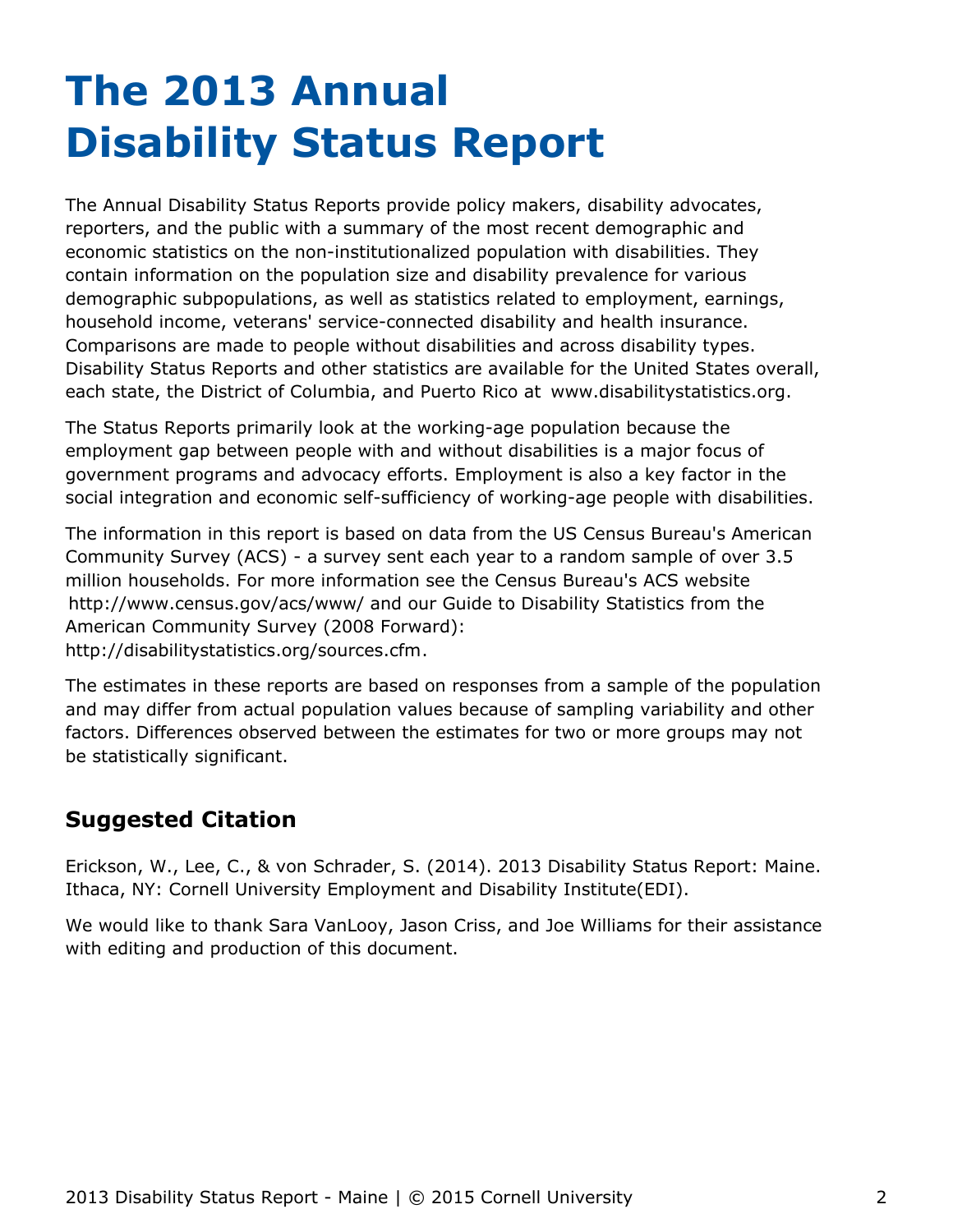# <span id="page-2-0"></span>**The 2013 Annual Disability Status Report**

The Annual Disability Status Reports provide policy makers, disability advocates, reporters, and the public with a summary of the most recent demographic and economic statistics on the non-institutionalized population with disabilities. They contain information on the population size and disability prevalence for various demographic subpopulations, as well as statistics related to employment, earnings, household income, veterans' service-connected disability and health insurance. Comparisons are made to people without disabilities and across disability types. Disability Status Reports and other statistics are available for the United States overall, each state, the District of Columbia, and Puerto Rico at [www.disabilitystatistics.org](http://www.disabilitystatistics.org).

The Status Reports primarily look at the working-age population because the employment gap between people with and without disabilities is a major focus of government programs and advocacy efforts. Employment is also a key factor in the social integration and economic self-sufficiency of working-age people with disabilities.

The information in this report is based on data from the US Census Bureau's American Community Survey (ACS) - a survey sent each year to a random sample of over 3.5 million households. For more information see the Census Bureau's ACS website <http://www.census.gov/acs/www/> and our Guide to Disability Statistics from the American Community Survey (2008 Forward): <http://disabilitystatistics.org/sources.cfm>.

The estimates in these reports are based on responses from a sample of the population and may differ from actual population values because of sampling variability and other factors. Differences observed between the estimates for two or more groups may not be statistically significant.

## **Suggested Citation**

Erickson, W., Lee, C., & von Schrader, S. (2014). 2013 Disability Status Report: Maine. Ithaca, NY: Cornell University Employment and Disability Institute(EDI).

We would like to thank Sara VanLooy, Jason Criss, and Joe Williams for their assistance with editing and production of this document.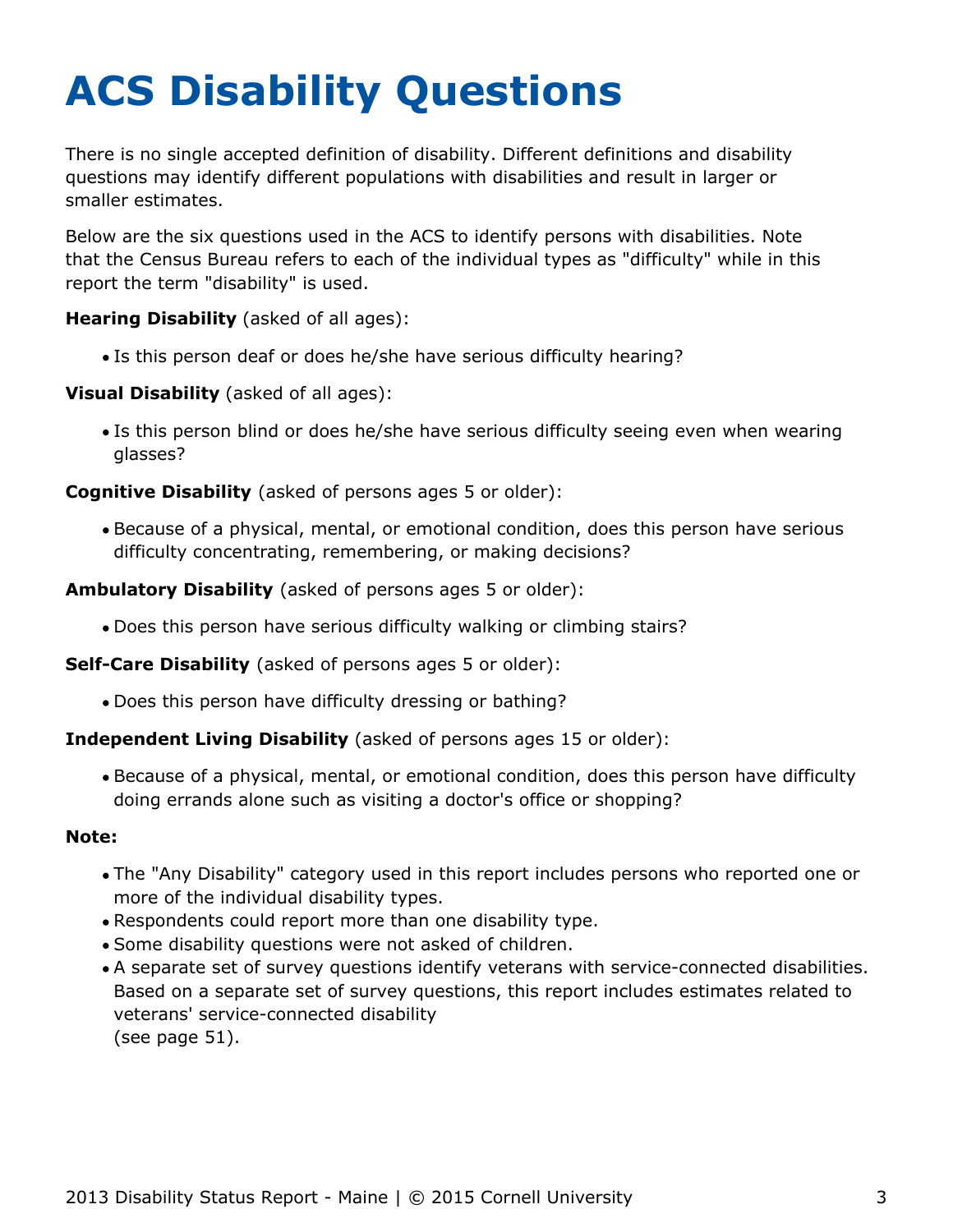# <span id="page-3-0"></span>**ACS Disability Questions**

There is no single accepted definition of disability. Different definitions and disability questions may identify different populations with disabilities and result in larger or smaller estimates.

Below are the six questions used in the ACS to identify persons with disabilities. Note that the Census Bureau refers to each of the individual types as "difficulty" while in this report the term "disability" is used.

**Hearing Disability** (asked of all ages):

Is this person deaf or does he/she have serious difficulty hearing?

**Visual Disability** (asked of all ages):

Is this person blind or does he/she have serious difficulty seeing even when wearing glasses?

**Cognitive Disability** (asked of persons ages 5 or older):

Because of a physical, mental, or emotional condition, does this person have serious difficulty concentrating, remembering, or making decisions?

**Ambulatory Disability** (asked of persons ages 5 or older):

Does this person have serious difficulty walking or climbing stairs?

**Self-Care Disability** (asked of persons ages 5 or older):

Does this person have difficulty dressing or bathing?

#### **Independent Living Disability** (asked of persons ages 15 or older):

Because of a physical, mental, or emotional condition, does this person have difficulty doing errands alone such as visiting a doctor's office or shopping?

#### **Note:**

- The "Any Disability" category used in this report includes persons who reported one or more of the individual disability types.
- Respondents could report more than one disability type.
- Some disability questions were not asked of children.
- A separate set of survey questions identify veterans with service-connected disabilities. Based on a separate set of survey questions, this report includes estimates related to veterans' service-connected disability (see page 51).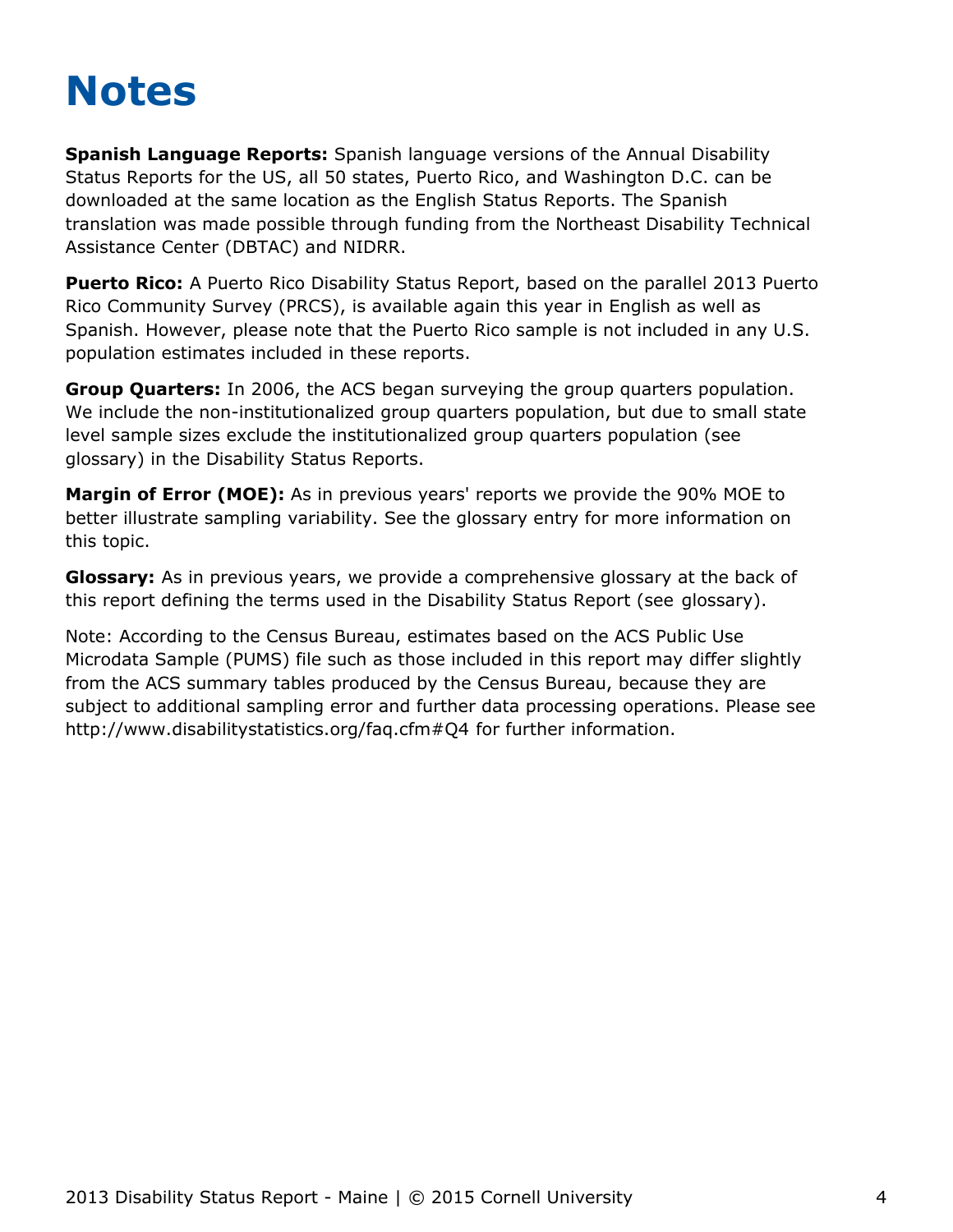## <span id="page-4-0"></span>**Notes**

**Spanish Language Reports:** Spanish language versions of the Annual Disability Status Reports for the US, all 50 states, Puerto Rico, and Washington D.C. can be downloaded at the same location as the English Status Reports. The Spanish translation was made possible through funding from the Northeast Disability Technical Assistance Center (DBTAC) and NIDRR.

**Puerto Rico:** A Puerto Rico Disability Status Report, based on the parallel 2013 Puerto Rico Community Survey (PRCS), is available again this year in English as well as Spanish. However, please note that the Puerto Rico sample is not included in any U.S. population estimates included in these reports.

**Group Quarters:** In 2006, the ACS began surveying the group quarters population. We include the non-institutionalized group quarters population, but due to small state level sample sizes exclude the institutionalized group quarters population (see [glossary](#page-58-0)) in the Disability Status Reports.

**Margin of Error (MOE):** As in previous years' reports we provide the 90% MOE to better illustrate sampling variability. See the glossary entry for more information on this topic.

**Glossary:** As in previous years, we provide a comprehensive glossary at the back of this report defining the terms used in the Disability Status Report (see [glossary](#page-58-0)).

Note: According to the Census Bureau, estimates based on the ACS Public Use Microdata Sample (PUMS) file such as those included in this report may differ slightly from the ACS summary tables produced by the Census Bureau, because they are subject to additional sampling error and further data processing operations. Please see <http://www.disabilitystatistics.org/faq.cfm#Q4> for further information.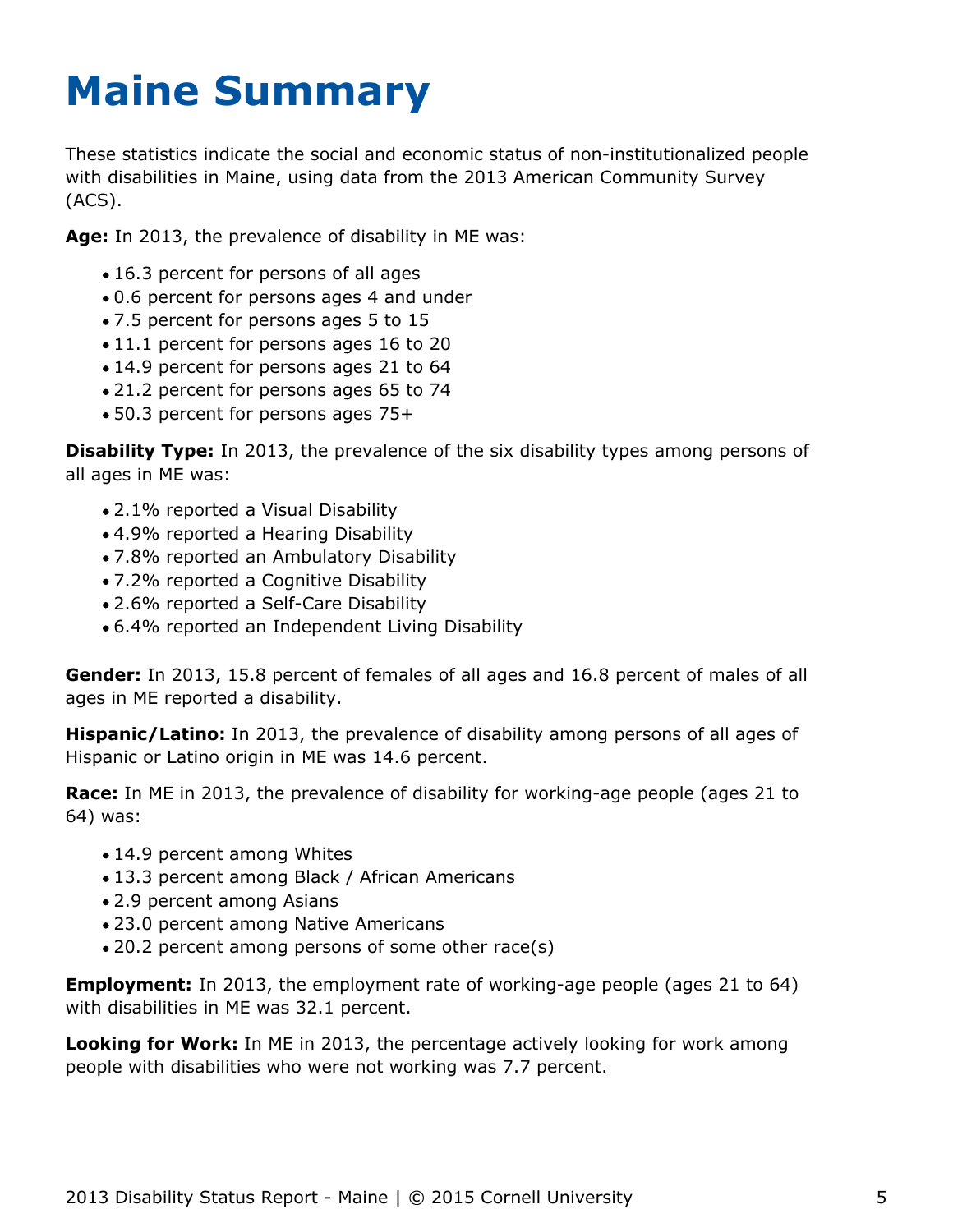# <span id="page-5-0"></span>**Maine Summary**

These statistics indicate the social and economic status of non-institutionalized people with disabilities in Maine, using data from the 2013 American Community Survey (ACS).

**Age:** In 2013, the prevalence of disability in ME was:

- 16.3 percent for persons of all ages
- 0.6 percent for persons ages 4 and under
- 7.5 percent for persons ages 5 to 15
- $\bullet$  11.1 percent for persons ages 16 to 20
- 14.9 percent for persons ages 21 to 64
- 21.2 percent for persons ages 65 to 74
- 50.3 percent for persons ages 75+

**Disability Type:** In 2013, the prevalence of the six disability types among persons of all ages in ME was:

- 2.1% reported a Visual Disability
- 4.9% reported a Hearing Disability
- 7.8% reported an Ambulatory Disability
- 7.2% reported a Cognitive Disability
- 2.6% reported a Self-Care Disability
- 6.4% reported an Independent Living Disability

**Gender:** In 2013, 15.8 percent of females of all ages and 16.8 percent of males of all ages in ME reported a disability.

**Hispanic/Latino:** In 2013, the prevalence of disability among persons of all ages of Hispanic or Latino origin in ME was 14.6 percent.

**Race:** In ME in 2013, the prevalence of disability for working-age people (ages 21 to 64) was:

- 14.9 percent among Whites
- 13.3 percent among Black / African Americans
- 2.9 percent among Asians
- 23.0 percent among Native Americans
- 20.2 percent among persons of some other race(s)

**Employment:** In 2013, the employment rate of working-age people (ages 21 to 64) with disabilities in ME was 32.1 percent.

**Looking for Work:** In ME in 2013, the percentage actively looking for work among people with disabilities who were not working was 7.7 percent.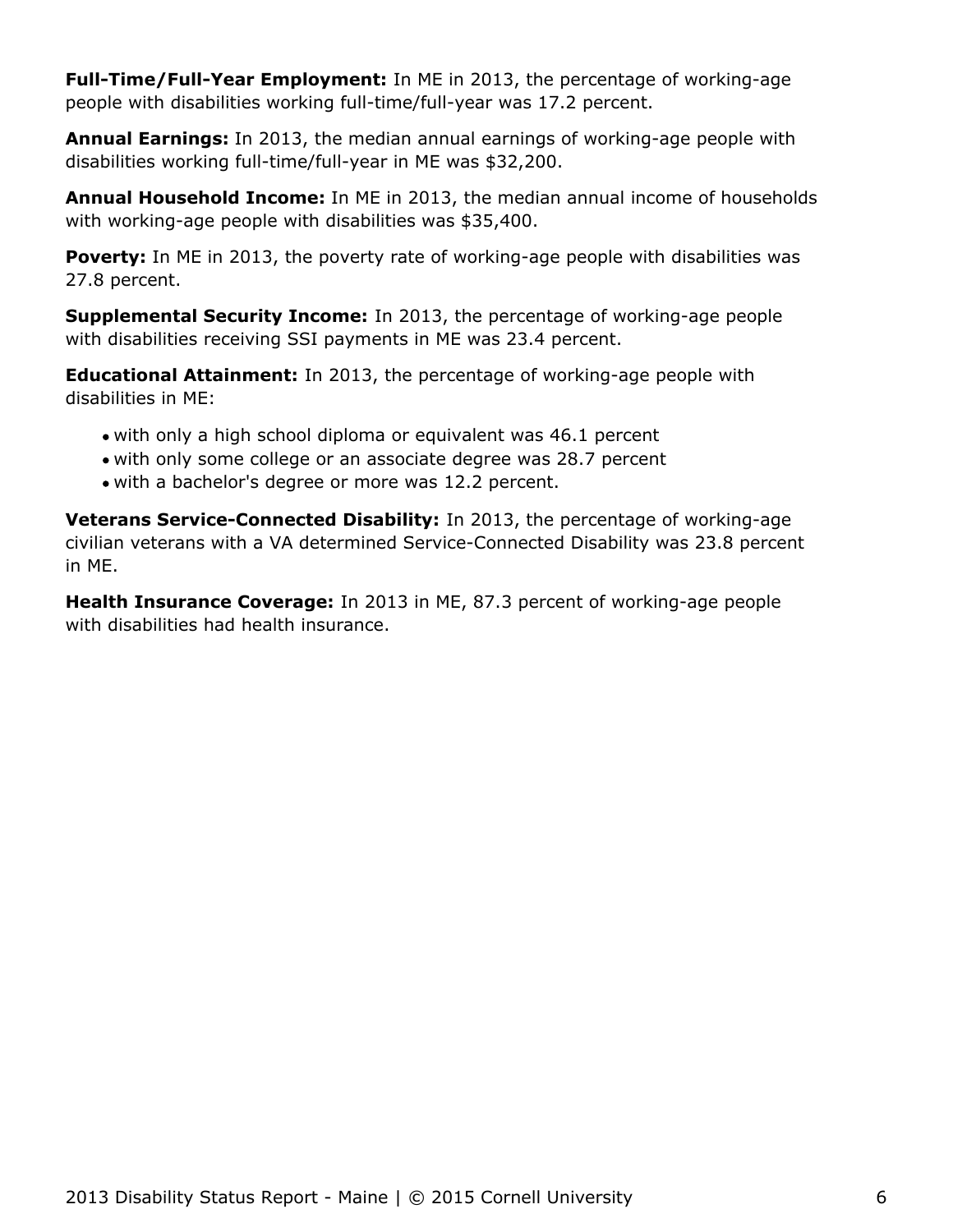**Full-Time/Full-Year Employment:** In ME in 2013, the percentage of working-age people with disabilities working full-time/full-year was 17.2 percent.

**Annual Earnings:** In 2013, the median annual earnings of working-age people with disabilities working full-time/full-year in ME was \$32,200.

**Annual Household Income:** In ME in 2013, the median annual income of households with working-age people with disabilities was \$35,400.

Poverty: In ME in 2013, the poverty rate of working-age people with disabilities was 27.8 percent.

**Supplemental Security Income:** In 2013, the percentage of working-age people with disabilities receiving SSI payments in ME was 23.4 percent.

**Educational Attainment:** In 2013, the percentage of working-age people with disabilities in ME:

- with only a high school diploma or equivalent was 46.1 percent
- with only some college or an associate degree was 28.7 percent
- with a bachelor's degree or more was 12.2 percent.

**Veterans Service-Connected Disability:** In 2013, the percentage of working-age civilian veterans with a VA determined Service-Connected Disability was 23.8 percent in ME.

**Health Insurance Coverage:** In 2013 in ME, 87.3 percent of working-age people with disabilities had health insurance.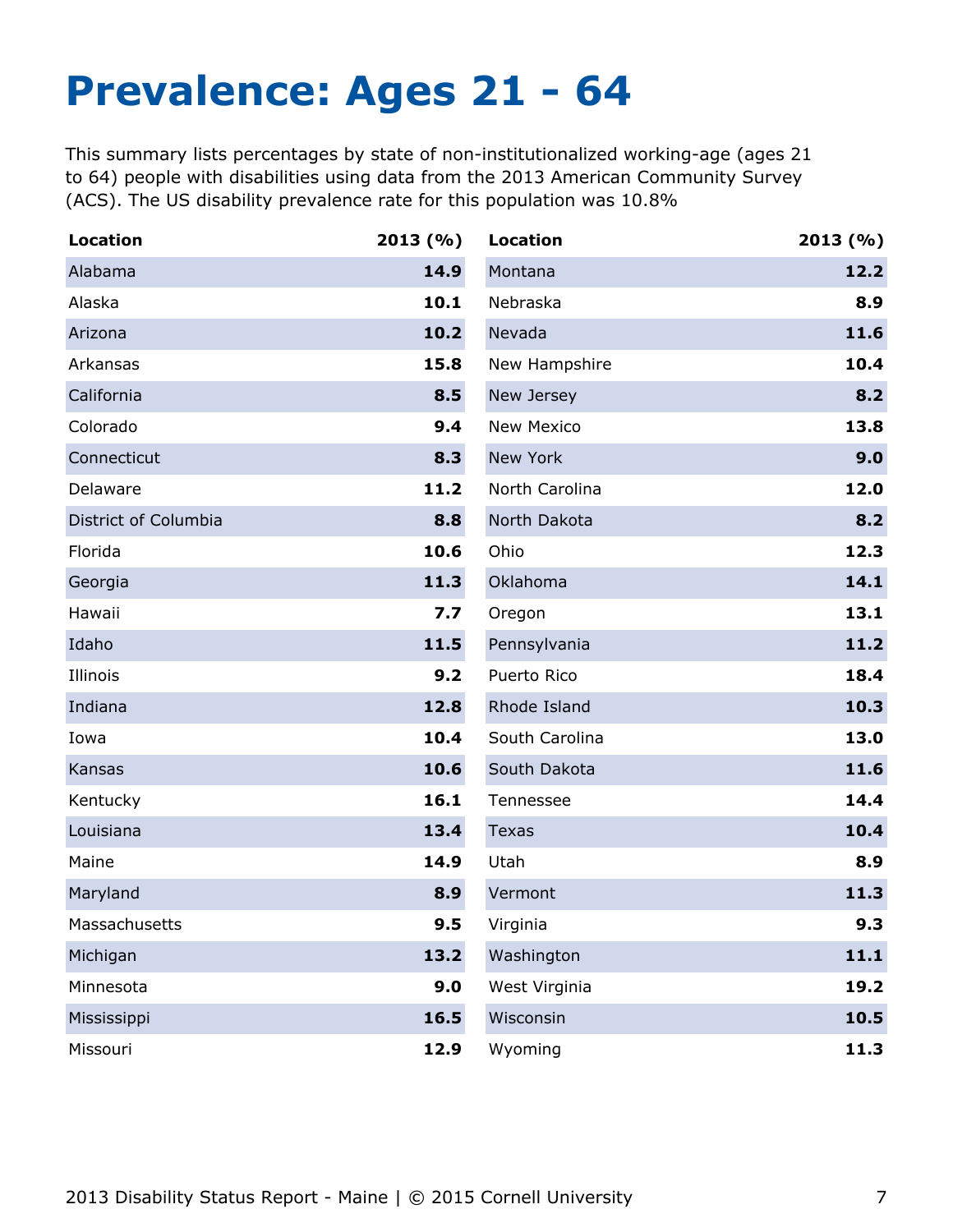## <span id="page-7-0"></span>**Prevalence: Ages 21 - 64**

This summary lists percentages by state of non-institutionalized working-age (ages 21 to 64) people with disabilities using data from the 2013 American Community Survey (ACS). The US disability prevalence rate for this population was 10.8%

| <b>Location</b>      | 2013(%) | <b>Location</b>   | 2013(%) |
|----------------------|---------|-------------------|---------|
| Alabama              | 14.9    | Montana           | 12.2    |
| Alaska               | 10.1    | Nebraska          | 8.9     |
| Arizona              | 10.2    | Nevada            | 11.6    |
| Arkansas             | 15.8    | New Hampshire     | 10.4    |
| California           | 8.5     | New Jersey        | 8.2     |
| Colorado             | 9.4     | <b>New Mexico</b> | 13.8    |
| Connecticut          | 8.3     | New York          | 9.0     |
| Delaware             | 11.2    | North Carolina    | 12.0    |
| District of Columbia | 8.8     | North Dakota      | 8.2     |
| Florida              | 10.6    | Ohio              | 12.3    |
| Georgia              | 11.3    | Oklahoma          | 14.1    |
| Hawaii               | 7.7     | Oregon            | 13.1    |
| Idaho                | 11.5    | Pennsylvania      | 11.2    |
| Illinois             | 9.2     | Puerto Rico       | 18.4    |
| Indiana              | 12.8    | Rhode Island      | 10.3    |
| Iowa                 | 10.4    | South Carolina    | 13.0    |
| Kansas               | 10.6    | South Dakota      | 11.6    |
| Kentucky             | 16.1    | Tennessee         | 14.4    |
| Louisiana            | 13.4    | <b>Texas</b>      | 10.4    |
| Maine                | 14.9    | Utah              | 8.9     |
| Maryland             | 8.9     | Vermont           | 11.3    |
| Massachusetts        | 9.5     | Virginia          | 9.3     |
| Michigan             | 13.2    | Washington        | 11.1    |
| Minnesota            | 9.0     | West Virginia     | 19.2    |
| Mississippi          | 16.5    | Wisconsin         | 10.5    |
| Missouri             | 12.9    | Wyoming           | 11.3    |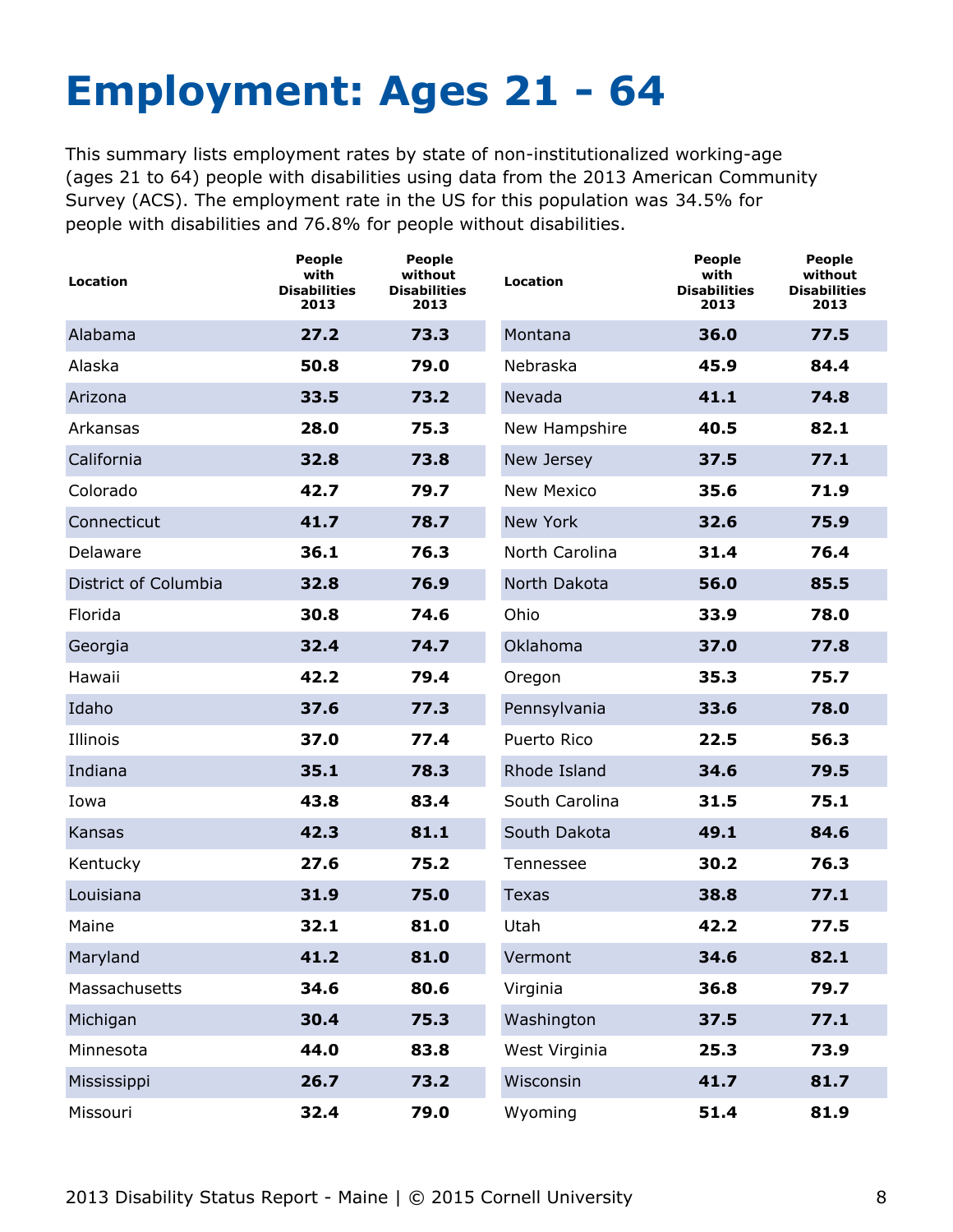# <span id="page-8-0"></span>**Employment: Ages 21 - 64**

This summary lists employment rates by state of non-institutionalized working-age (ages 21 to 64) people with disabilities using data from the 2013 American Community Survey (ACS). The employment rate in the US for this population was 34.5% for people with disabilities and 76.8% for people without disabilities.

| Location             | <b>People</b><br>with<br><b>Disabilities</b><br>2013 | <b>People</b><br>without<br><b>Disabilities</b><br>2013 | <b>Location</b>   | <b>People</b><br>with<br><b>Disabilities</b><br>2013 | People<br>without<br><b>Disabilities</b><br>2013 |
|----------------------|------------------------------------------------------|---------------------------------------------------------|-------------------|------------------------------------------------------|--------------------------------------------------|
| Alabama              | 27.2                                                 | 73.3                                                    | Montana           | 36.0                                                 | 77.5                                             |
| Alaska               | 50.8                                                 | 79.0                                                    | Nebraska          | 45.9                                                 | 84.4                                             |
| Arizona              | 33.5                                                 | 73.2                                                    | Nevada            | 41.1                                                 | 74.8                                             |
| Arkansas             | 28.0                                                 | 75.3                                                    | New Hampshire     | 40.5                                                 | 82.1                                             |
| California           | 32.8                                                 | 73.8                                                    | New Jersey        | 37.5                                                 | 77.1                                             |
| Colorado             | 42.7                                                 | 79.7                                                    | <b>New Mexico</b> | 35.6                                                 | 71.9                                             |
| Connecticut          | 41.7                                                 | 78.7                                                    | New York          | 32.6                                                 | 75.9                                             |
| Delaware             | 36.1                                                 | 76.3                                                    | North Carolina    | 31.4                                                 | 76.4                                             |
| District of Columbia | 32.8                                                 | 76.9                                                    | North Dakota      | 56.0                                                 | 85.5                                             |
| Florida              | 30.8                                                 | 74.6                                                    | Ohio              | 33.9                                                 | 78.0                                             |
| Georgia              | 32.4                                                 | 74.7                                                    | Oklahoma          | 37.0                                                 | 77.8                                             |
| Hawaii               | 42.2                                                 | 79.4                                                    | Oregon            | 35.3                                                 | 75.7                                             |
| Idaho                | 37.6                                                 | 77.3                                                    | Pennsylvania      | 33.6                                                 | 78.0                                             |
| Illinois             | 37.0                                                 | 77.4                                                    | Puerto Rico       | 22.5                                                 | 56.3                                             |
| Indiana              | 35.1                                                 | 78.3                                                    | Rhode Island      | 34.6                                                 | 79.5                                             |
| Iowa                 | 43.8                                                 | 83.4                                                    | South Carolina    | 31.5                                                 | 75.1                                             |
| Kansas               | 42.3                                                 | 81.1                                                    | South Dakota      | 49.1                                                 | 84.6                                             |
| Kentucky             | 27.6                                                 | 75.2                                                    | Tennessee         | 30.2                                                 | 76.3                                             |
| Louisiana            | 31.9                                                 | 75.0                                                    | <b>Texas</b>      | 38.8                                                 | 77.1                                             |
| Maine                | 32.1                                                 | 81.0                                                    | Utah              | 42.2                                                 | 77.5                                             |
| Maryland             | 41.2                                                 | 81.0                                                    | Vermont           | 34.6                                                 | 82.1                                             |
| Massachusetts        | 34.6                                                 | 80.6                                                    | Virginia          | 36.8                                                 | 79.7                                             |
| Michigan             | 30.4                                                 | 75.3                                                    | Washington        | 37.5                                                 | 77.1                                             |
| Minnesota            | 44.0                                                 | 83.8                                                    | West Virginia     | 25.3                                                 | 73.9                                             |
| Mississippi          | 26.7                                                 | 73.2                                                    | Wisconsin         | 41.7                                                 | 81.7                                             |
| Missouri             | 32.4                                                 | 79.0                                                    | Wyoming           | 51.4                                                 | 81.9                                             |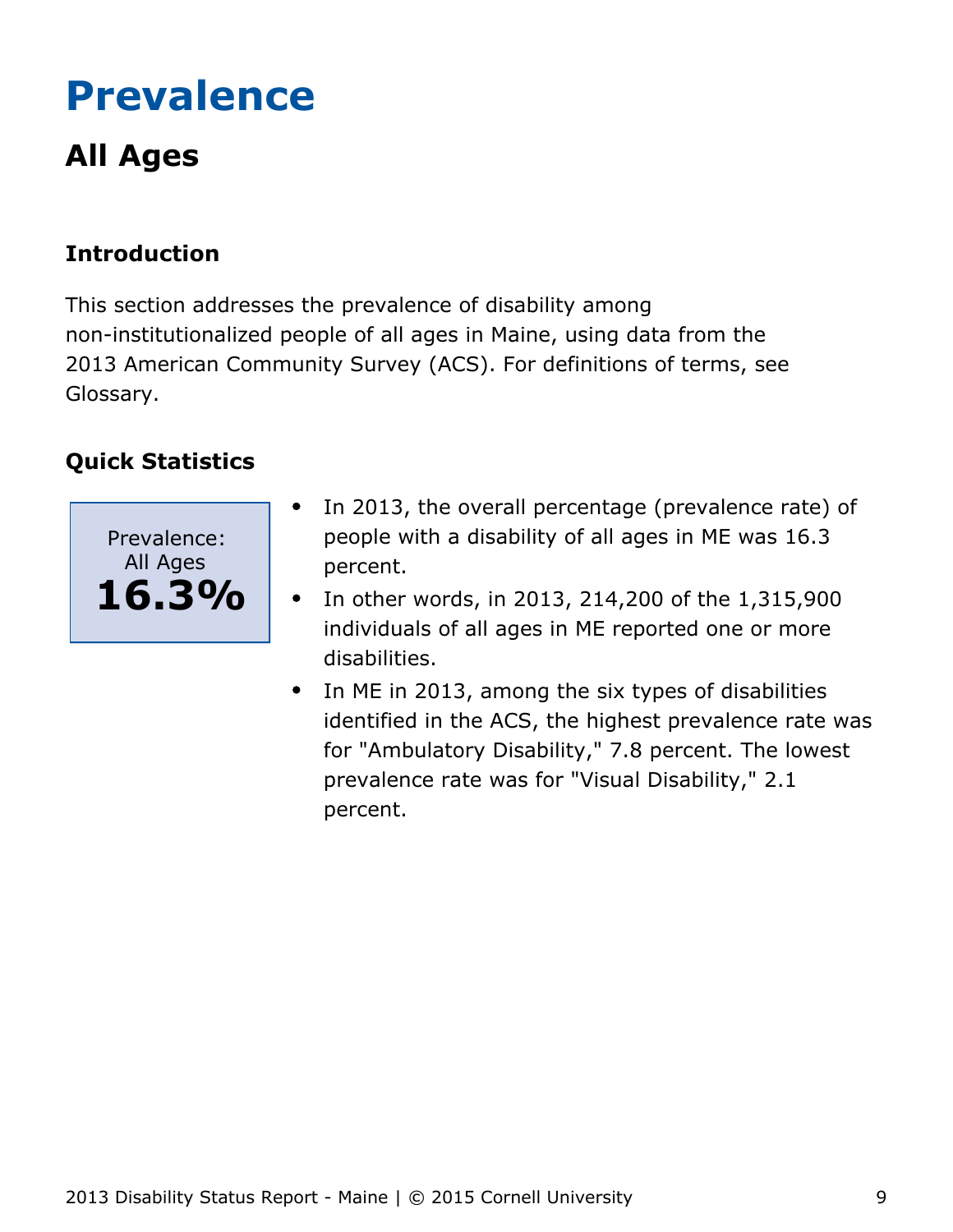# <span id="page-9-0"></span>**Prevalence**

## **All Ages**

## **Introduction**

This section addresses the prevalence of disability among non-institutionalized people of all ages in Maine, using data from the 2013 American Community Survey (ACS). For definitions of terms, see Glossary.



- In 2013, the overall percentage (prevalence rate) of  $\bullet$ people with a disability of all ages in ME was 16.3 percent.
- In other words, in 2013, 214,200 of the 1,315,900  $\bullet$ individuals of all ages in ME reported one or more disabilities.
- In ME in 2013, among the six types of disabilities identified in the ACS, the highest prevalence rate was for "Ambulatory Disability," 7.8 percent. The lowest prevalence rate was for "Visual Disability," 2.1 percent.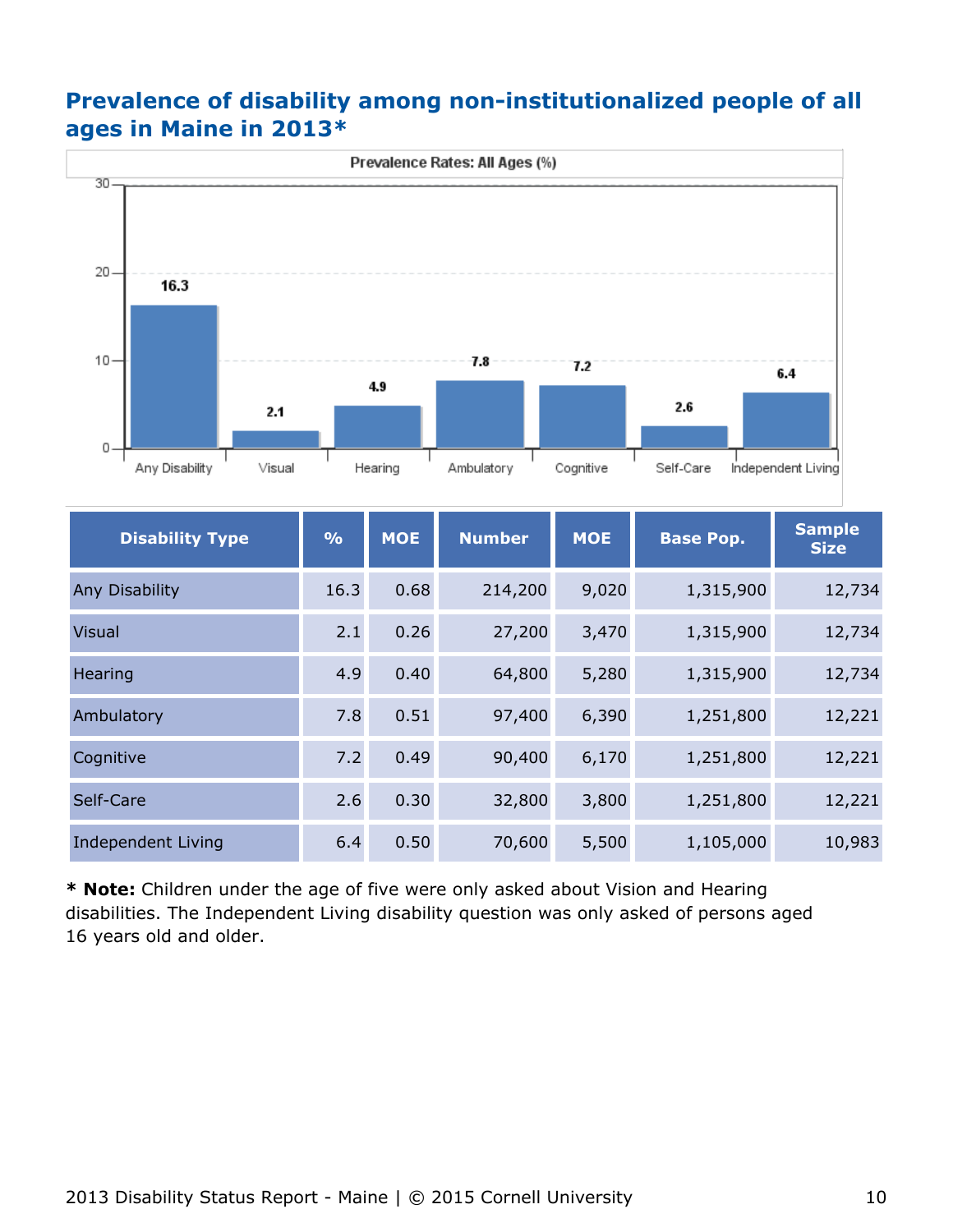## **Prevalence of disability among non-institutionalized people of all ages in Maine in 2013\***



| <b>Disability Type</b> | $\frac{0}{0}$ | <b>MOE</b> | <b>Number</b> | <b>MOE</b> | <b>Base Pop.</b> | <b>Sample</b><br><b>Size</b> |
|------------------------|---------------|------------|---------------|------------|------------------|------------------------------|
| Any Disability         | 16.3          | 0.68       | 214,200       | 9,020      | 1,315,900        | 12,734                       |
| <b>Visual</b>          | 2.1           | 0.26       | 27,200        | 3,470      | 1,315,900        | 12,734                       |
| Hearing                | 4.9           | 0.40       | 64,800        | 5,280      | 1,315,900        | 12,734                       |
| Ambulatory             | 7.8           | 0.51       | 97,400        | 6,390      | 1,251,800        | 12,221                       |
| Cognitive              | 7.2           | 0.49       | 90,400        | 6,170      | 1,251,800        | 12,221                       |
| Self-Care              | 2.6           | 0.30       | 32,800        | 3,800      | 1,251,800        | 12,221                       |
| Independent Living     | 6.4           | 0.50       | 70,600        | 5,500      | 1,105,000        | 10,983                       |

**\* Note:** Children under the age of five were only asked about Vision and Hearing disabilities. The Independent Living disability question was only asked of persons aged 16 years old and older.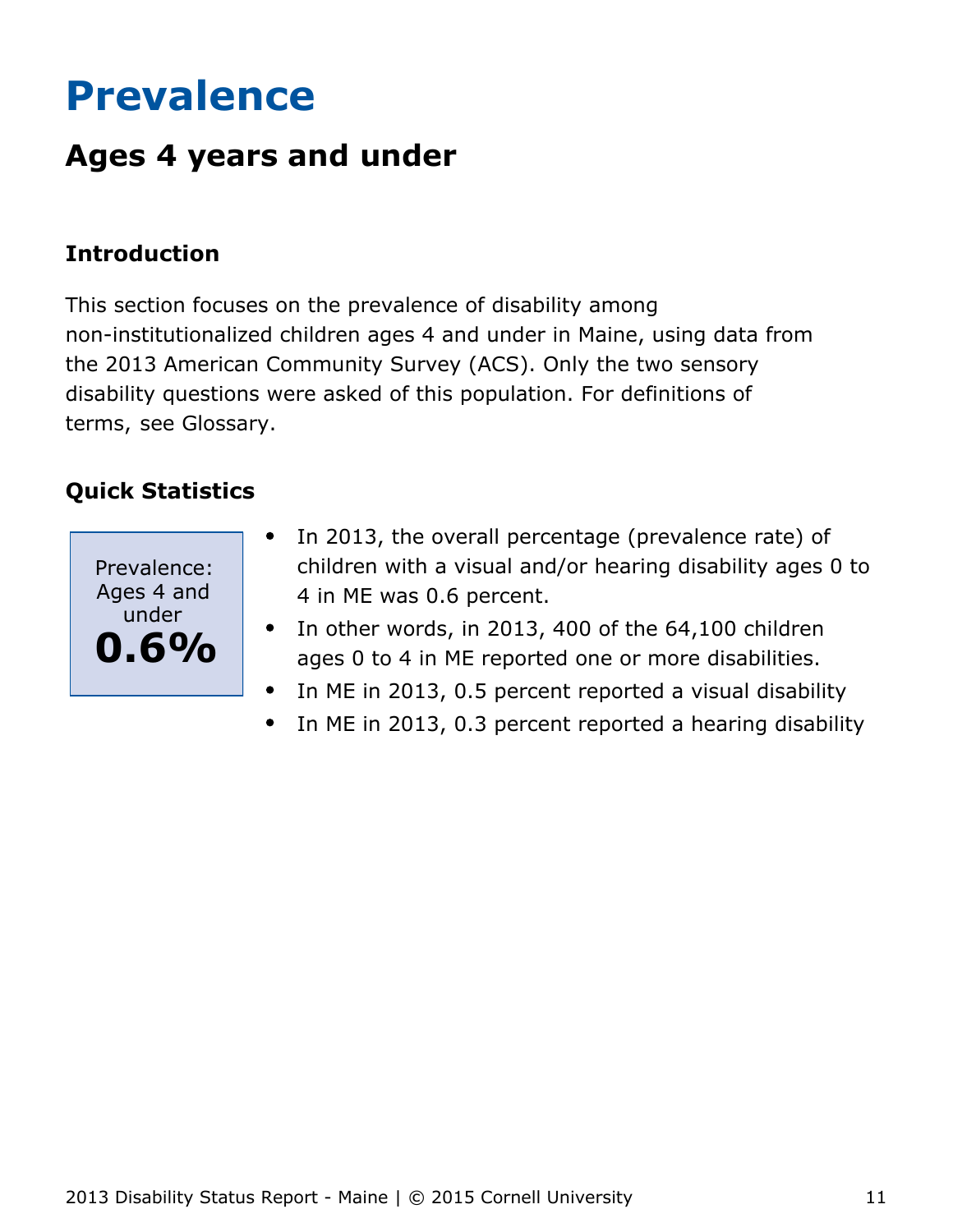# <span id="page-11-0"></span>**Prevalence**

## **Ages 4 years and under**

## **Introduction**

This section focuses on the prevalence of disability among non-institutionalized children ages 4 and under in Maine, using data from the 2013 American Community Survey (ACS). Only the two sensory disability questions were asked of this population. For definitions of terms, see Glossary.



- In 2013, the overall percentage (prevalence rate) of  $\bullet$ children with a visual and/or hearing disability ages 0 to 4 in ME was 0.6 percent.
- In other words, in 2013, 400 of the 64,100 children  $\bullet$ ages 0 to 4 in ME reported one or more disabilities.
- In ME in 2013, 0.5 percent reported a visual disability  $\bullet$
- In ME in 2013, 0.3 percent reported a hearing disability  $\bullet$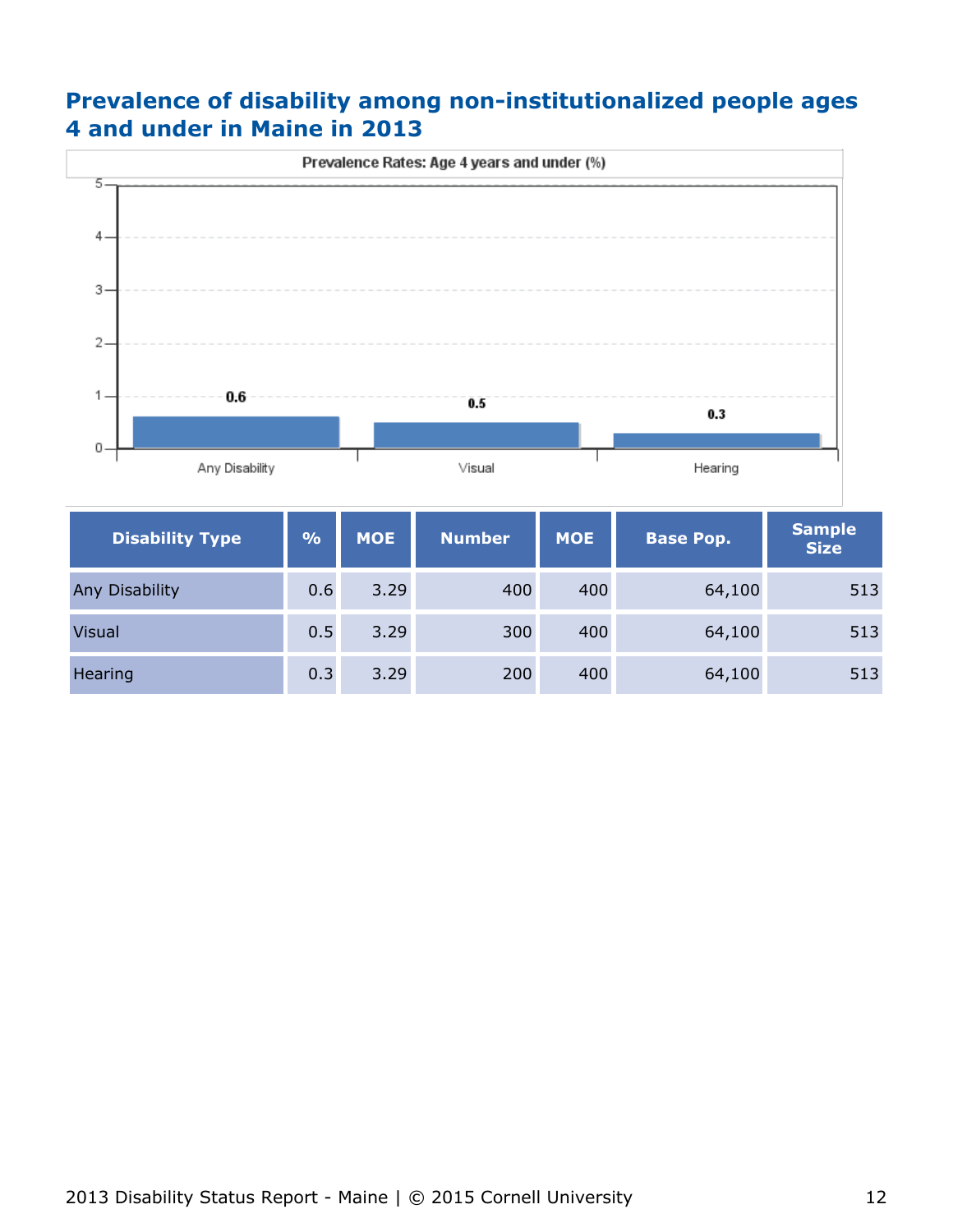## **Prevalence of disability among non-institutionalized people ages 4 and under in Maine in 2013**



| <b>Disability Type</b> | $\frac{9}{6}$ | <b>MOE</b> | <b>Number</b> | <b>MOE</b> | <b>Base Pop.</b> | <b>Sample</b><br><b>Size</b> |
|------------------------|---------------|------------|---------------|------------|------------------|------------------------------|
| Any Disability         | 0.6           | 3.29       | 400           | 400        | 64,100           | 513                          |
| <b>Visual</b>          | 0.5           | 3.29       | 300           | 400        | 64,100           | 513                          |
| <b>Hearing</b>         | 0.3           | 3.29       | 200           | 400        | 64,100           | 513                          |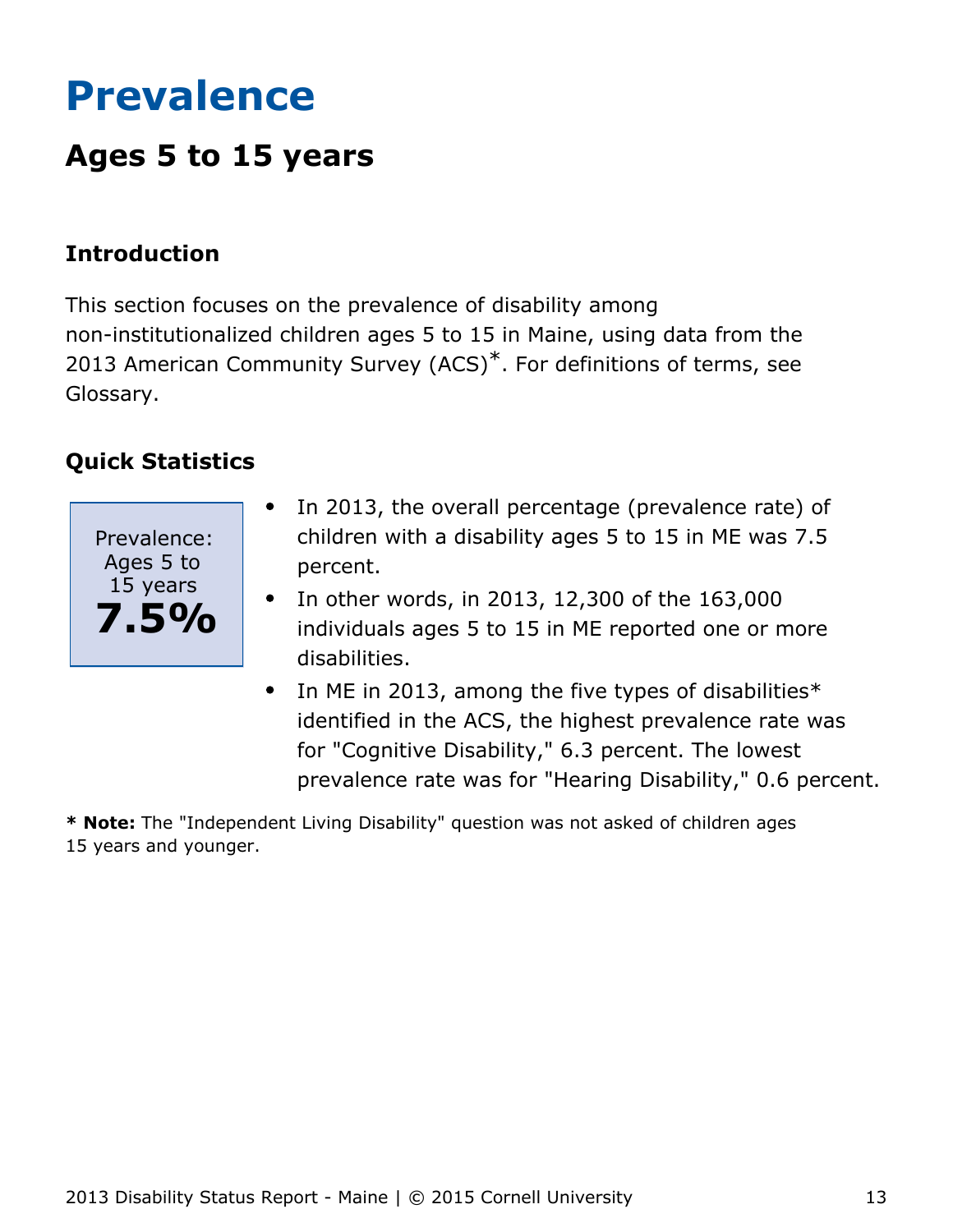# <span id="page-13-0"></span>**Prevalence**

## **Ages 5 to 15 years**

## **Introduction**

This section focuses on the prevalence of disability among non-institutionalized children ages 5 to 15 in Maine, using data from the 2013 American Community Survey (ACS)<sup>\*</sup>. For definitions of terms, see Glossary.

## **Quick Statistics**



- In 2013, the overall percentage (prevalence rate) of  $\bullet$ children with a disability ages 5 to 15 in ME was 7.5 percent.
- In other words, in 2013, 12,300 of the 163,000 individuals ages 5 to 15 in ME reported one or more disabilities.
- In ME in 2013, among the five types of disabilities $*$  $\bullet$ identified in the ACS, the highest prevalence rate was for "Cognitive Disability," 6.3 percent. The lowest prevalence rate was for "Hearing Disability," 0.6 percent.

**\* Note:** The "Independent Living Disability" question was not asked of children ages 15 years and younger.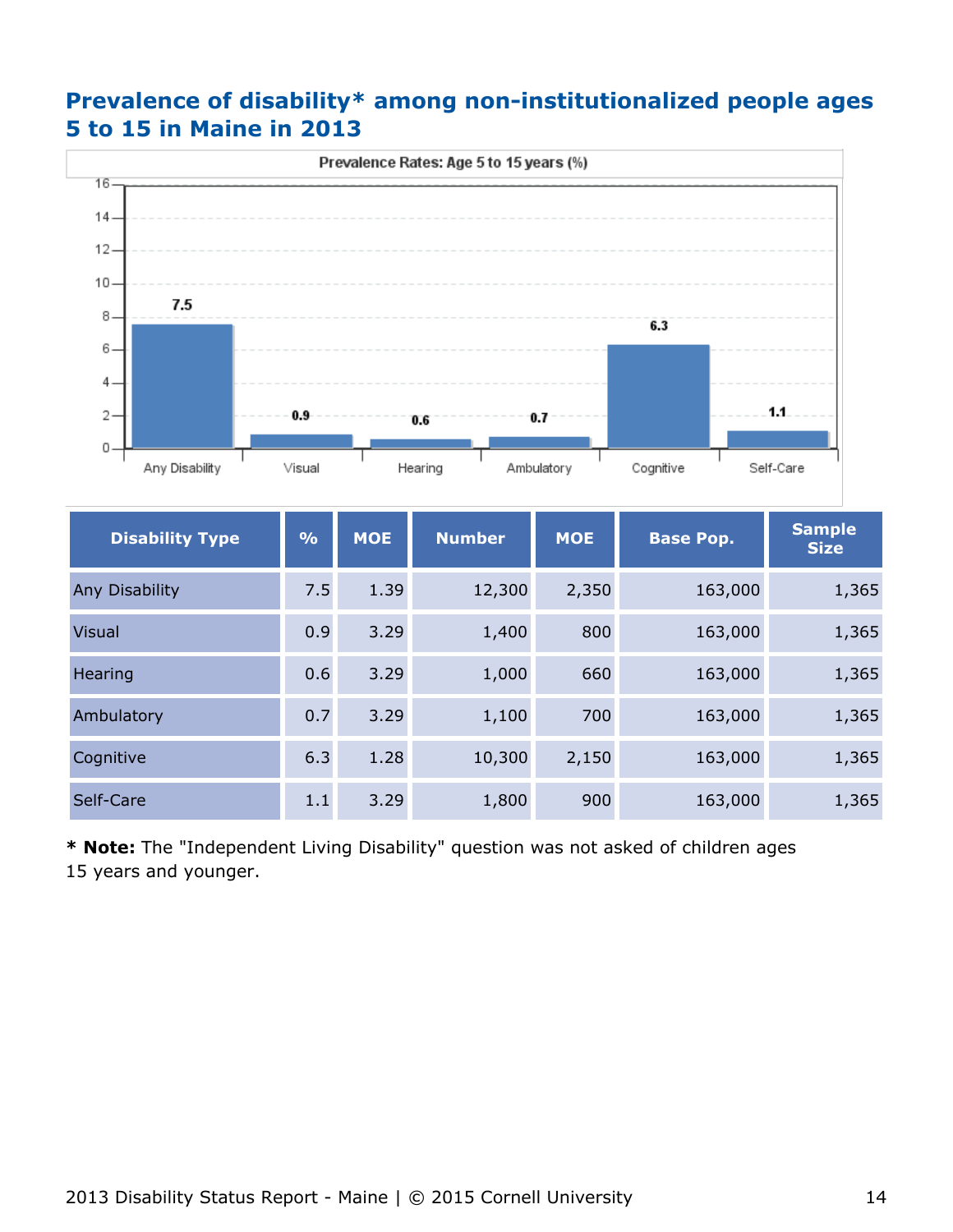## **Prevalence of disability\* among non-institutionalized people ages 5 to 15 in Maine in 2013**



| <b>Disability Type</b> | $\frac{9}{6}$ | <b>MOE</b> | <b>Number</b> | <b>MOE</b> | <b>Base Pop.</b> | <b>Sample</b><br><b>Size</b> |
|------------------------|---------------|------------|---------------|------------|------------------|------------------------------|
| Any Disability         | 7.5           | 1.39       | 12,300        | 2,350      | 163,000          | 1,365                        |
| <b>Visual</b>          | 0.9           | 3.29       | 1,400         | 800        | 163,000          | 1,365                        |
| Hearing                | 0.6           | 3.29       | 1,000         | 660        | 163,000          | 1,365                        |
| Ambulatory             | 0.7           | 3.29       | 1,100         | 700        | 163,000          | 1,365                        |
| Cognitive              | 6.3           | 1.28       | 10,300        | 2,150      | 163,000          | 1,365                        |
| Self-Care              | 1.1           | 3.29       | 1,800         | 900        | 163,000          | 1,365                        |

**\* Note:** The "Independent Living Disability" question was not asked of children ages 15 years and younger.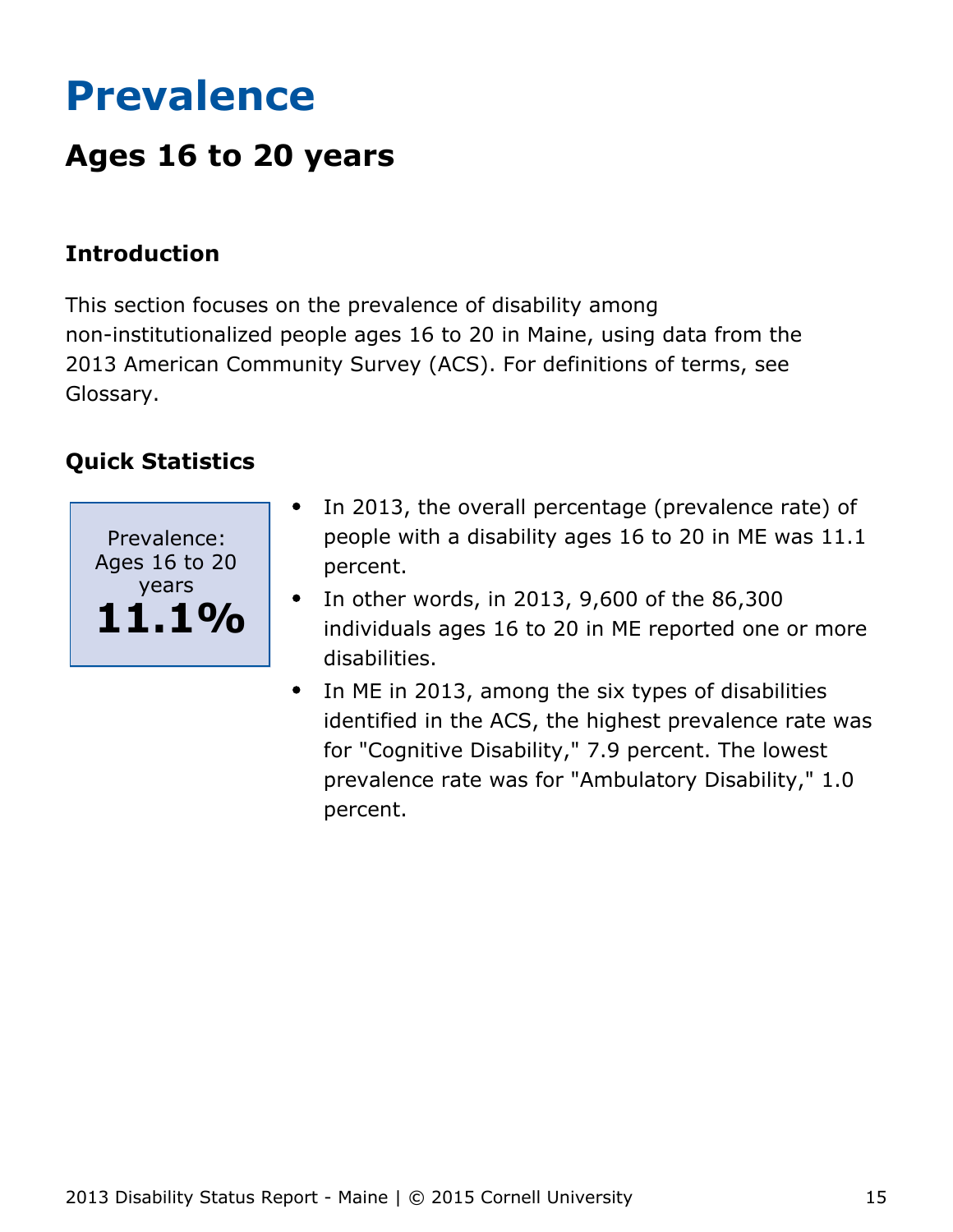# <span id="page-15-0"></span>**Prevalence**

## **Ages 16 to 20 years**

## **Introduction**

This section focuses on the prevalence of disability among non-institutionalized people ages 16 to 20 in Maine, using data from the 2013 American Community Survey (ACS). For definitions of terms, see Glossary.



- In 2013, the overall percentage (prevalence rate) of people with a disability ages 16 to 20 in ME was 11.1 percent.
- In other words, in 2013, 9,600 of the 86,300  $\bullet$ individuals ages 16 to 20 in ME reported one or more disabilities.
- In ME in 2013, among the six types of disabilities  $\bullet$ identified in the ACS, the highest prevalence rate was for "Cognitive Disability," 7.9 percent. The lowest prevalence rate was for "Ambulatory Disability," 1.0 percent.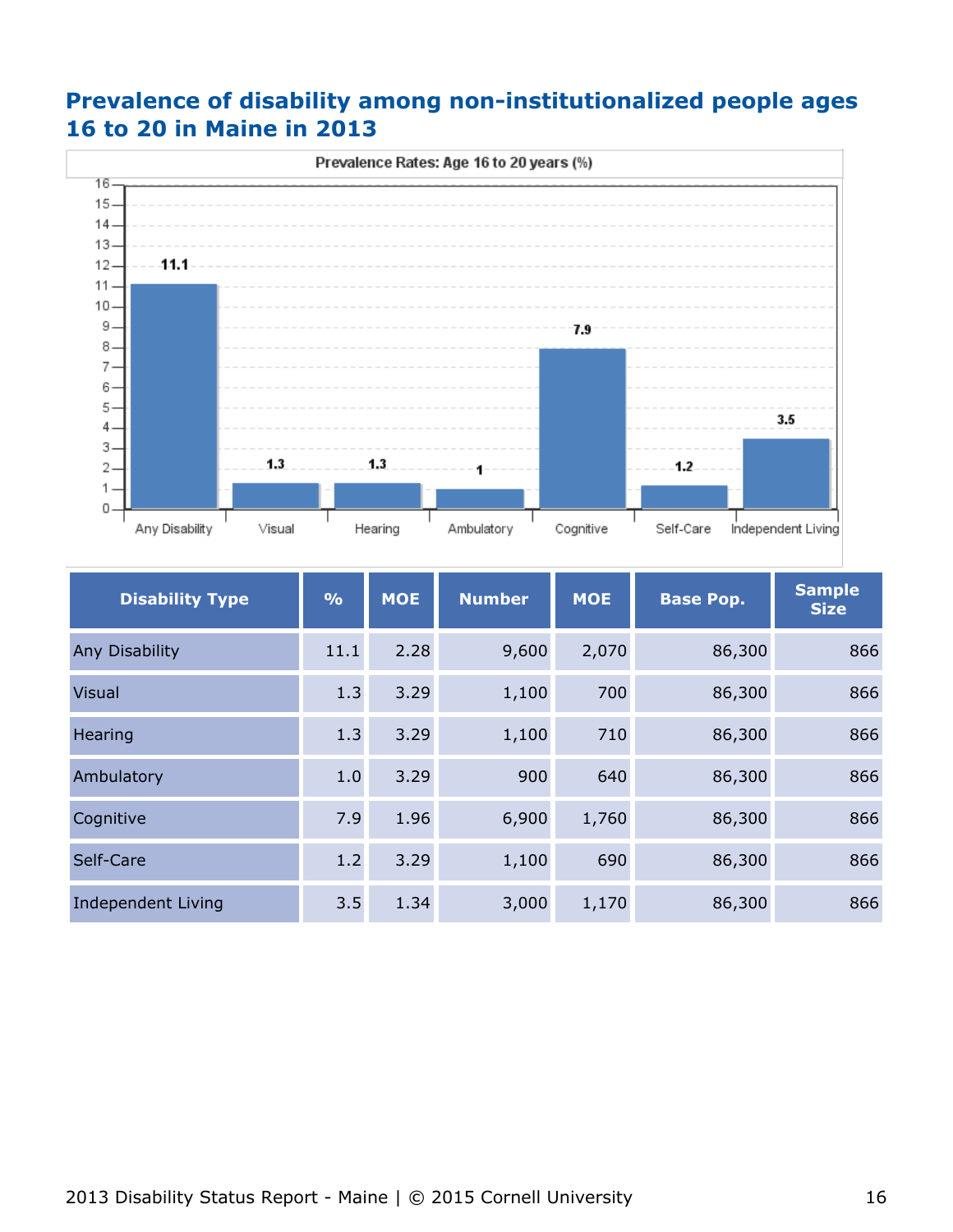## **Prevalence of disability among non-institutionalized people ages 16 to 20 in Maine in 2013**



| <b>Disability Type</b>    | $\frac{0}{0}$ | <b>MOE</b> | <b>Number</b> | <b>MOE</b> | <b>Base Pop.</b> | <b>Sample</b><br><b>Size</b> |
|---------------------------|---------------|------------|---------------|------------|------------------|------------------------------|
| Any Disability            | 11.1          | 2.28       | 9,600         | 2,070      | 86,300           | 866                          |
| <b>Visual</b>             | 1.3           | 3.29       | 1,100         | 700        | 86,300           | 866                          |
| Hearing                   | 1.3           | 3.29       | 1,100         | 710        | 86,300           | 866                          |
| Ambulatory                | 1.0           | 3.29       | 900           | 640        | 86,300           | 866                          |
| Cognitive                 | 7.9           | 1.96       | 6,900         | 1,760      | 86,300           | 866                          |
| Self-Care                 | 1.2           | 3.29       | 1,100         | 690        | 86,300           | 866                          |
| <b>Independent Living</b> | 3.5           | 1.34       | 3,000         | 1,170      | 86,300           | 866                          |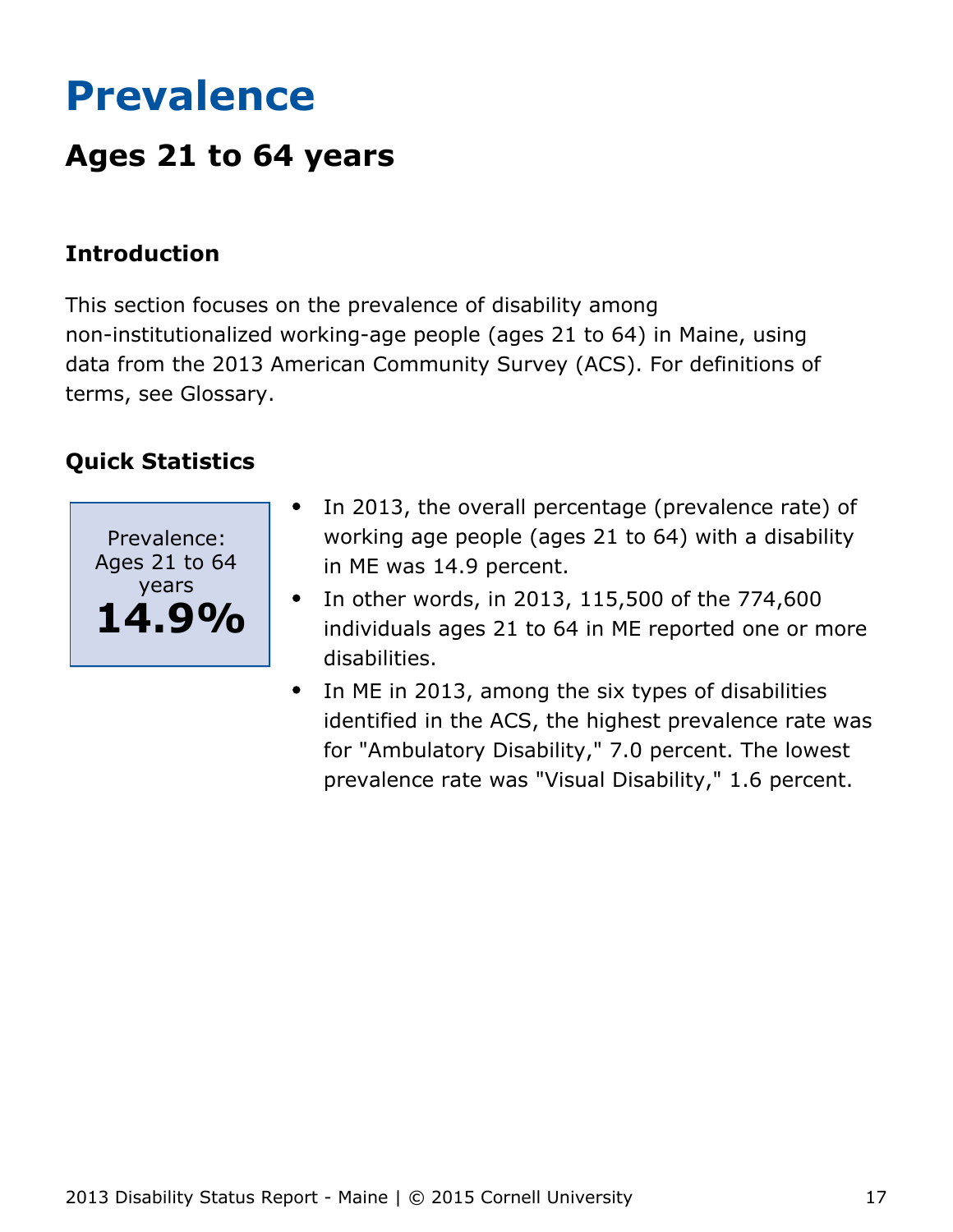# <span id="page-17-0"></span>**Prevalence**

## **Ages 21 to 64 years**

## **Introduction**

This section focuses on the prevalence of disability among non-institutionalized working-age people (ages 21 to 64) in Maine, using data from the 2013 American Community Survey (ACS). For definitions of terms, see Glossary.



- In 2013, the overall percentage (prevalence rate) of working age people (ages 21 to 64) with a disability in ME was 14.9 percent.
- In other words, in 2013, 115,500 of the 774,600  $\bullet$ individuals ages 21 to 64 in ME reported one or more disabilities.
- In ME in 2013, among the six types of disabilities identified in the ACS, the highest prevalence rate was for "Ambulatory Disability," 7.0 percent. The lowest prevalence rate was "Visual Disability," 1.6 percent.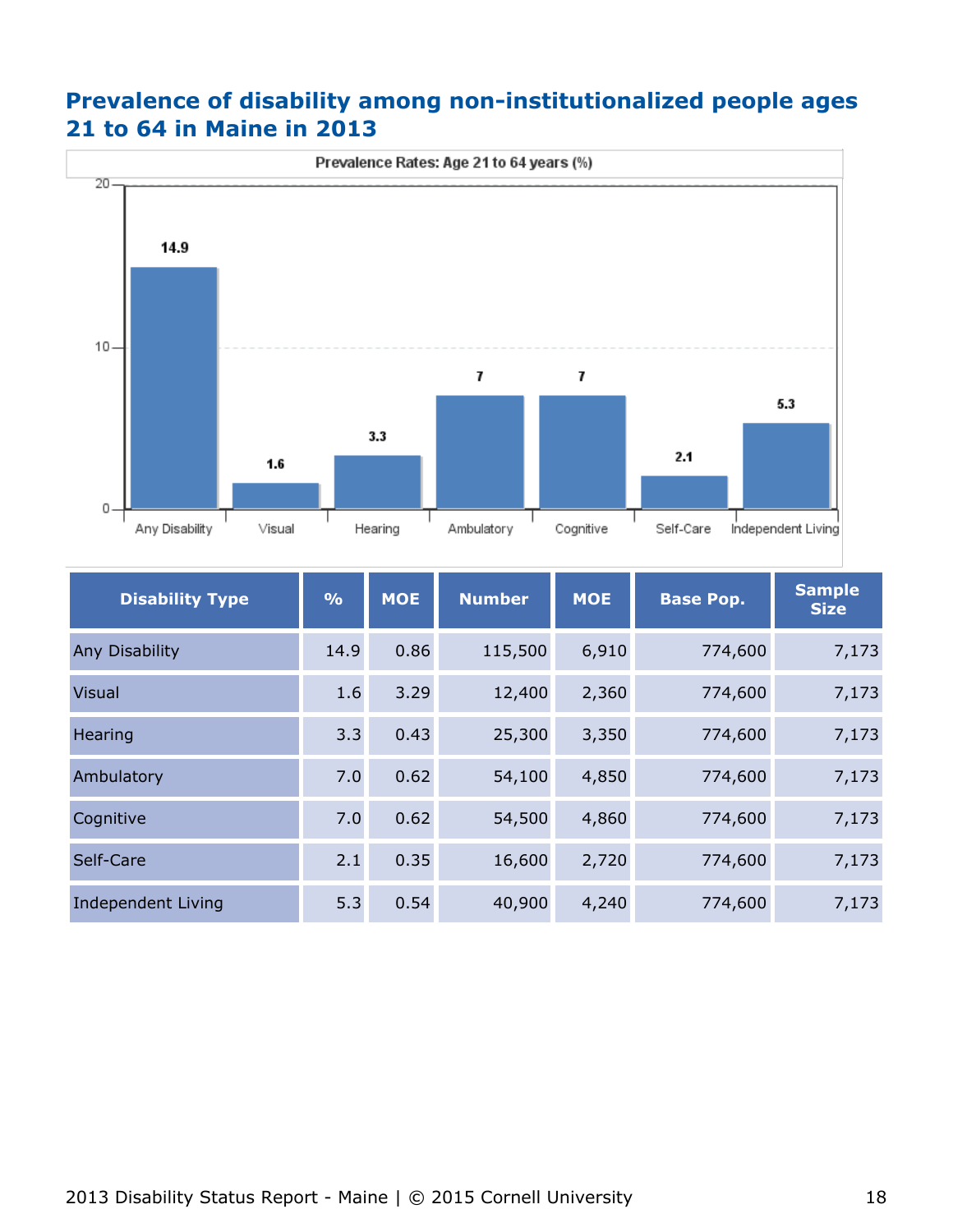## **Prevalence of disability among non-institutionalized people ages 21 to 64 in Maine in 2013**



| <b>Disability Type</b>    | $\frac{0}{0}$ | <b>MOE</b> | <b>Number</b> | <b>MOE</b> | <b>Base Pop.</b> | <b>Sample</b><br><b>Size</b> |
|---------------------------|---------------|------------|---------------|------------|------------------|------------------------------|
| Any Disability            | 14.9          | 0.86       | 115,500       | 6,910      | 774,600          | 7,173                        |
| <b>Visual</b>             | 1.6           | 3.29       | 12,400        | 2,360      | 774,600          | 7,173                        |
| Hearing                   | 3.3           | 0.43       | 25,300        | 3,350      | 774,600          | 7,173                        |
| Ambulatory                | 7.0           | 0.62       | 54,100        | 4,850      | 774,600          | 7,173                        |
| Cognitive                 | 7.0           | 0.62       | 54,500        | 4,860      | 774,600          | 7,173                        |
| Self-Care                 | 2.1           | 0.35       | 16,600        | 2,720      | 774,600          | 7,173                        |
| <b>Independent Living</b> | 5.3           | 0.54       | 40,900        | 4,240      | 774,600          | 7,173                        |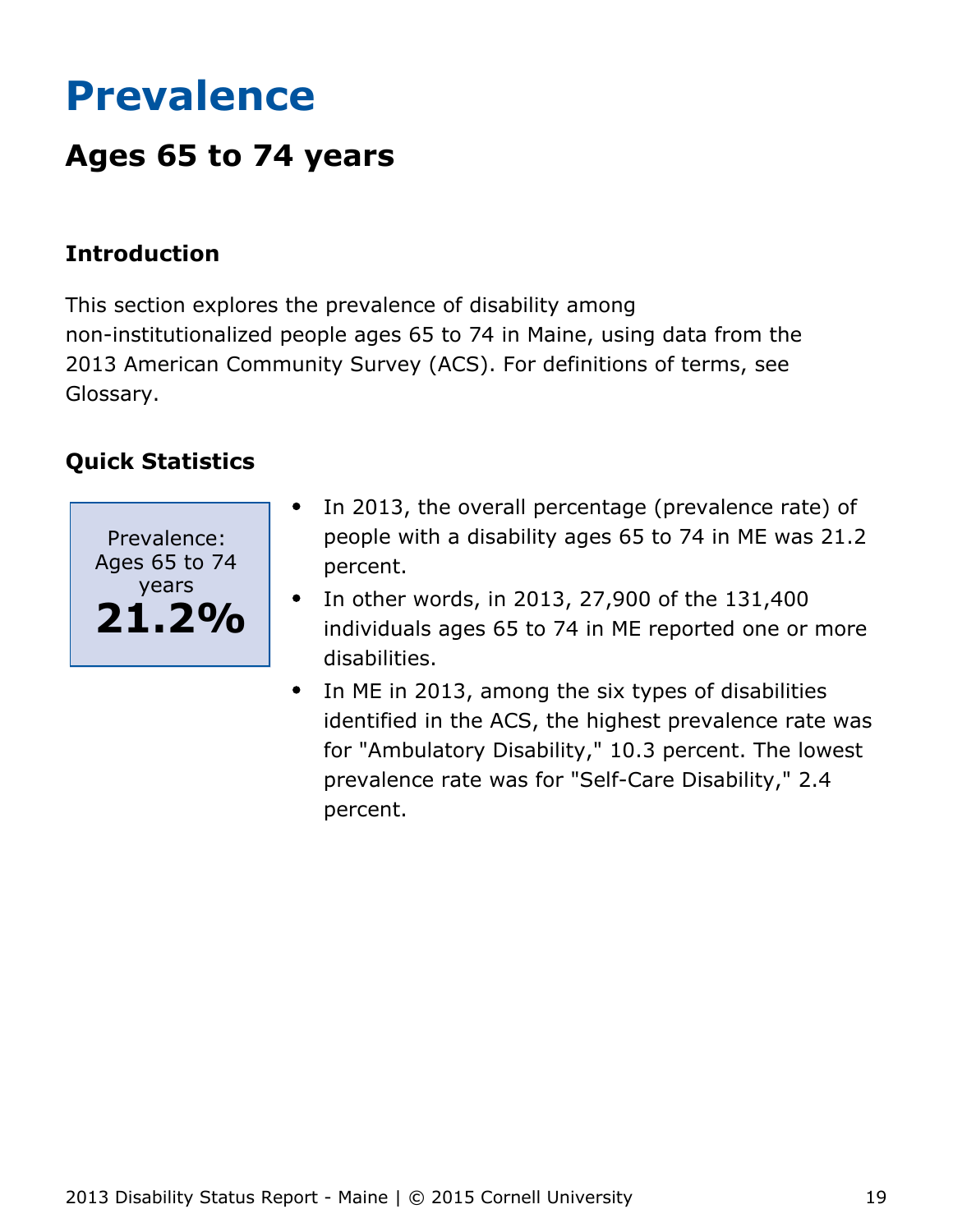# <span id="page-19-0"></span>**Prevalence**

## **Ages 65 to 74 years**

## **Introduction**

This section explores the prevalence of disability among non-institutionalized people ages 65 to 74 in Maine, using data from the 2013 American Community Survey (ACS). For definitions of terms, see Glossary.



- In 2013, the overall percentage (prevalence rate) of people with a disability ages 65 to 74 in ME was 21.2 percent.
- In other words, in 2013, 27,900 of the 131,400  $\bullet$ individuals ages 65 to 74 in ME reported one or more disabilities.
- In ME in 2013, among the six types of disabilities  $\bullet$ identified in the ACS, the highest prevalence rate was for "Ambulatory Disability," 10.3 percent. The lowest prevalence rate was for "Self-Care Disability," 2.4 percent.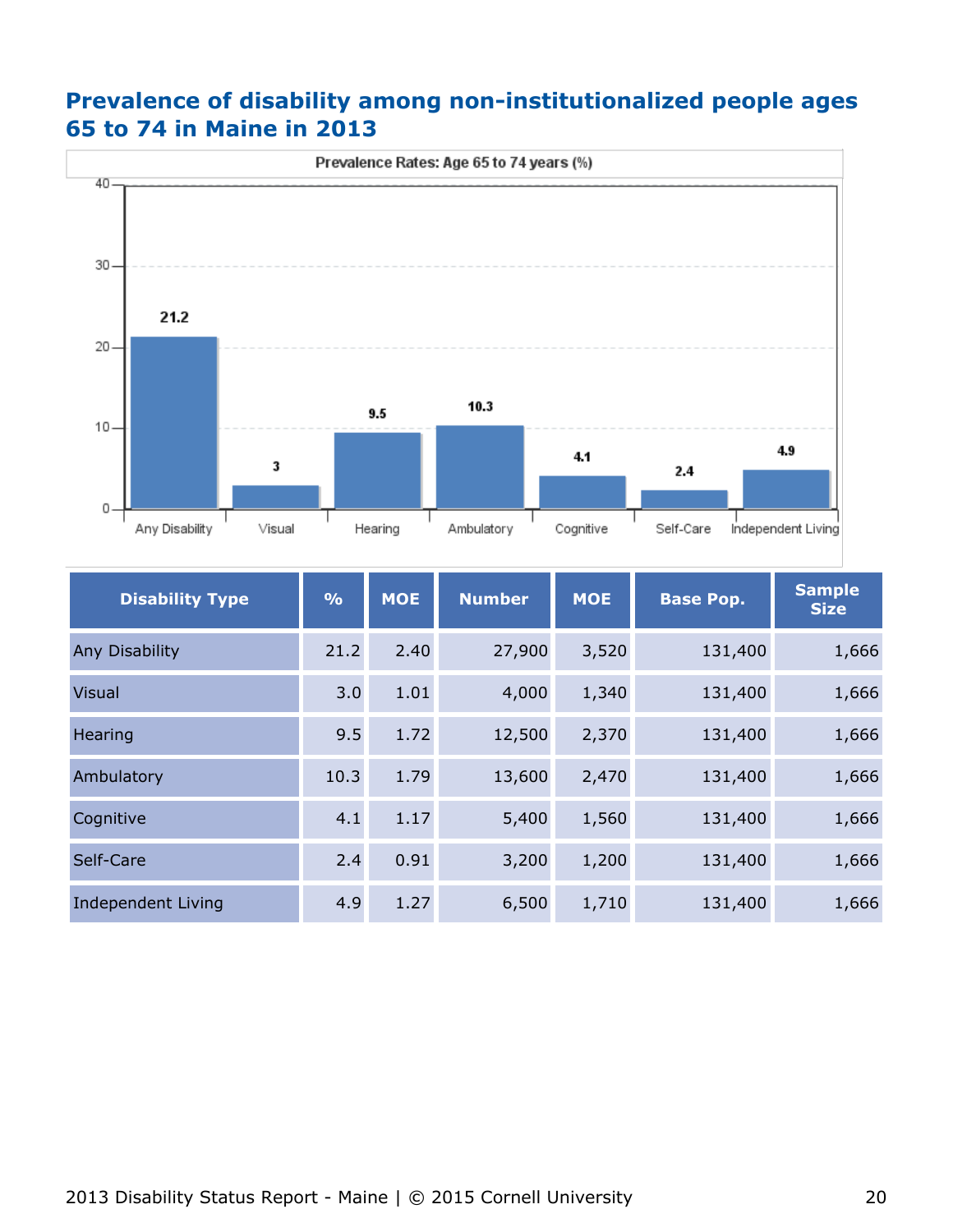## **Prevalence of disability among non-institutionalized people ages 65 to 74 in Maine in 2013**



| <b>Disability Type</b>    | $\frac{0}{0}$ | <b>MOE</b> | <b>Number</b> | <b>MOE</b><br><b>Base Pop.</b> |         | <b>Sample</b><br><b>Size</b> |
|---------------------------|---------------|------------|---------------|--------------------------------|---------|------------------------------|
| Any Disability            | 21.2          | 2.40       | 27,900        | 3,520                          | 131,400 | 1,666                        |
| <b>Visual</b>             | 3.0           | 1.01       | 4,000         | 1,340                          | 131,400 | 1,666                        |
| Hearing                   | 9.5           | 1.72       | 12,500        | 2,370                          | 131,400 | 1,666                        |
| Ambulatory                | 10.3          | 1.79       | 13,600        | 2,470                          | 131,400 | 1,666                        |
| Cognitive                 | 4.1           | 1.17       | 5,400         | 1,560                          | 131,400 | 1,666                        |
| Self-Care                 | 2.4           | 0.91       | 3,200         | 1,200                          | 131,400 | 1,666                        |
| <b>Independent Living</b> | 4.9           | 1.27       | 6,500         | 1,710                          | 131,400 | 1,666                        |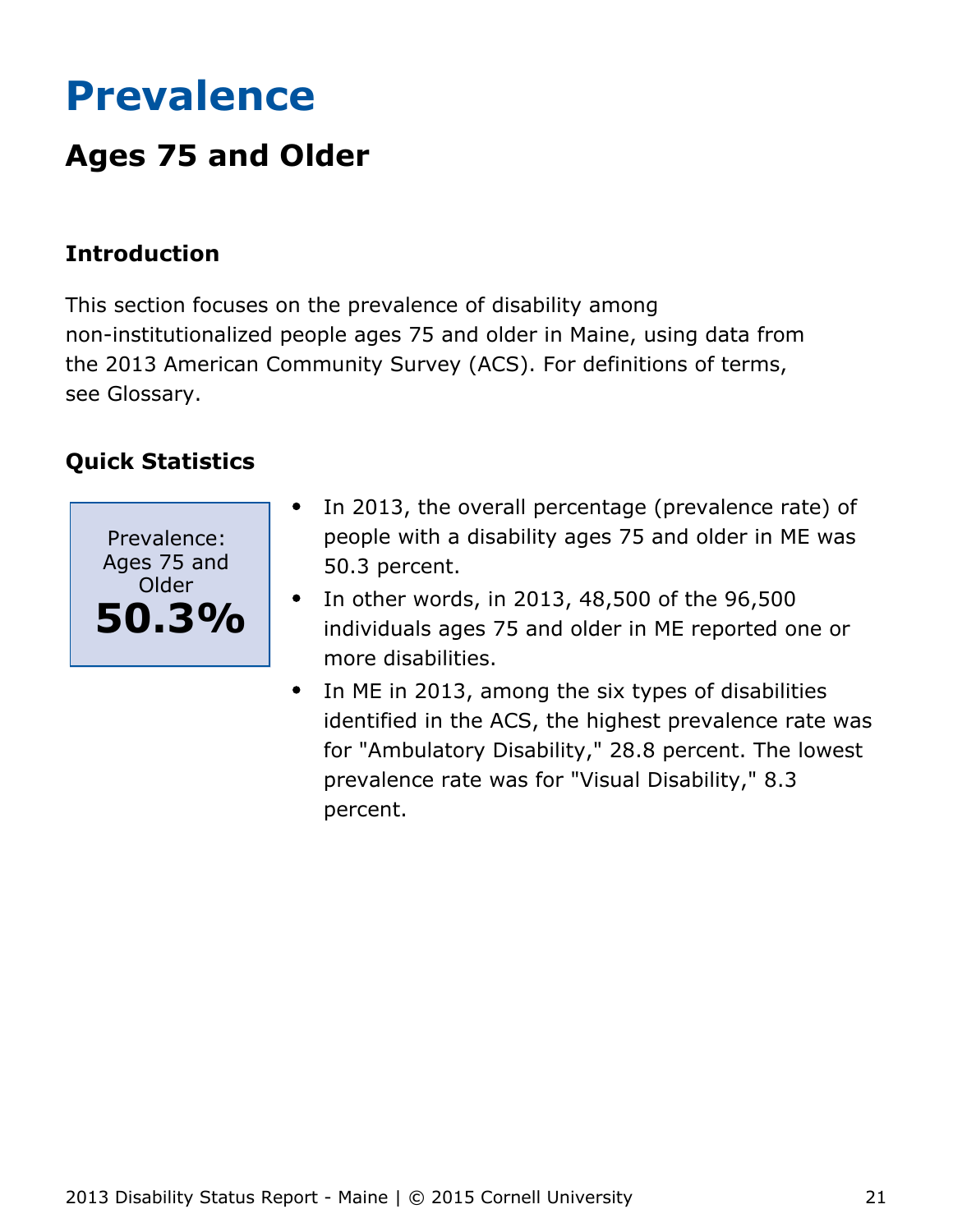# <span id="page-21-0"></span>**Prevalence**

## **Ages 75 and Older**

## **Introduction**

This section focuses on the prevalence of disability among non-institutionalized people ages 75 and older in Maine, using data from the 2013 American Community Survey (ACS). For definitions of terms, see Glossary.



- In 2013, the overall percentage (prevalence rate) of  $\bullet$ people with a disability ages 75 and older in ME was 50.3 percent.
- In other words, in 2013, 48,500 of the 96,500  $\bullet$ individuals ages 75 and older in ME reported one or more disabilities.
- In ME in 2013, among the six types of disabilities  $\bullet$ identified in the ACS, the highest prevalence rate was for "Ambulatory Disability," 28.8 percent. The lowest prevalence rate was for "Visual Disability," 8.3 percent.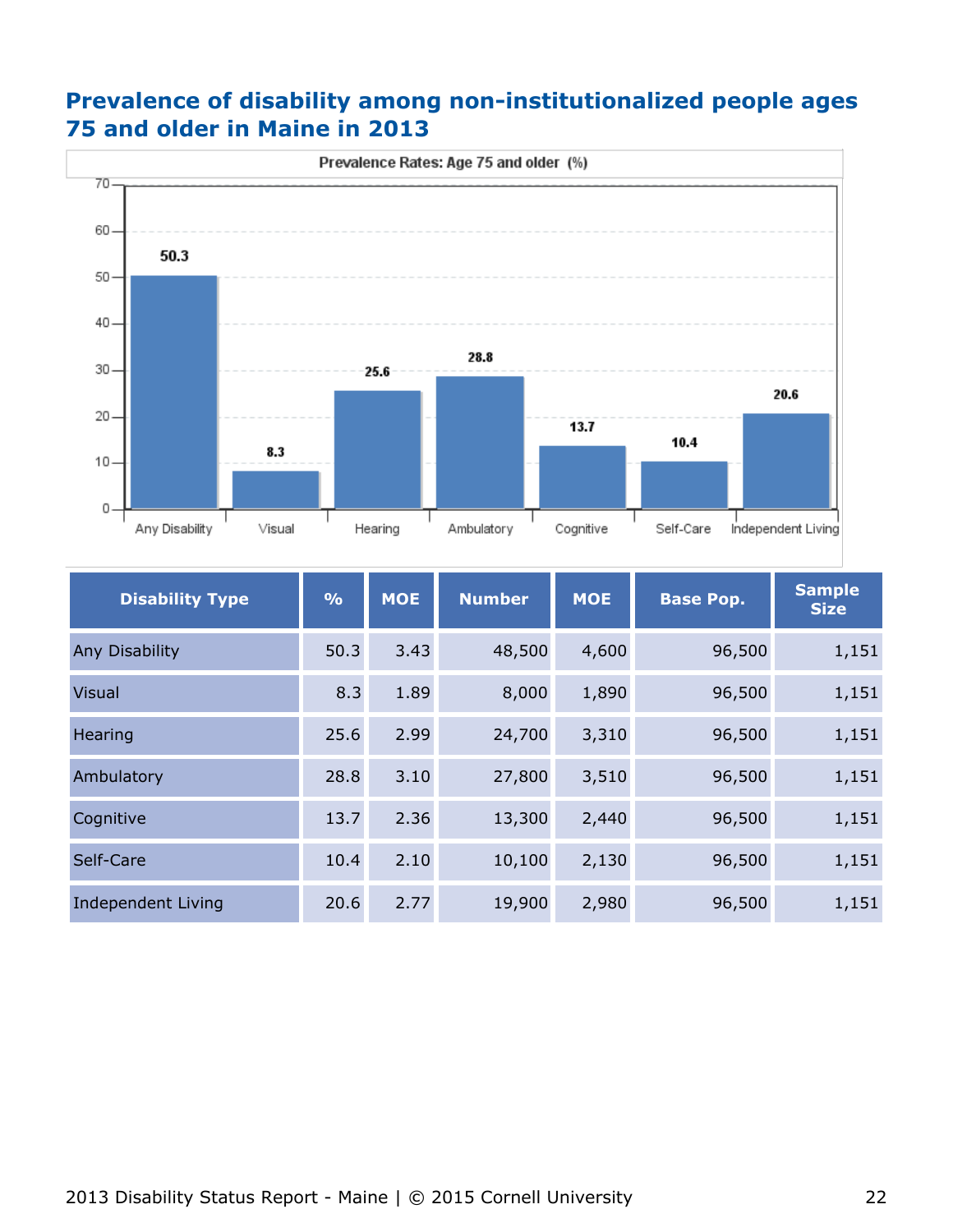## **Prevalence of disability among non-institutionalized people ages 75 and older in Maine in 2013**



| <b>Disability Type</b>    | $\frac{9}{6}$ | <b>MOE</b> | <b>Number</b> | <b>MOE</b> | <b>Base Pop.</b> | <b>Sample</b><br><b>Size</b> |
|---------------------------|---------------|------------|---------------|------------|------------------|------------------------------|
| Any Disability            | 50.3          | 3.43       | 48,500        | 4,600      | 96,500           | 1,151                        |
| <b>Visual</b>             | 8.3           | 1.89       | 8,000         | 1,890      | 96,500           | 1,151                        |
| Hearing                   | 25.6          | 2.99       | 24,700        | 3,310      | 96,500           | 1,151                        |
| Ambulatory                | 28.8          | 3.10       | 27,800        | 3,510      | 96,500           | 1,151                        |
| Cognitive                 | 13.7          | 2.36       | 13,300        | 2,440      | 96,500           | 1,151                        |
| Self-Care                 | 10.4          | 2.10       | 10,100        | 2,130      | 96,500           | 1,151                        |
| <b>Independent Living</b> | 20.6          | 2.77       | 19,900        | 2,980      | 96,500           | 1,151                        |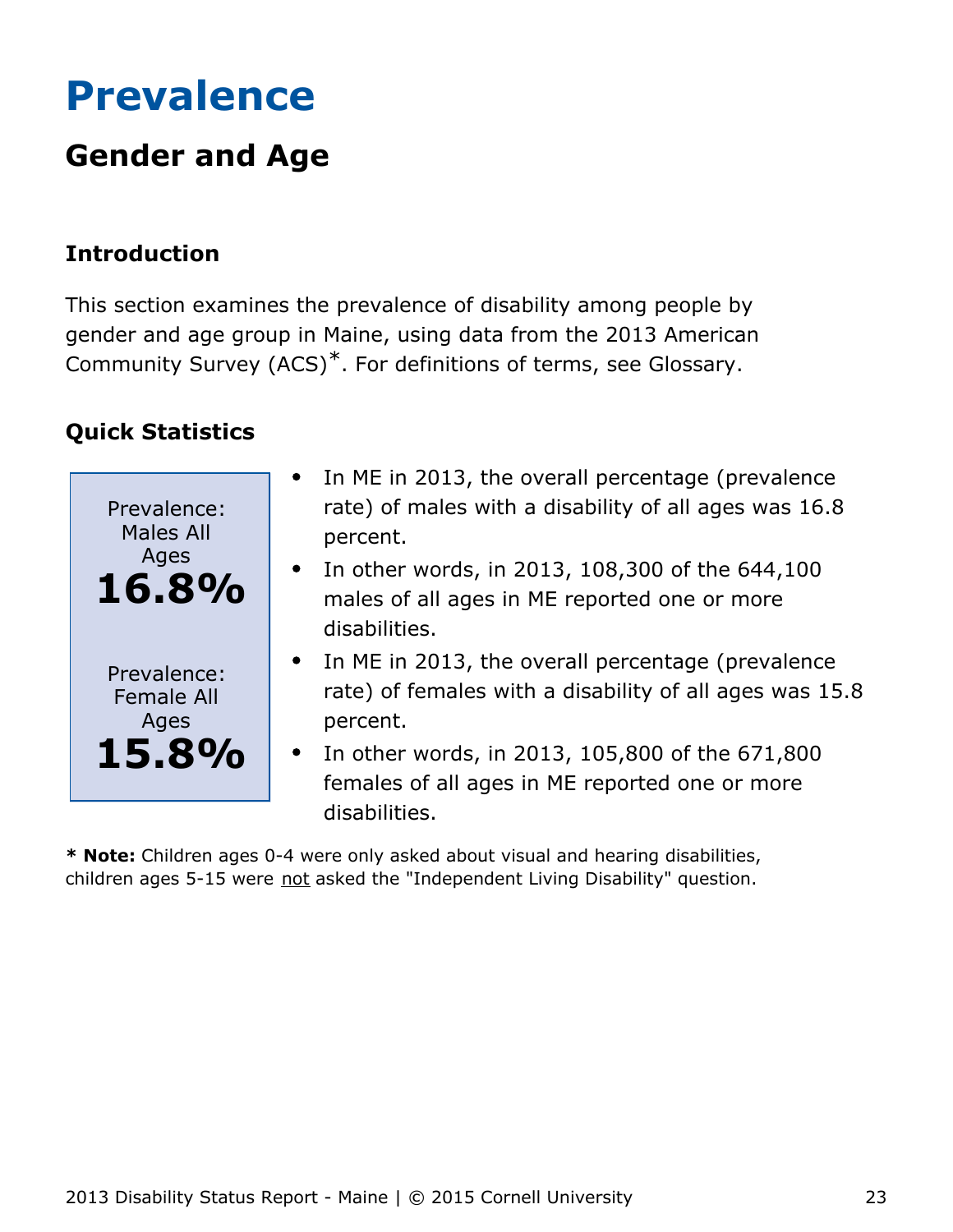# <span id="page-23-0"></span>**Prevalence**

## **Gender and Age**

## **Introduction**

This section examines the prevalence of disability among people by gender and age group in Maine, using data from the 2013 American Community Survey (ACS)\*. For definitions of terms, see Glossary.

## **Quick Statistics**

| Prevalence:<br><b>Males All</b><br>Ages<br>16.8%  | In ME in 2013, the overall percentage (prevalence<br>rate) of males with a disability of all ages was 16.8<br>percent.<br>In other words, in 2013, 108,300 of the 644,100<br>$\bullet$<br>males of all ages in ME reported one or more<br>disabilities.       |
|---------------------------------------------------|---------------------------------------------------------------------------------------------------------------------------------------------------------------------------------------------------------------------------------------------------------------|
| Prevalence:<br><b>Female All</b><br>Ages<br>15.8% | • In ME in 2013, the overall percentage (prevalence<br>rate) of females with a disability of all ages was 15.8<br>percent.<br>In other words, in 2013, 105,800 of the 671,800<br>$\bullet$<br>females of all ages in ME reported one or more<br>disabilities. |

**\* Note:** Children ages 0-4 were only asked about visual and hearing disabilities, children ages 5-15 were not asked the "Independent Living Disability" question.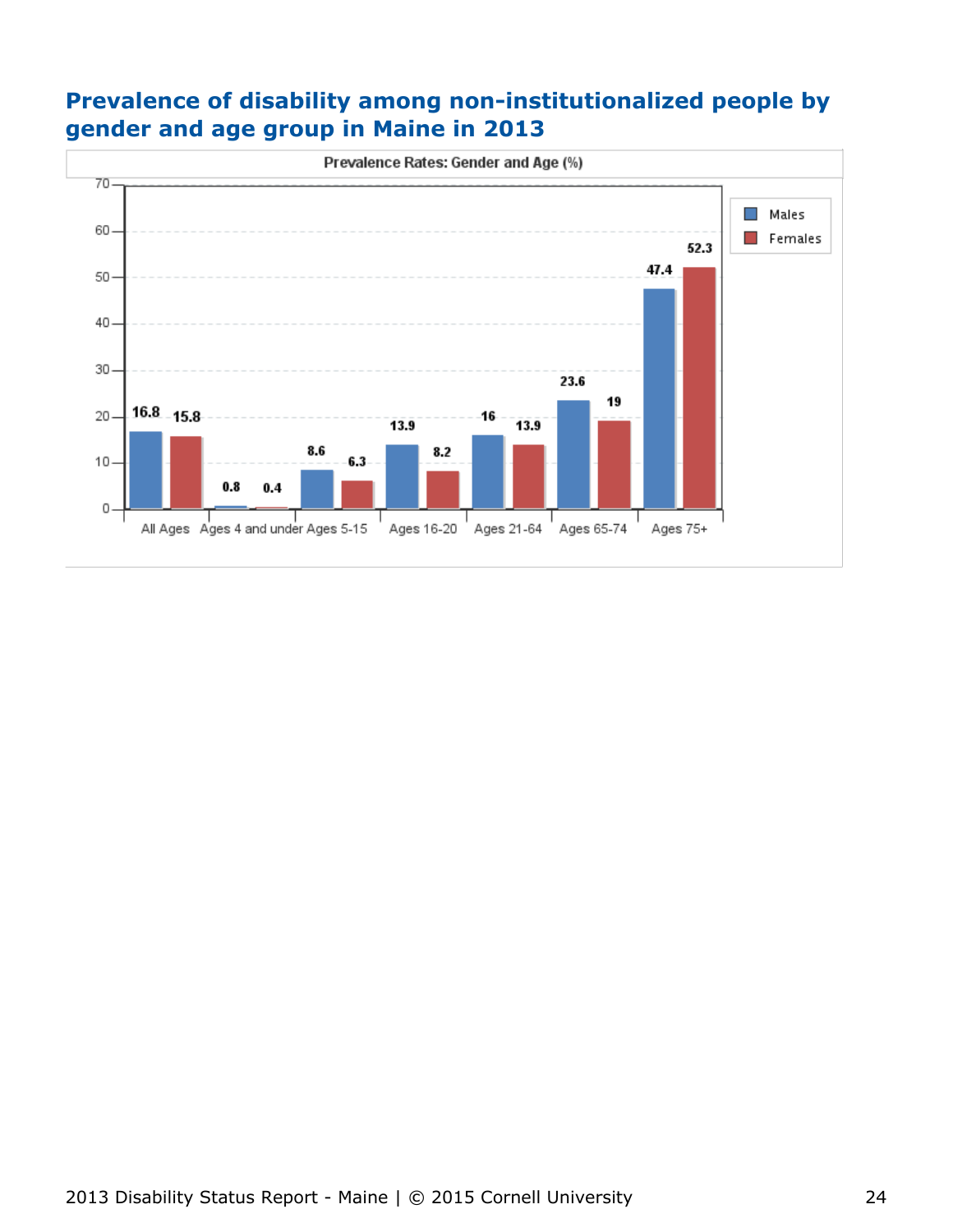## **Prevalence of disability among non-institutionalized people by gender and age group in Maine in 2013**

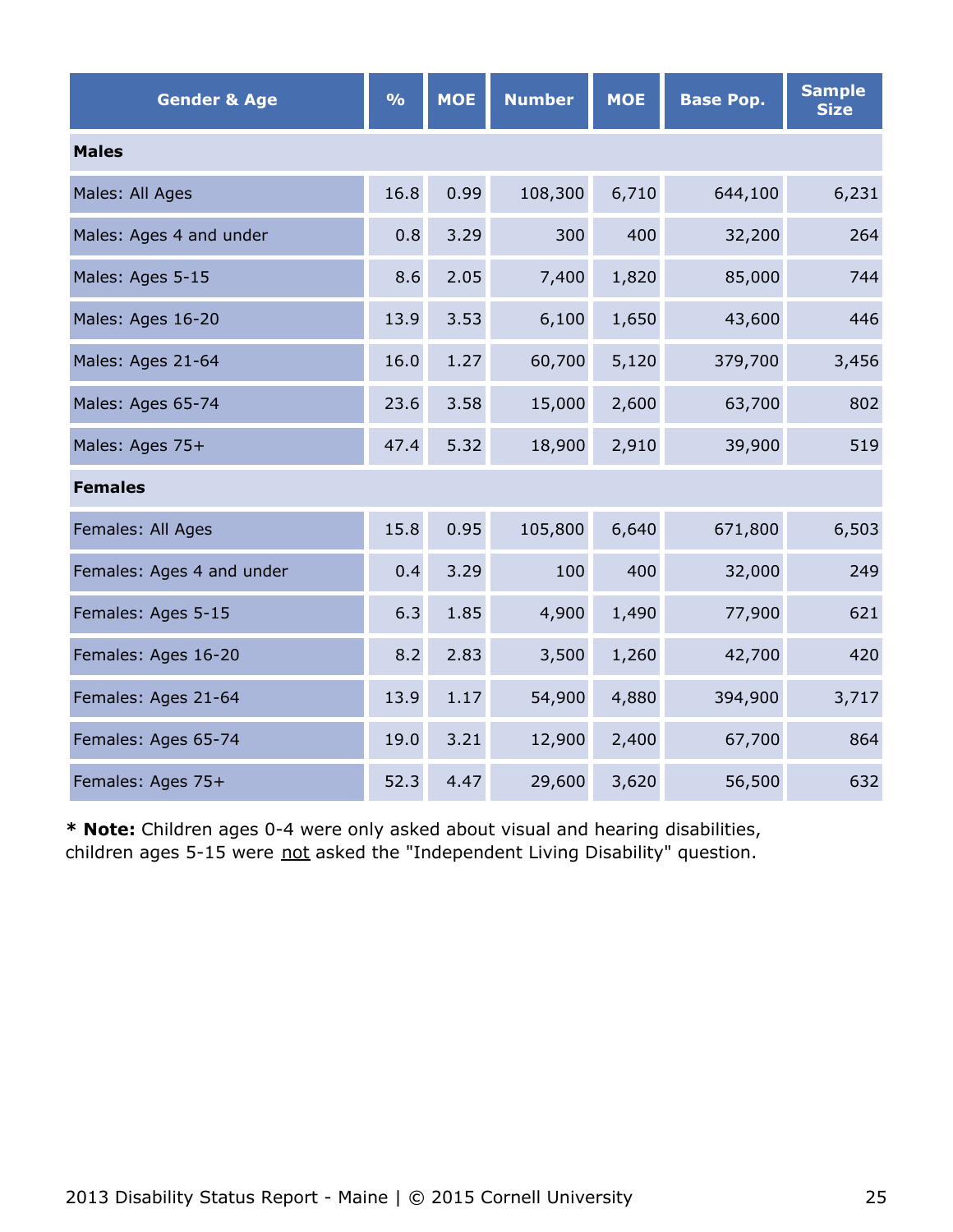| <b>Gender &amp; Age</b>   | $\frac{0}{0}$ | <b>MOE</b> | <b>Number</b> | <b>MOE</b> | <b>Base Pop.</b> | <b>Sample</b><br><b>Size</b> |
|---------------------------|---------------|------------|---------------|------------|------------------|------------------------------|
| <b>Males</b>              |               |            |               |            |                  |                              |
| Males: All Ages           | 16.8          | 0.99       | 108,300       | 6,710      | 644,100          | 6,231                        |
| Males: Ages 4 and under   | 0.8           | 3.29       | 300           | 400        | 32,200           | 264                          |
| Males: Ages 5-15          | 8.6           | 2.05       | 7,400         | 1,820      | 85,000           | 744                          |
| Males: Ages 16-20         | 13.9          | 3.53       | 6,100         | 1,650      | 43,600           | 446                          |
| Males: Ages 21-64         | 16.0          | 1.27       | 60,700        | 5,120      | 379,700          | 3,456                        |
| Males: Ages 65-74         | 23.6          | 3.58       | 15,000        | 2,600      | 63,700           | 802                          |
| Males: Ages 75+           | 47.4          | 5.32       | 18,900        | 2,910      | 39,900           | 519                          |
| <b>Females</b>            |               |            |               |            |                  |                              |
| Females: All Ages         | 15.8          | 0.95       | 105,800       | 6,640      | 671,800          | 6,503                        |
| Females: Ages 4 and under | 0.4           | 3.29       | 100           | 400        | 32,000           | 249                          |
| Females: Ages 5-15        | 6.3           | 1.85       | 4,900         | 1,490      | 77,900           | 621                          |
| Females: Ages 16-20       | 8.2           | 2.83       | 3,500         | 1,260      | 42,700           | 420                          |
| Females: Ages 21-64       | 13.9          | 1.17       | 54,900        | 4,880      | 394,900          | 3,717                        |
| Females: Ages 65-74       | 19.0          | 3.21       | 12,900        | 2,400      | 67,700           | 864                          |
| Females: Ages 75+         | 52.3          | 4.47       | 29,600        | 3,620      | 56,500           | 632                          |

**\* Note:** Children ages 0-4 were only asked about visual and hearing disabilities, children ages 5-15 were not asked the "Independent Living Disability" question.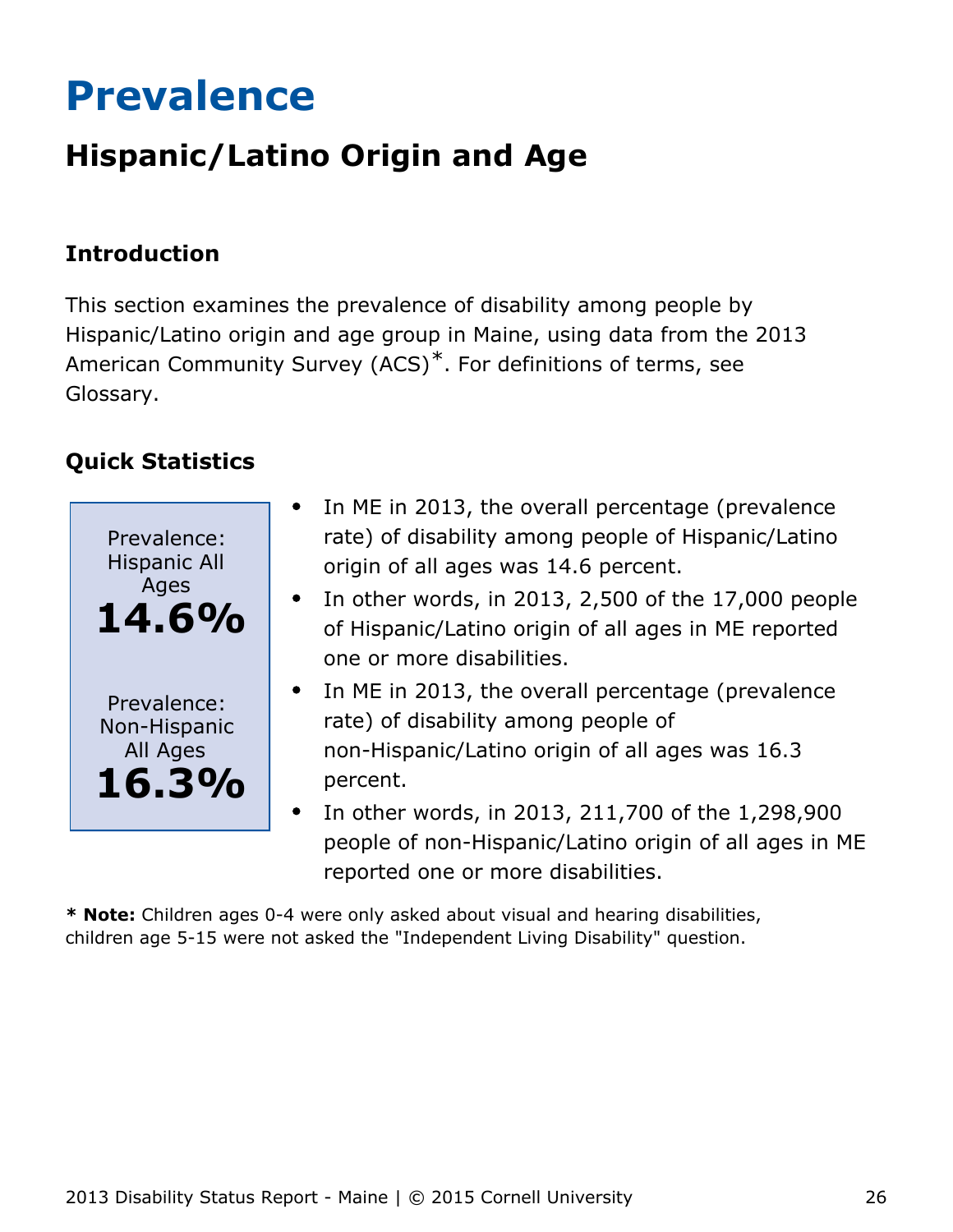# <span id="page-26-0"></span>**Prevalence**

## **Hispanic/Latino Origin and Age**

## **Introduction**

This section examines the prevalence of disability among people by Hispanic/Latino origin and age group in Maine, using data from the 2013 American Community Survey (ACS)\*. For definitions of terms, see Glossary.

## **Quick Statistics**



- In ME in 2013, the overall percentage (prevalence rate) of disability among people of Hispanic/Latino origin of all ages was 14.6 percent.
- In other words, in 2013, 2,500 of the 17,000 people of Hispanic/Latino origin of all ages in ME reported one or more disabilities.
- In ME in 2013, the overall percentage (prevalence rate) of disability among people of non-Hispanic/Latino origin of all ages was 16.3 percent.
- In other words, in 2013, 211,700 of the 1,298,900 people of non-Hispanic/Latino origin of all ages in ME reported one or more disabilities.

**\* Note:** Children ages 0-4 were only asked about visual and hearing disabilities, children age 5-15 were not asked the "Independent Living Disability" question.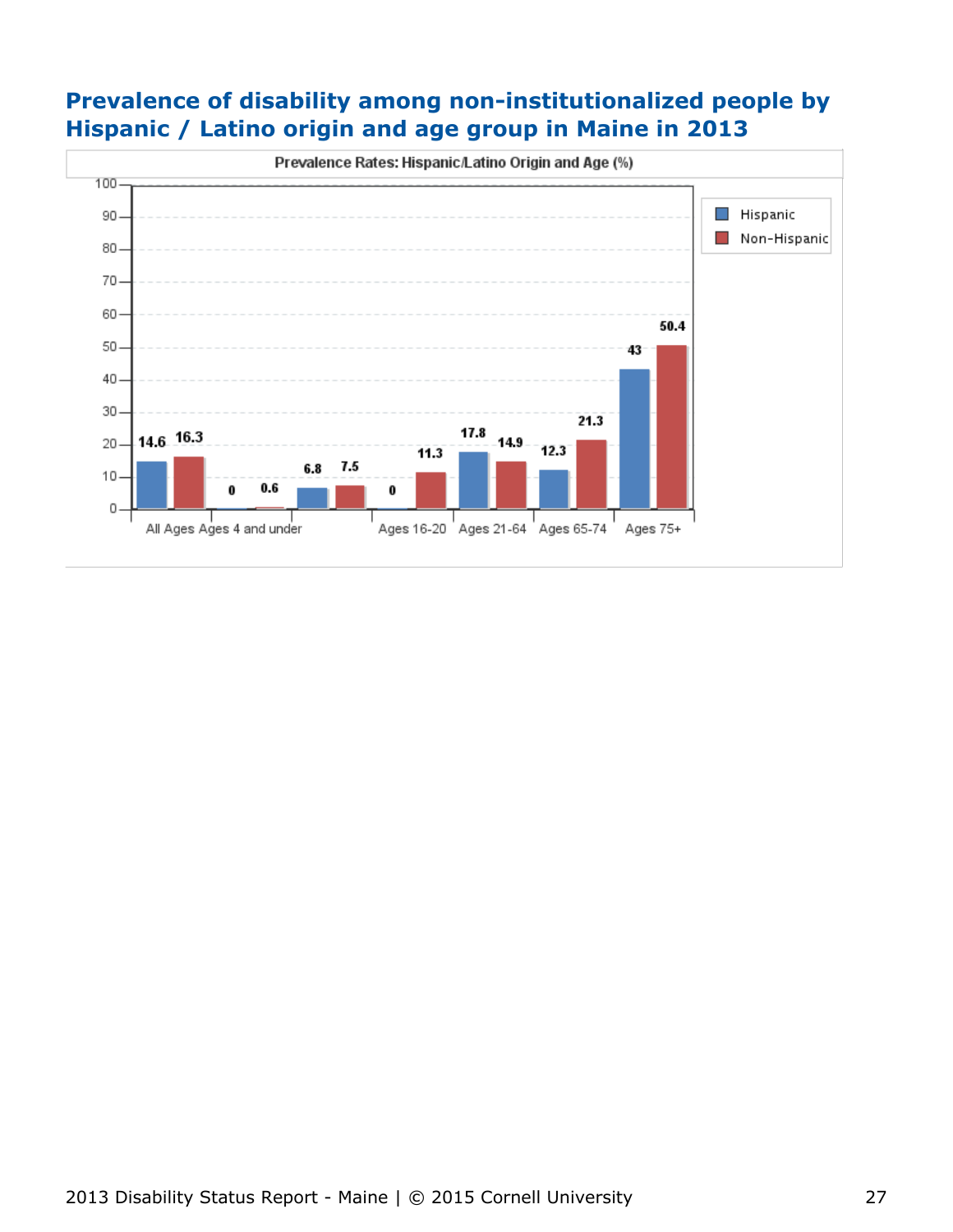## **Prevalence of disability among non-institutionalized people by Hispanic / Latino origin and age group in Maine in 2013**

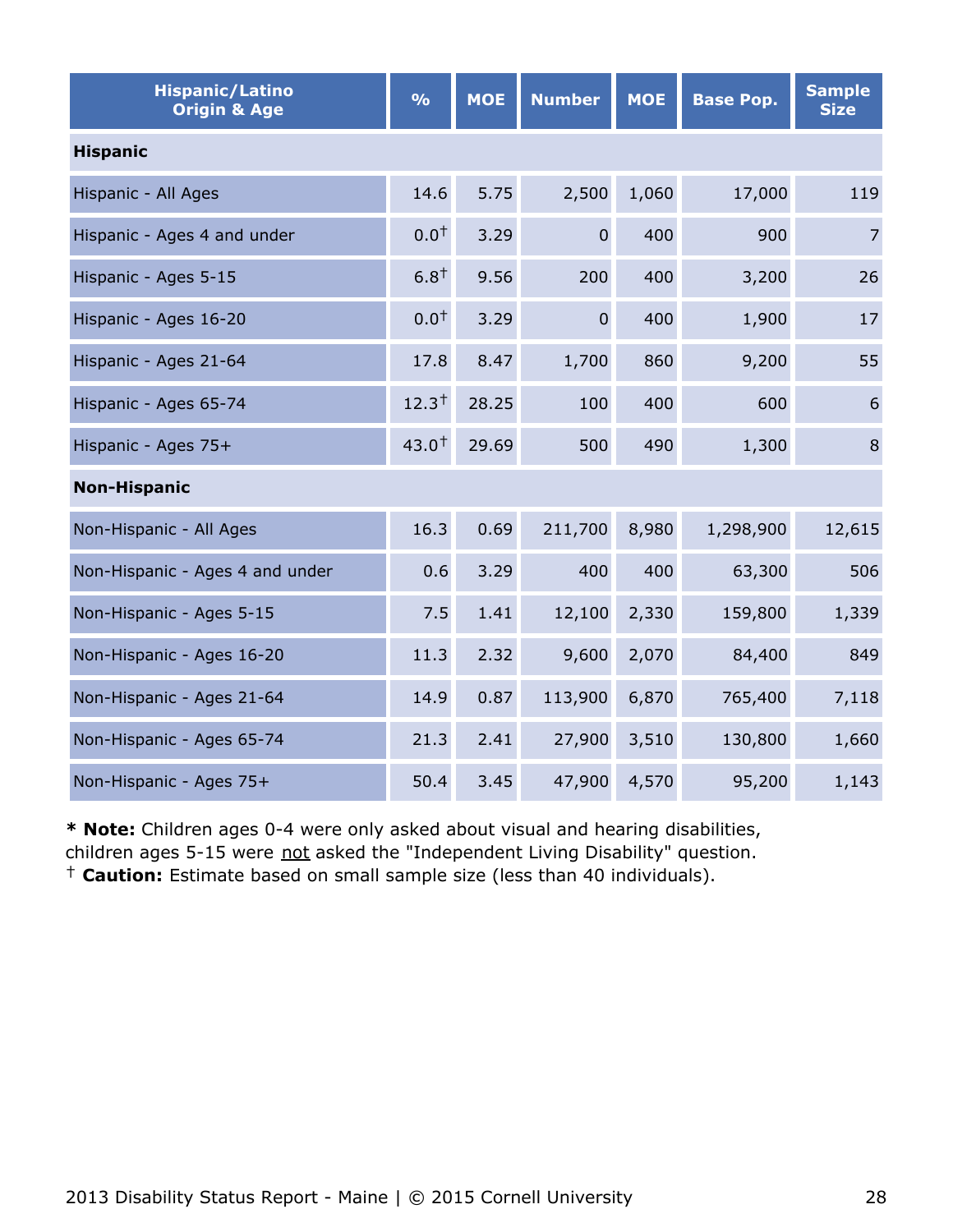| <b>Hispanic/Latino</b><br><b>Origin &amp; Age</b> | $\frac{1}{2}$ | <b>MOE</b> | <b>Number</b>  | <b>MOE</b> | <b>Base Pop.</b> | <b>Sample</b><br><b>Size</b> |
|---------------------------------------------------|---------------|------------|----------------|------------|------------------|------------------------------|
| <b>Hispanic</b>                                   |               |            |                |            |                  |                              |
| Hispanic - All Ages                               | 14.6          | 5.75       | 2,500          | 1,060      | 17,000           | 119                          |
| Hispanic - Ages 4 and under                       | $0.0^{+}$     | 3.29       | $\overline{0}$ | 400        | 900              | $\overline{7}$               |
| Hispanic - Ages 5-15                              | $6.8^{+}$     | 9.56       | 200            | 400        | 3,200            | 26                           |
| Hispanic - Ages 16-20                             | $0.0^{+}$     | 3.29       | $\overline{0}$ | 400        | 1,900            | 17                           |
| Hispanic - Ages 21-64                             | 17.8          | 8.47       | 1,700          | 860        | 9,200            | 55                           |
| Hispanic - Ages 65-74                             | $12.3^{+}$    | 28.25      | 100            | 400        | 600              | 6                            |
| Hispanic - Ages 75+                               | $43.0^{+}$    | 29.69      | 500            | 490        | 1,300            | 8                            |
| <b>Non-Hispanic</b>                               |               |            |                |            |                  |                              |
| Non-Hispanic - All Ages                           | 16.3          | 0.69       | 211,700        | 8,980      | 1,298,900        | 12,615                       |
| Non-Hispanic - Ages 4 and under                   | 0.6           | 3.29       | 400            | 400        | 63,300           | 506                          |
| Non-Hispanic - Ages 5-15                          | 7.5           | 1.41       | 12,100         | 2,330      | 159,800          | 1,339                        |
| Non-Hispanic - Ages 16-20                         | 11.3          | 2.32       | 9,600          | 2,070      | 84,400           | 849                          |
| Non-Hispanic - Ages 21-64                         | 14.9          | 0.87       | 113,900        | 6,870      | 765,400          | 7,118                        |
| Non-Hispanic - Ages 65-74                         | 21.3          | 2.41       | 27,900         | 3,510      | 130,800          | 1,660                        |
| Non-Hispanic - Ages 75+                           | 50.4          | 3.45       | 47,900         | 4,570      | 95,200           | 1,143                        |

**\* Note:** Children ages 0-4 were only asked about visual and hearing disabilities,

children ages 5-15 were not asked the "Independent Living Disability" question.

† **Caution:** Estimate based on small sample size (less than 40 individuals).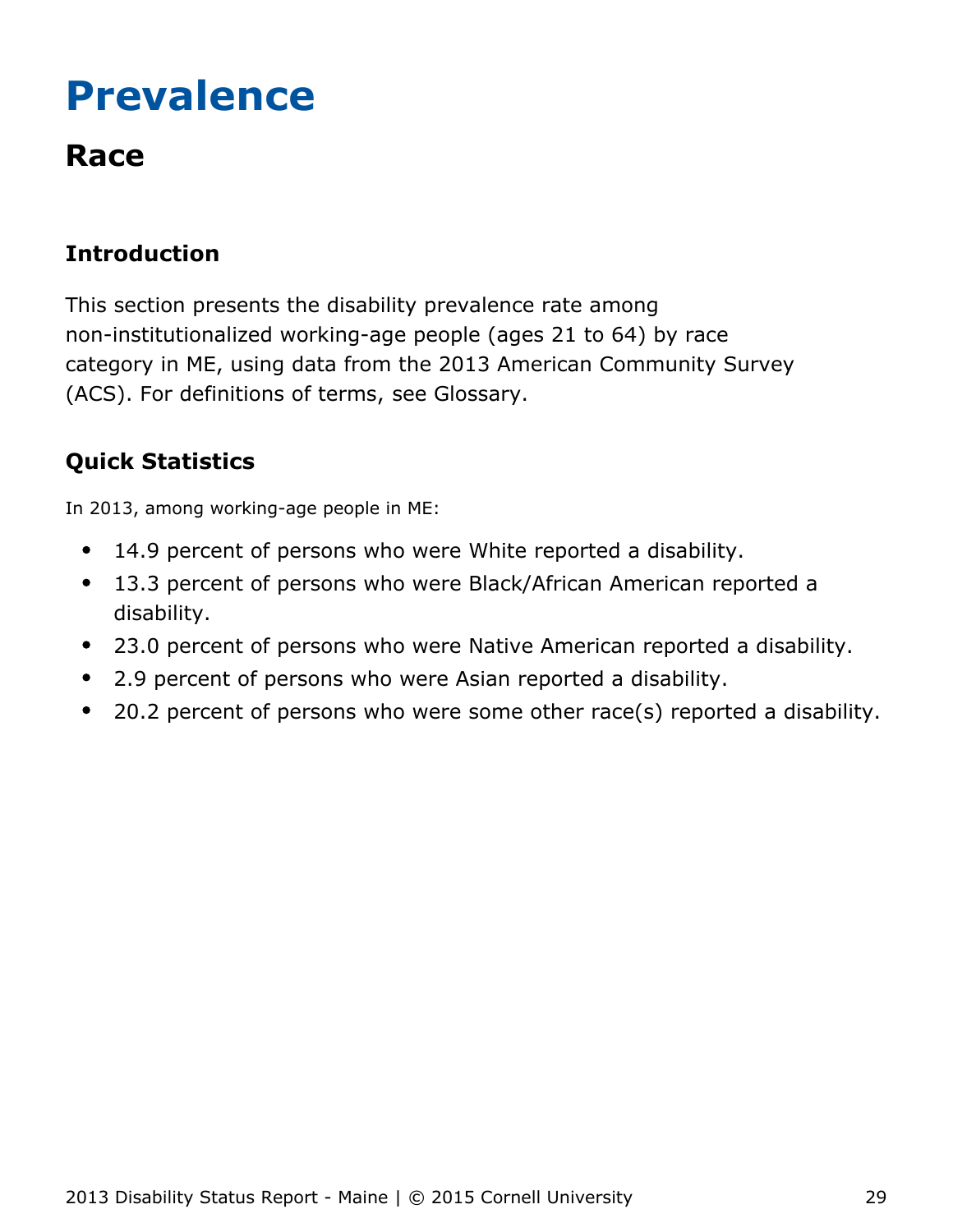# <span id="page-29-0"></span>**Prevalence**

## **Race**

## **Introduction**

This section presents the disability prevalence rate among non-institutionalized working-age people (ages 21 to 64) by race category in ME, using data from the 2013 American Community Survey (ACS). For definitions of terms, see Glossary.

## **Quick Statistics**

In 2013, among working-age people in ME:

- 14.9 percent of persons who were White reported a disability.  $\bullet$
- 13.3 percent of persons who were Black/African American reported a  $\bullet$ disability.
- 23.0 percent of persons who were Native American reported a disability.  $\bullet$
- 2.9 percent of persons who were Asian reported a disability.
- $\bullet$ 20.2 percent of persons who were some other race(s) reported a disability.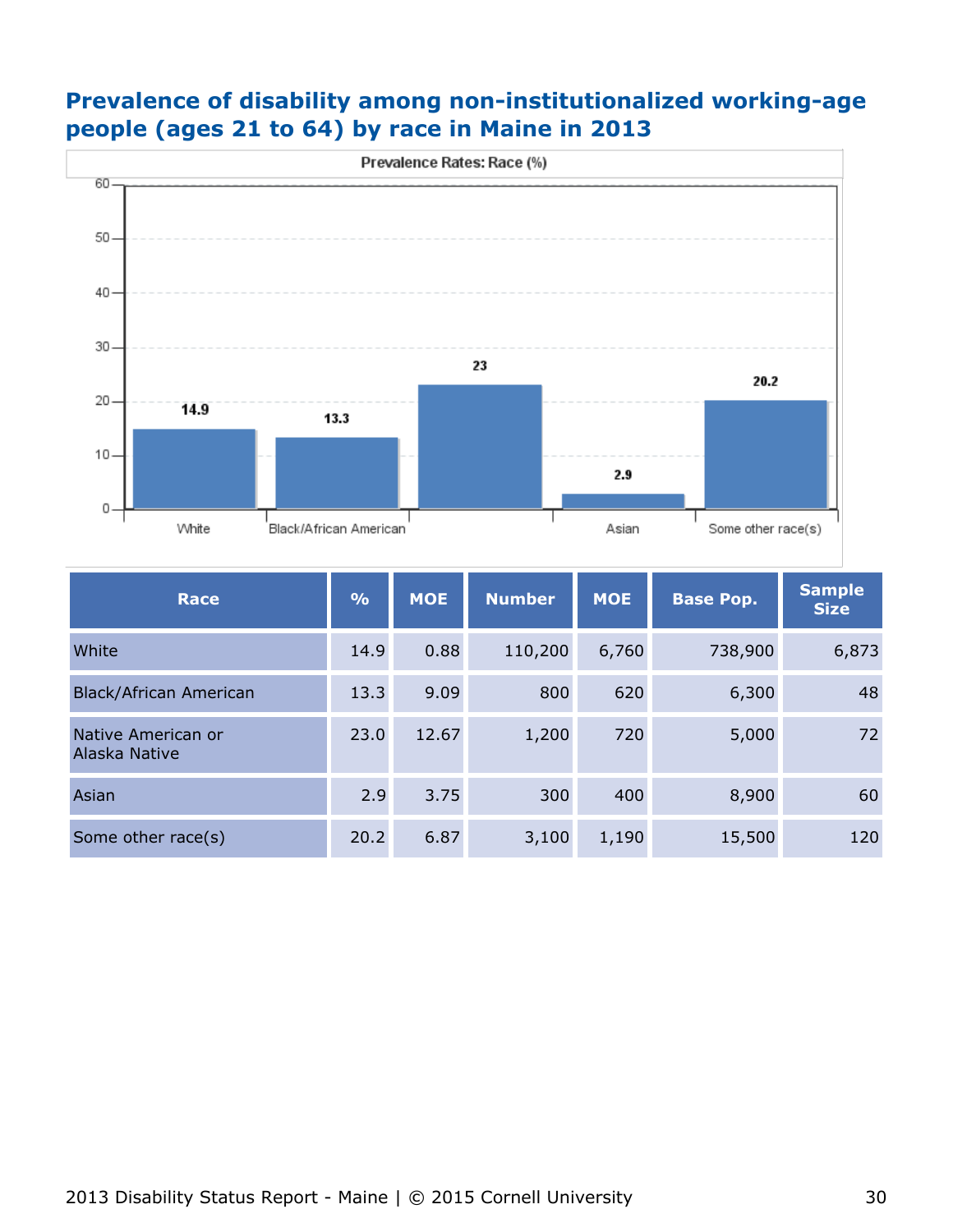

## **Prevalence of disability among non-institutionalized working-age people (ages 21 to 64) by race in Maine in 2013**

| <b>Race</b>                         | $\frac{9}{6}$ | <b>MOE</b> | <b>Number</b> | <b>MOE</b> | <b>Base Pop.</b> | <b>Sample</b><br><b>Size</b> |
|-------------------------------------|---------------|------------|---------------|------------|------------------|------------------------------|
| White                               | 14.9          | 0.88       | 110,200       | 6,760      | 738,900          | 6,873                        |
| <b>Black/African American</b>       | 13.3          | 9.09       | 800           | 620        | 6,300            | 48                           |
| Native American or<br>Alaska Native | 23.0          | 12.67      | 1,200         | 720        | 5,000            | 72                           |
| Asian                               | 2.9           | 3.75       | 300           | 400        | 8,900            | 60                           |
| Some other race(s)                  | 20.2          | 6.87       | 3,100         | 1,190      | 15,500           | 120                          |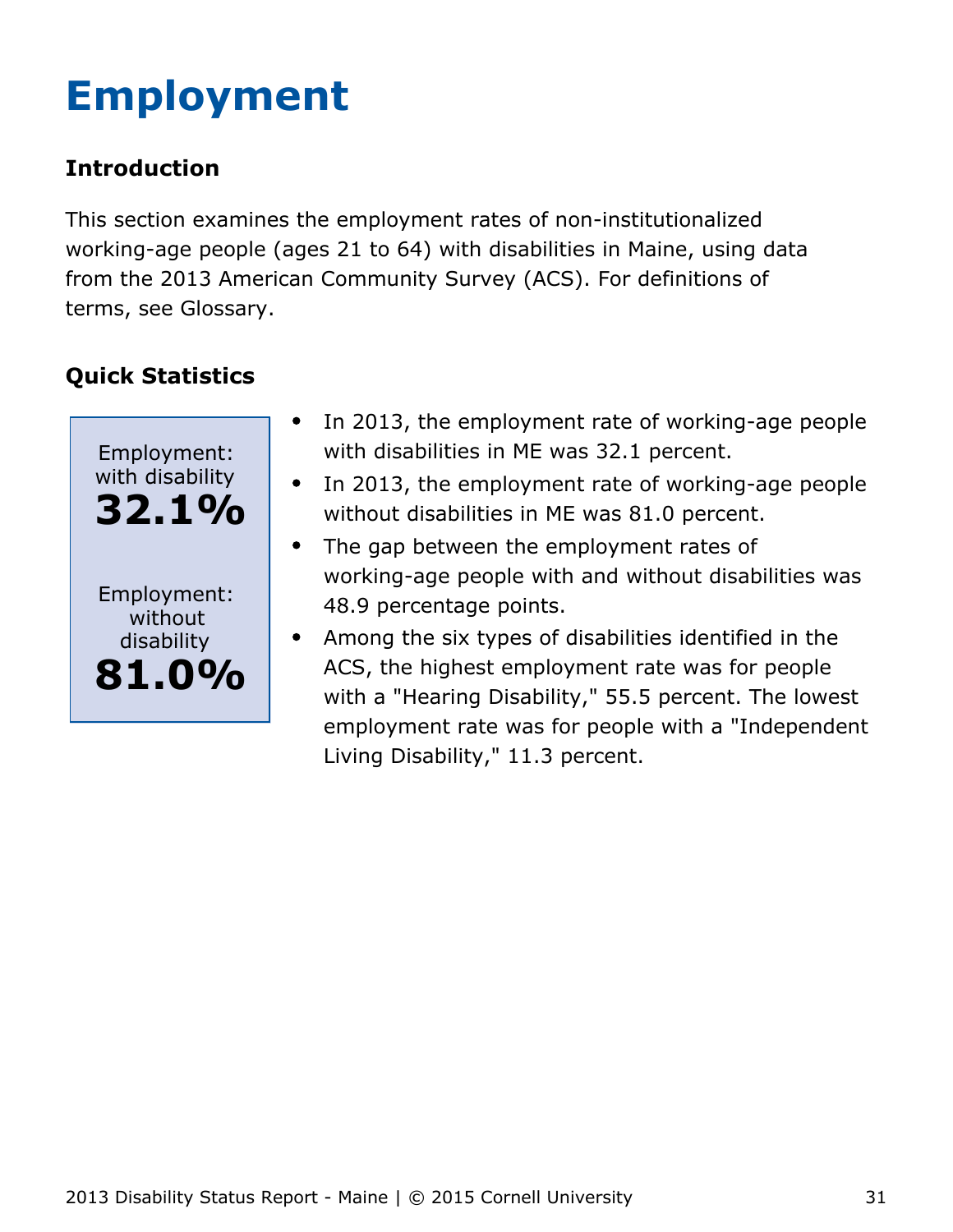# <span id="page-31-0"></span>**Employment**

## **Introduction**

This section examines the employment rates of non-institutionalized working-age people (ages 21 to 64) with disabilities in Maine, using data from the 2013 American Community Survey (ACS). For definitions of terms, see Glossary.



- $\bullet$ In 2013, the employment rate of working-age people with disabilities in ME was 32.1 percent.
- In 2013, the employment rate of working-age people  $\bullet$ without disabilities in ME was 81.0 percent.
- The gap between the employment rates of  $\bullet$ working-age people with and without disabilities was 48.9 percentage points.
- Among the six types of disabilities identified in the ACS, the highest employment rate was for people with a "Hearing Disability," 55.5 percent. The lowest employment rate was for people with a "Independent Living Disability," 11.3 percent.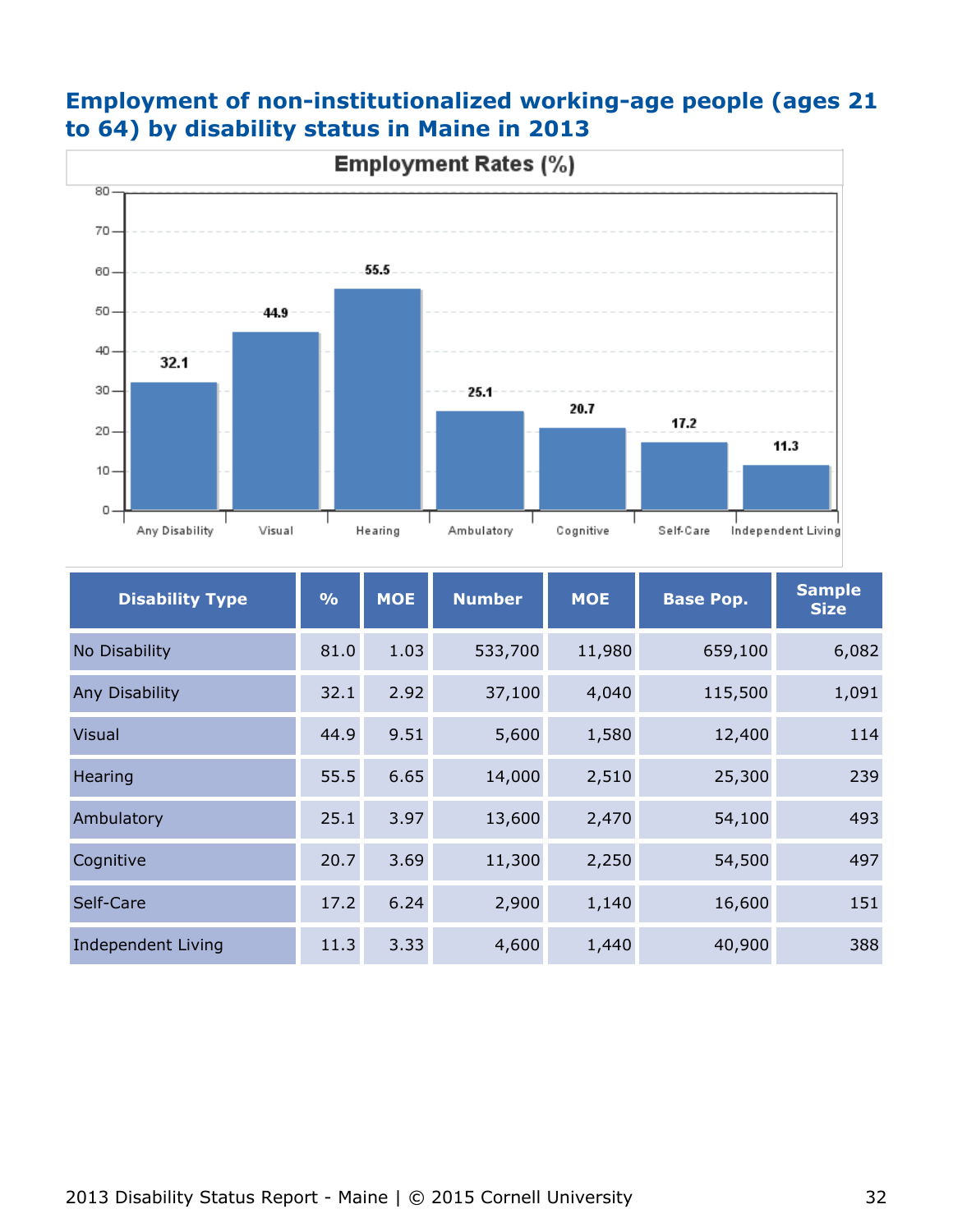

|  |  | <b>Employment of non-institutionalized working-age people (ages 21</b> |  |  |  |
|--|--|------------------------------------------------------------------------|--|--|--|
|  |  | to 64) by disability status in Maine in 2013                           |  |  |  |

| <b>Disability Type</b> | $\frac{0}{0}$ | <b>MOE</b> | <b>Number</b> | <b>MOE</b> | <b>Base Pop.</b> | <b>Sample</b><br><b>Size</b> |
|------------------------|---------------|------------|---------------|------------|------------------|------------------------------|
| No Disability          | 81.0          | 1.03       | 533,700       | 11,980     | 659,100          | 6,082                        |
| Any Disability         | 32.1          | 2.92       | 37,100        | 4,040      | 115,500          | 1,091                        |
| <b>Visual</b>          | 44.9          | 9.51       | 5,600         | 1,580      | 12,400           | 114                          |
| Hearing                | 55.5          | 6.65       | 14,000        | 2,510      | 25,300           | 239                          |
| Ambulatory             | 25.1          | 3.97       | 13,600        | 2,470      | 54,100           | 493                          |
| Cognitive              | 20.7          | 3.69       | 11,300        | 2,250      | 54,500           | 497                          |
| Self-Care              | 17.2          | 6.24       | 2,900         | 1,140      | 16,600           | 151                          |
| Independent Living     | 11.3          | 3.33       | 4,600         | 1,440      | 40,900           | 388                          |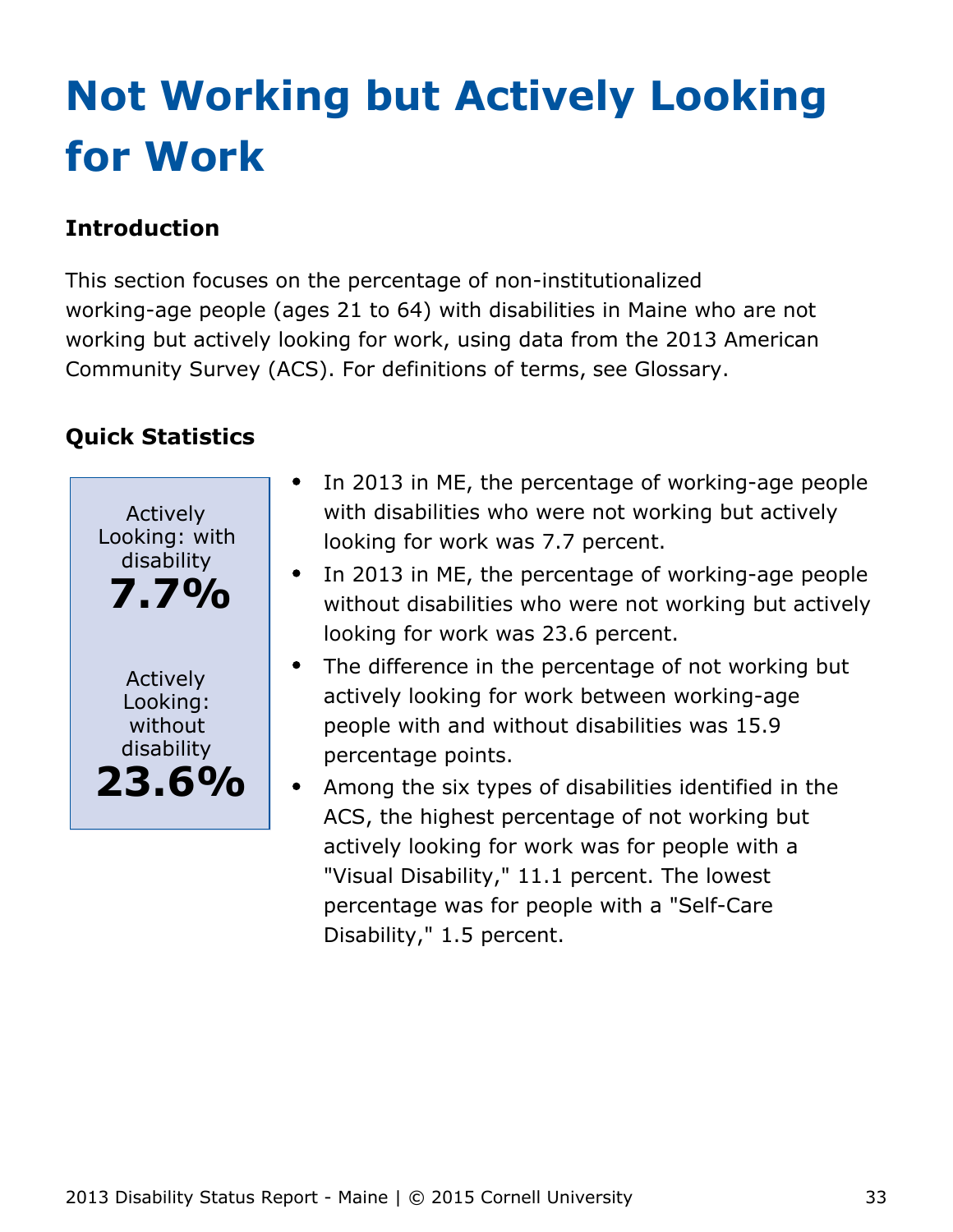# <span id="page-33-0"></span>**Not Working but Actively Looking for Work**

## **Introduction**

This section focuses on the percentage of non-institutionalized working-age people (ages 21 to 64) with disabilities in Maine who are not working but actively looking for work, using data from the 2013 American Community Survey (ACS). For definitions of terms, see Glossary.

## **Quick Statistics**

Actively Looking: with disability **7.7%** Actively Looking: without disability **23.6%**

- In 2013 in ME, the percentage of working-age people  $\bullet$ with disabilities who were not working but actively looking for work was 7.7 percent.
- In 2013 in ME, the percentage of working-age people without disabilities who were not working but actively looking for work was 23.6 percent.
- The difference in the percentage of not working but actively looking for work between working-age people with and without disabilities was 15.9 percentage points.
- Among the six types of disabilities identified in the ACS, the highest percentage of not working but actively looking for work was for people with a "Visual Disability," 11.1 percent. The lowest percentage was for people with a "Self-Care Disability," 1.5 percent.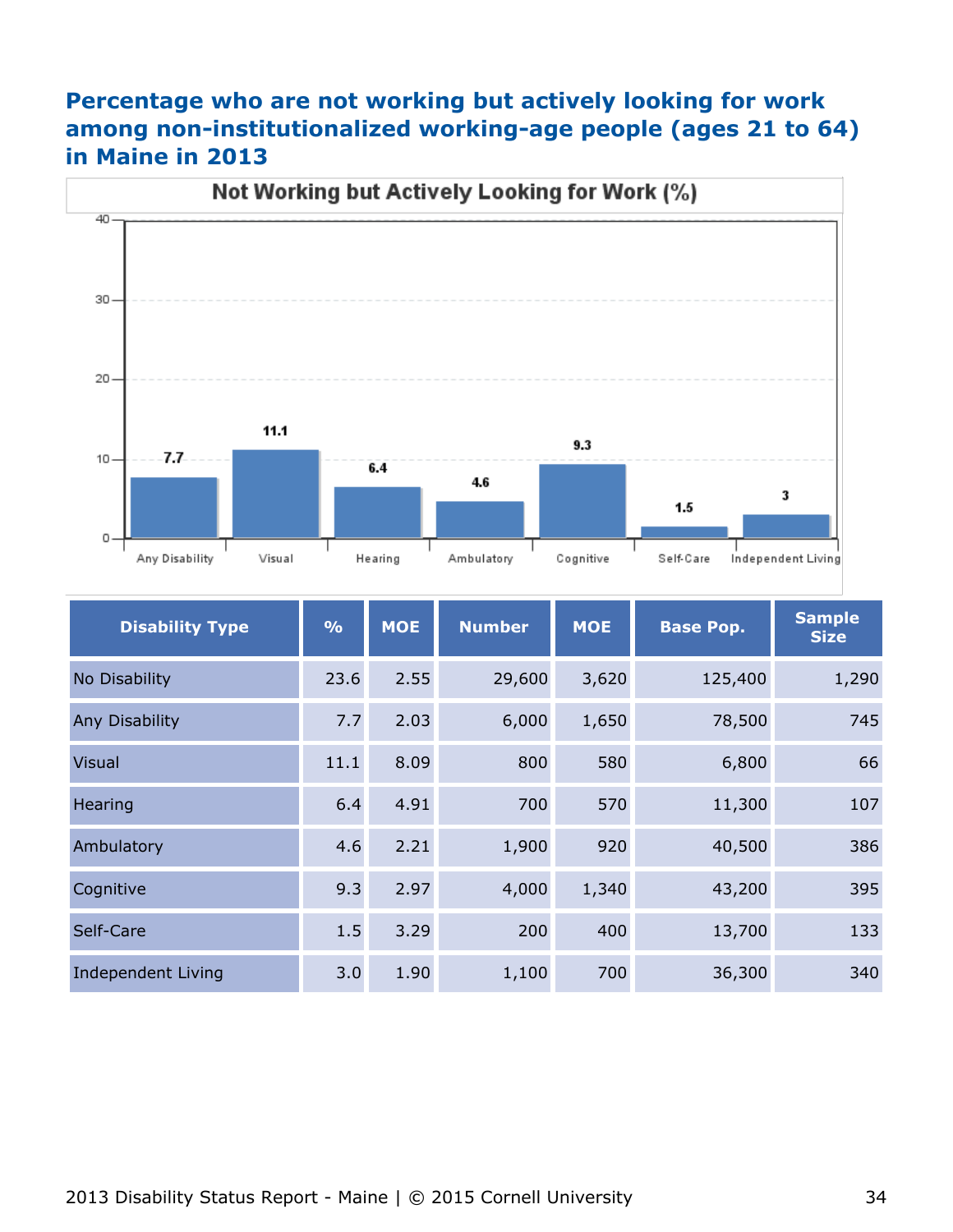## **Percentage who are not working but actively looking for work among non-institutionalized working-age people (ages 21 to 64) in Maine in 2013**



| <b>Disability Type</b> | $\frac{9}{6}$ | <b>MOE</b> | <b>Number</b> | <b>MOE</b> | <b>Base Pop.</b> | <b>Sample</b><br><b>Size</b> |
|------------------------|---------------|------------|---------------|------------|------------------|------------------------------|
| No Disability          | 23.6          | 2.55       | 29,600        | 3,620      | 125,400          | 1,290                        |
| <b>Any Disability</b>  | 7.7           | 2.03       | 6,000         | 1,650      | 78,500           | 745                          |
| <b>Visual</b>          | 11.1          | 8.09       | 800           | 580        | 6,800            | 66                           |
| Hearing                | 6.4           | 4.91       | 700           | 570        | 11,300           | 107                          |
| Ambulatory             | 4.6           | 2.21       | 1,900         | 920        | 40,500           | 386                          |
| Cognitive              | 9.3           | 2.97       | 4,000         | 1,340      | 43,200           | 395                          |
| Self-Care              | 1.5           | 3.29       | 200           | 400        | 13,700           | 133                          |
| Independent Living     | 3.0           | 1.90       | 1,100         | 700        | 36,300           | 340                          |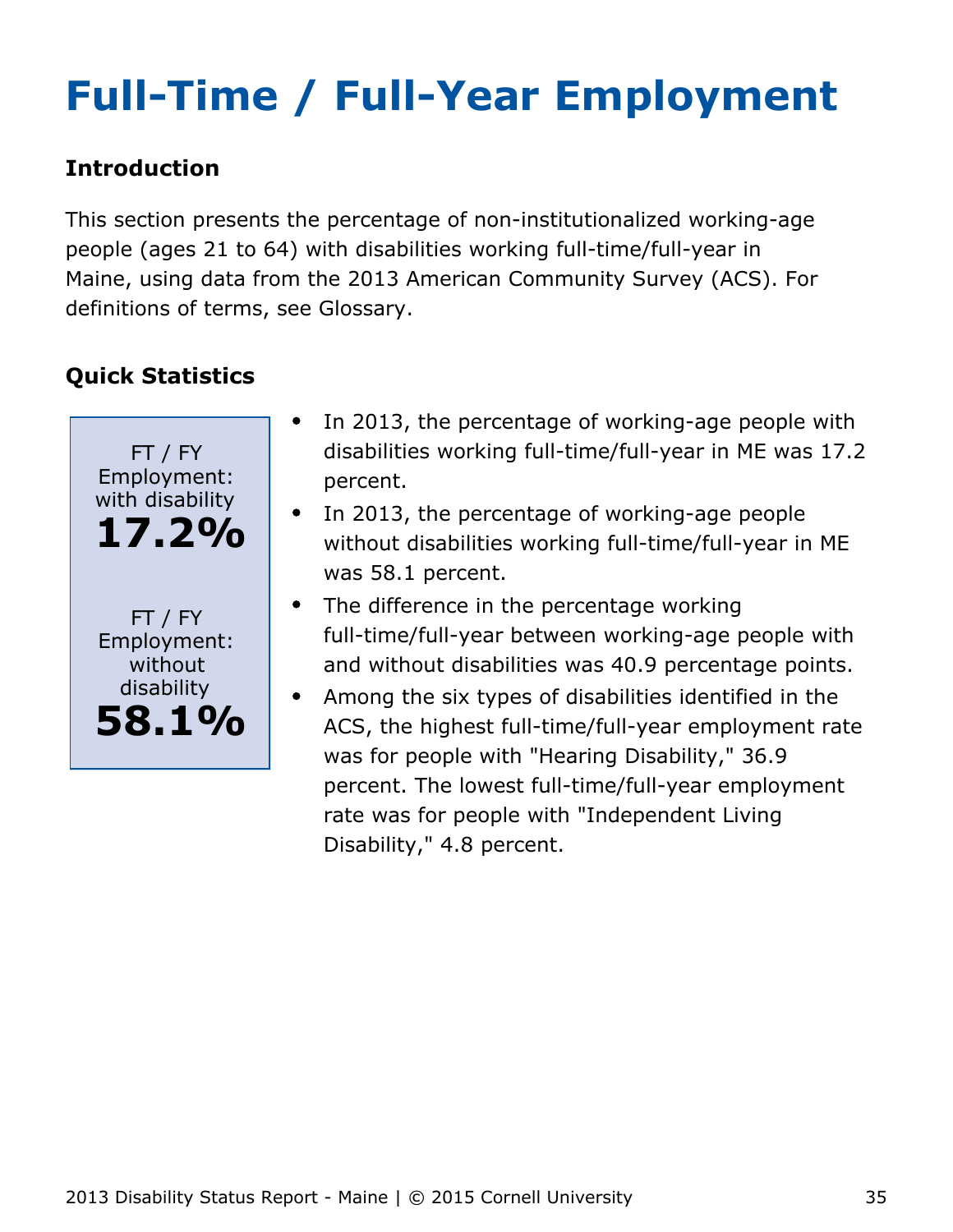# <span id="page-35-0"></span>**Full-Time / Full-Year Employment**

## **Introduction**

This section presents the percentage of non-institutionalized working-age people (ages 21 to 64) with disabilities working full-time/full-year in Maine, using data from the 2013 American Community Survey (ACS). For definitions of terms, see Glossary.



- In 2013, the percentage of working-age people with disabilities working full-time/full-year in ME was 17.2 percent.
- In 2013, the percentage of working-age people without disabilities working full-time/full-year in ME was 58.1 percent.
- The difference in the percentage working full-time/full-year between working-age people with and without disabilities was 40.9 percentage points.
- Among the six types of disabilities identified in the  $\bullet$ ACS, the highest full-time/full-year employment rate was for people with "Hearing Disability," 36.9 percent. The lowest full-time/full-year employment rate was for people with "Independent Living Disability," 4.8 percent.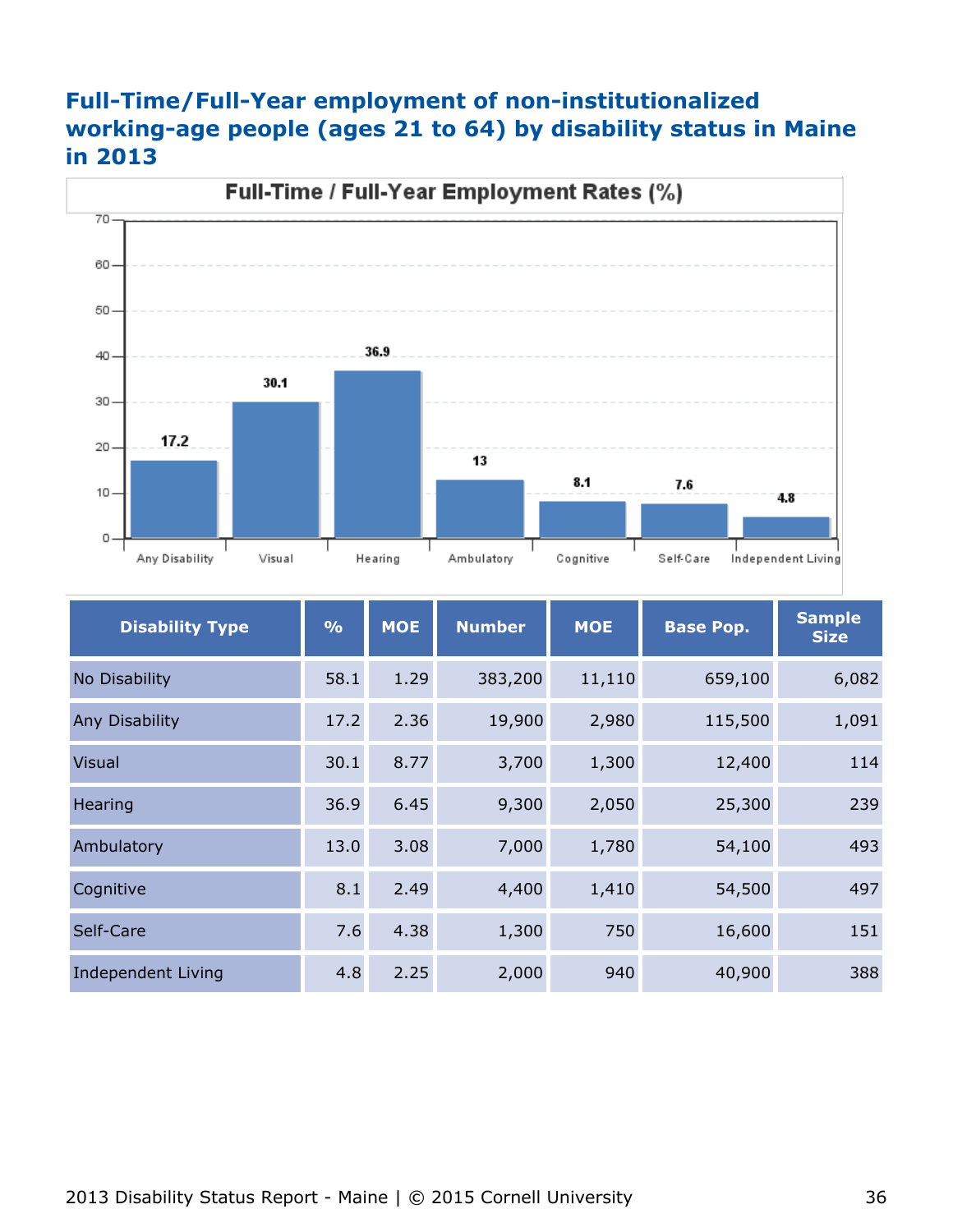## **Full-Time/Full-Year employment of non-institutionalized working-age people (ages 21 to 64) by disability status in Maine in 2013**



| <b>Disability Type</b> | $\frac{9}{6}$ | <b>MOE</b> | <b>Number</b> | <b>MOE</b> | <b>Base Pop.</b> | <b>Sample</b><br><b>Size</b> |
|------------------------|---------------|------------|---------------|------------|------------------|------------------------------|
| No Disability          | 58.1          | 1.29       | 383,200       | 11,110     | 659,100          | 6,082                        |
| Any Disability         | 17.2          | 2.36       | 19,900        | 2,980      | 115,500          | 1,091                        |
| <b>Visual</b>          | 30.1          | 8.77       | 3,700         | 1,300      | 12,400           | 114                          |
| Hearing                | 36.9          | 6.45       | 9,300         | 2,050      | 25,300           | 239                          |
| Ambulatory             | 13.0          | 3.08       | 7,000         | 1,780      | 54,100           | 493                          |
| Cognitive              | 8.1           | 2.49       | 4,400         | 1,410      | 54,500           | 497                          |
| Self-Care              | 7.6           | 4.38       | 1,300         | 750        | 16,600           | 151                          |
| Independent Living     | 4.8           | 2.25       | 2,000         | 940        | 40,900           | 388                          |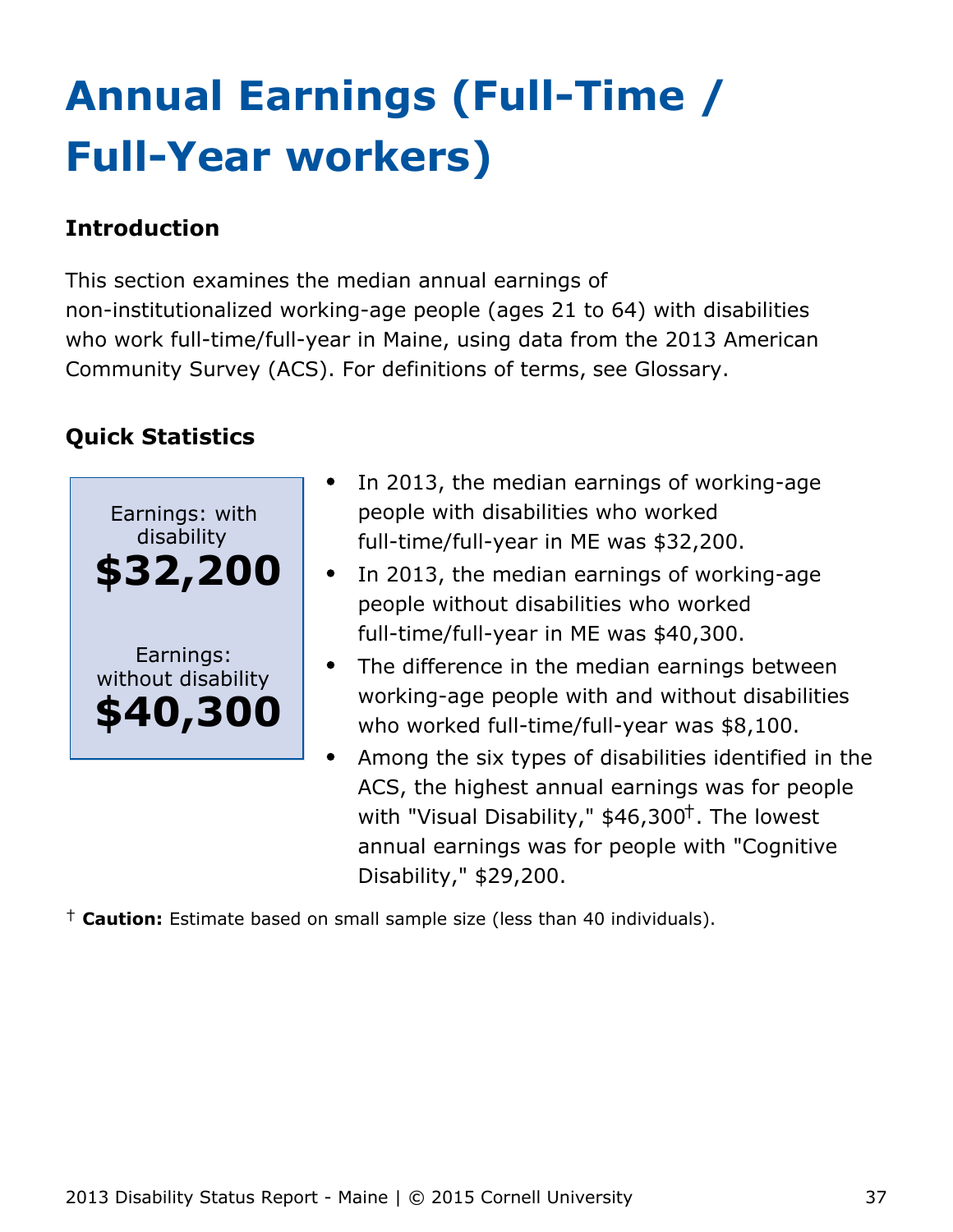# <span id="page-37-0"></span>**Annual Earnings (Full-Time / Full-Year workers)**

## **Introduction**

This section examines the median annual earnings of non-institutionalized working-age people (ages 21 to 64) with disabilities who work full-time/full-year in Maine, using data from the 2013 American Community Survey (ACS). For definitions of terms, see Glossary.

## **Quick Statistics**



- In 2013, the median earnings of working-age people with disabilities who worked full-time/full-year in ME was \$32,200.
- In 2013, the median earnings of working-age people without disabilities who worked full-time/full-year in ME was \$40,300.
- $\bullet$ The difference in the median earnings between working-age people with and without disabilities who worked full-time/full-year was \$8,100.
- Among the six types of disabilities identified in the ACS, the highest annual earnings was for people with "Visual Disability,"  $$46,300<sup>†</sup>$ . The lowest annual earnings was for people with "Cognitive Disability," \$29,200.

† **Caution:** Estimate based on small sample size (less than 40 individuals).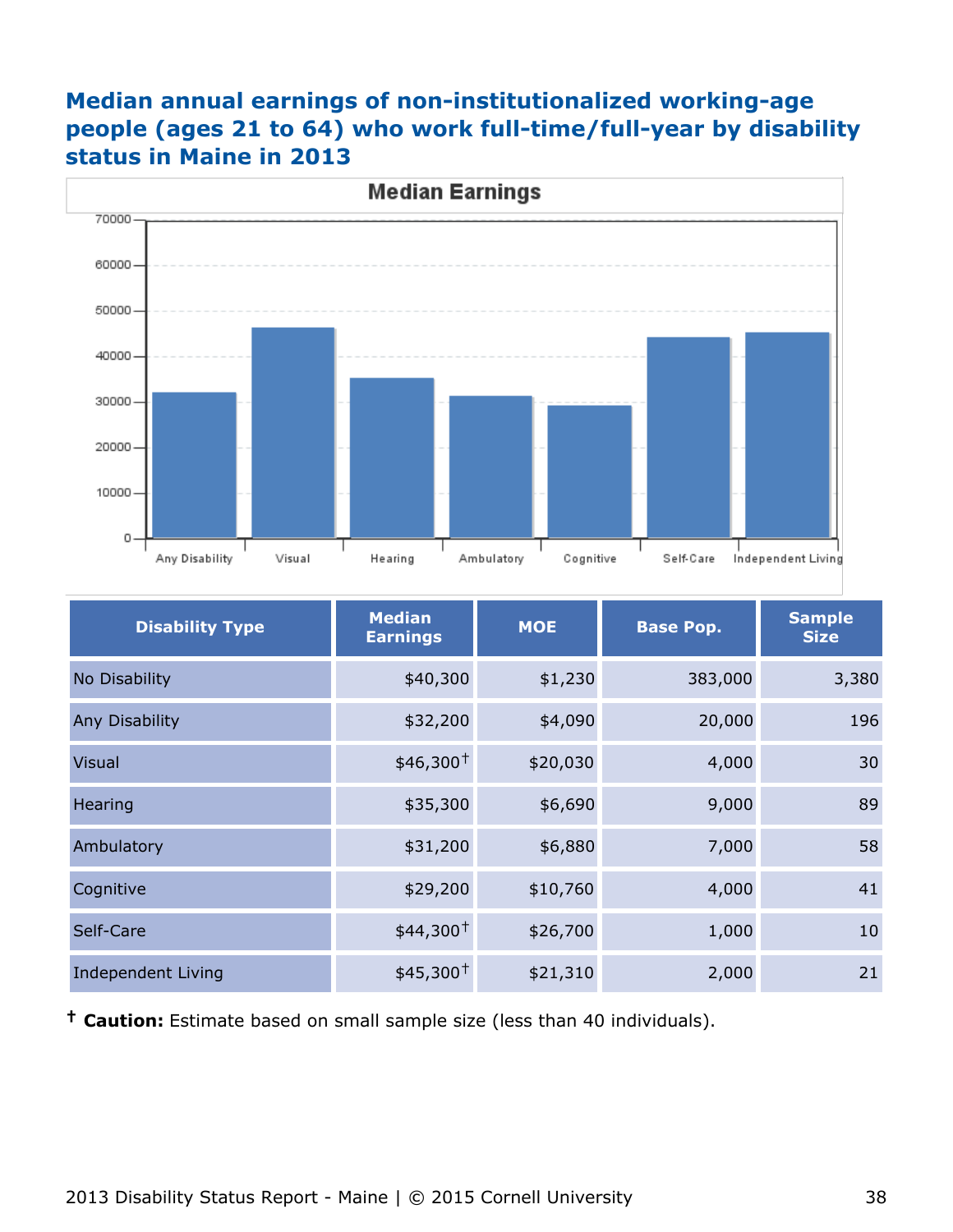## **Median annual earnings of non-institutionalized working-age people (ages 21 to 64) who work full-time/full-year by disability status in Maine in 2013**



| <b>Disability Type</b> | <b>Median</b><br><b>Earnings</b> | <b>MOE</b> | <b>Base Pop.</b> | <b>Sample</b><br><b>Size</b> |
|------------------------|----------------------------------|------------|------------------|------------------------------|
| No Disability          | \$40,300                         | \$1,230    | 383,000          | 3,380                        |
| Any Disability         | \$32,200                         | \$4,090    | 20,000           | 196                          |
| <b>Visual</b>          | $$46,300+$                       | \$20,030   | 4,000            | 30                           |
| Hearing                | \$35,300                         | \$6,690    | 9,000            | 89                           |
| Ambulatory             | \$31,200                         | \$6,880    | 7,000            | 58                           |
| Cognitive              | \$29,200                         | \$10,760   | 4,000            | 41                           |
| Self-Care              | $$44,300^+$                      | \$26,700   | 1,000            | 10                           |
| Independent Living     | $$45,300^+$                      | \$21,310   | 2,000            | 21                           |

**† Caution:** Estimate based on small sample size (less than 40 individuals).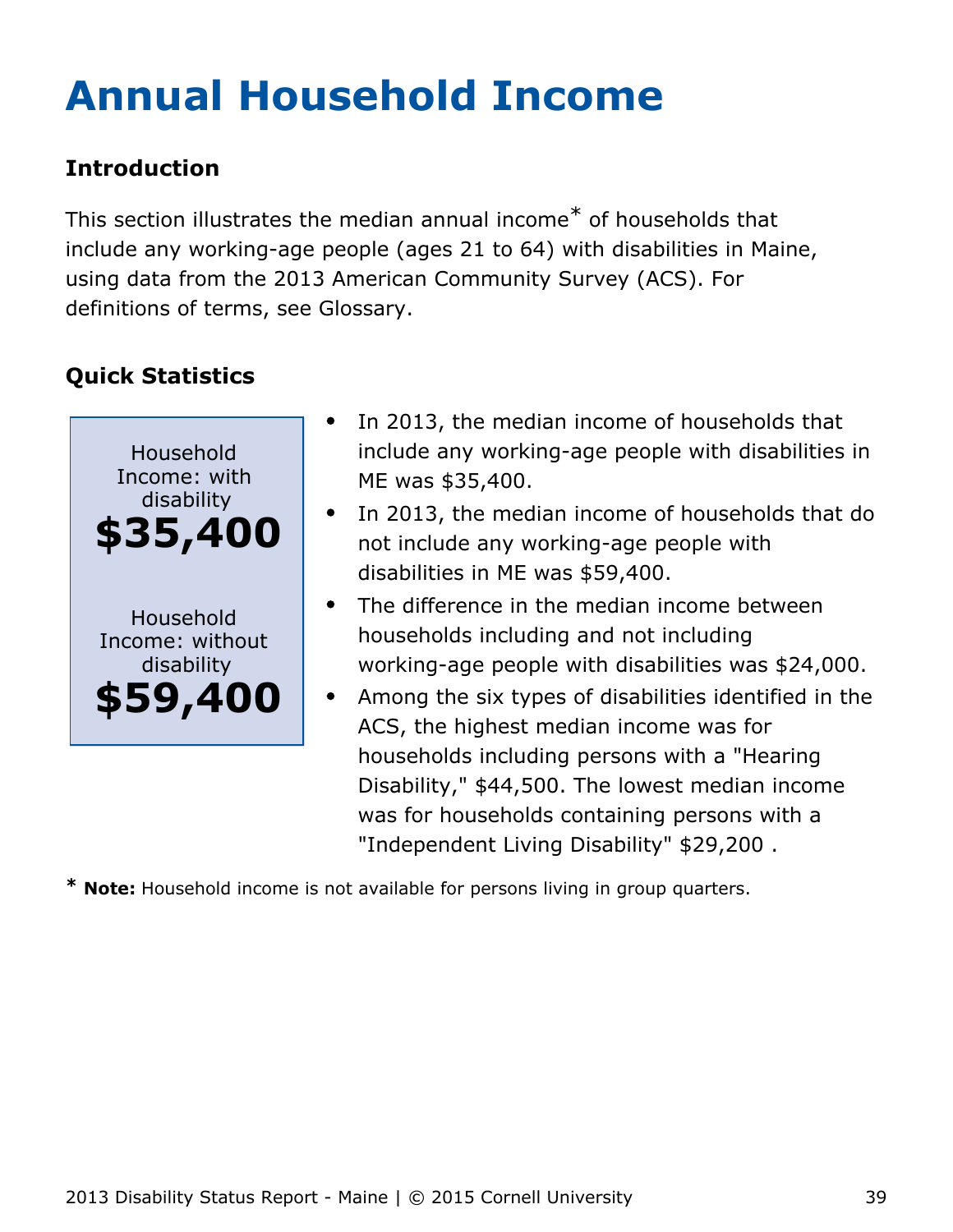# <span id="page-39-0"></span>**Annual Household Income**

## **Introduction**

This section illustrates the median annual income\* of households that include any working-age people (ages 21 to 64) with disabilities in Maine, using data from the 2013 American Community Survey (ACS). For definitions of terms, see Glossary.

## **Quick Statistics**



- In 2013, the median income of households that include any working-age people with disabilities in ME was \$35,400.
- In 2013, the median income of households that do not include any working-age people with disabilities in ME was \$59,400.
- The difference in the median income between households including and not including working-age people with disabilities was \$24,000.
- Among the six types of disabilities identified in the ACS, the highest median income was for households including persons with a "Hearing Disability," \$44,500. The lowest median income was for households containing persons with a "Independent Living Disability" \$29,200 .

**\* Note:** Household income is not available for persons living in group quarters.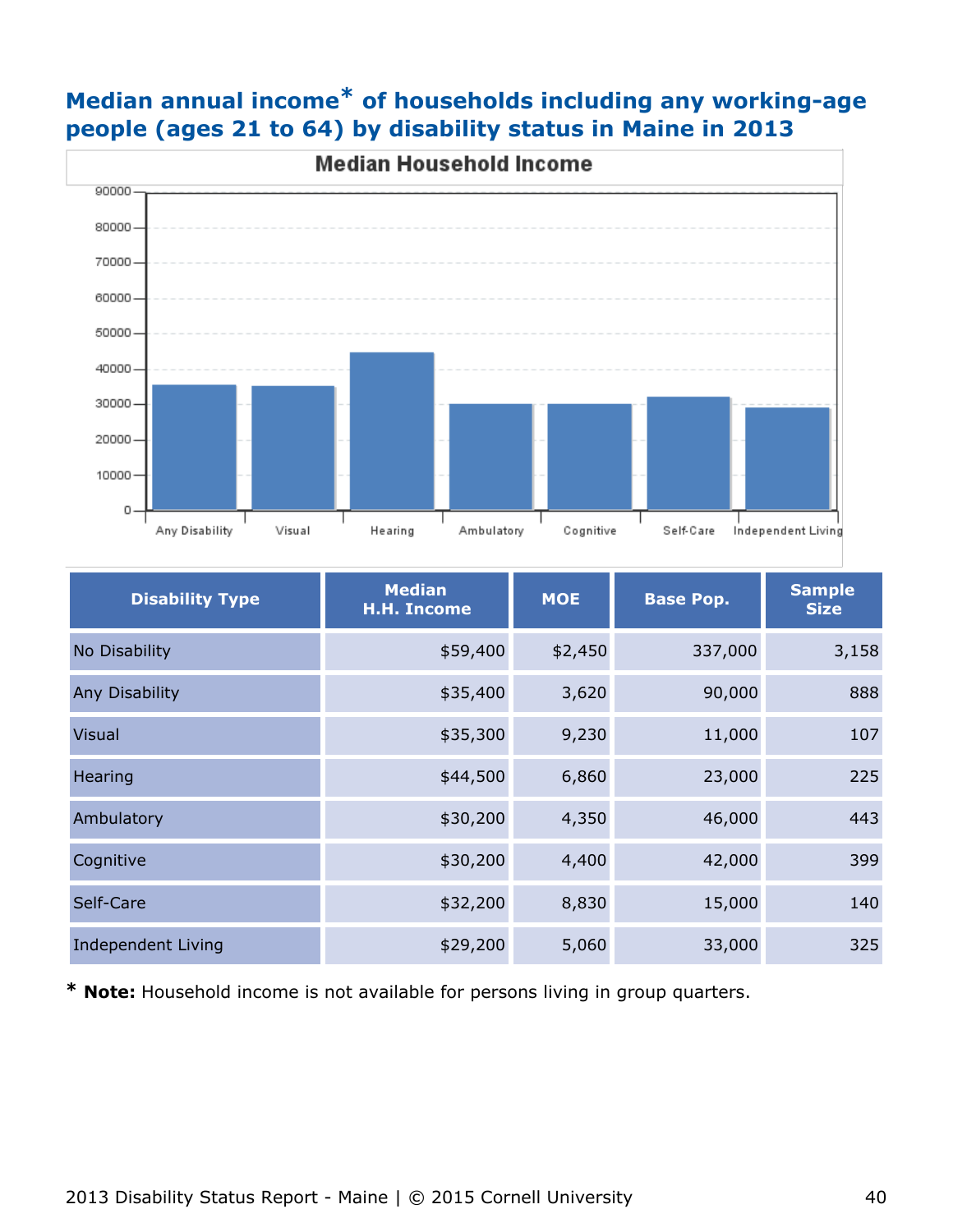

## **Median annual income\* of households including any working-age people (ages 21 to 64) by disability status in Maine in 2013**

| <b>Disability Type</b> | <b>Median</b><br><b>H.H. Income</b> | <b>MOE</b> | <b>Base Pop.</b> | <b>Sample</b><br><b>Size</b> |
|------------------------|-------------------------------------|------------|------------------|------------------------------|
| No Disability          | \$59,400                            | \$2,450    | 337,000          | 3,158                        |
| Any Disability         | \$35,400                            | 3,620      | 90,000           | 888                          |
| <b>Visual</b>          | \$35,300                            | 9,230      | 11,000           | 107                          |
| Hearing                | \$44,500                            | 6,860      | 23,000           | 225                          |
| Ambulatory             | \$30,200                            | 4,350      | 46,000           | 443                          |
| Cognitive              | \$30,200                            | 4,400      | 42,000           | 399                          |
| Self-Care              | \$32,200                            | 8,830      | 15,000           | 140                          |
| Independent Living     | \$29,200                            | 5,060      | 33,000           | 325                          |

**\* Note:** Household income is not available for persons living in group quarters.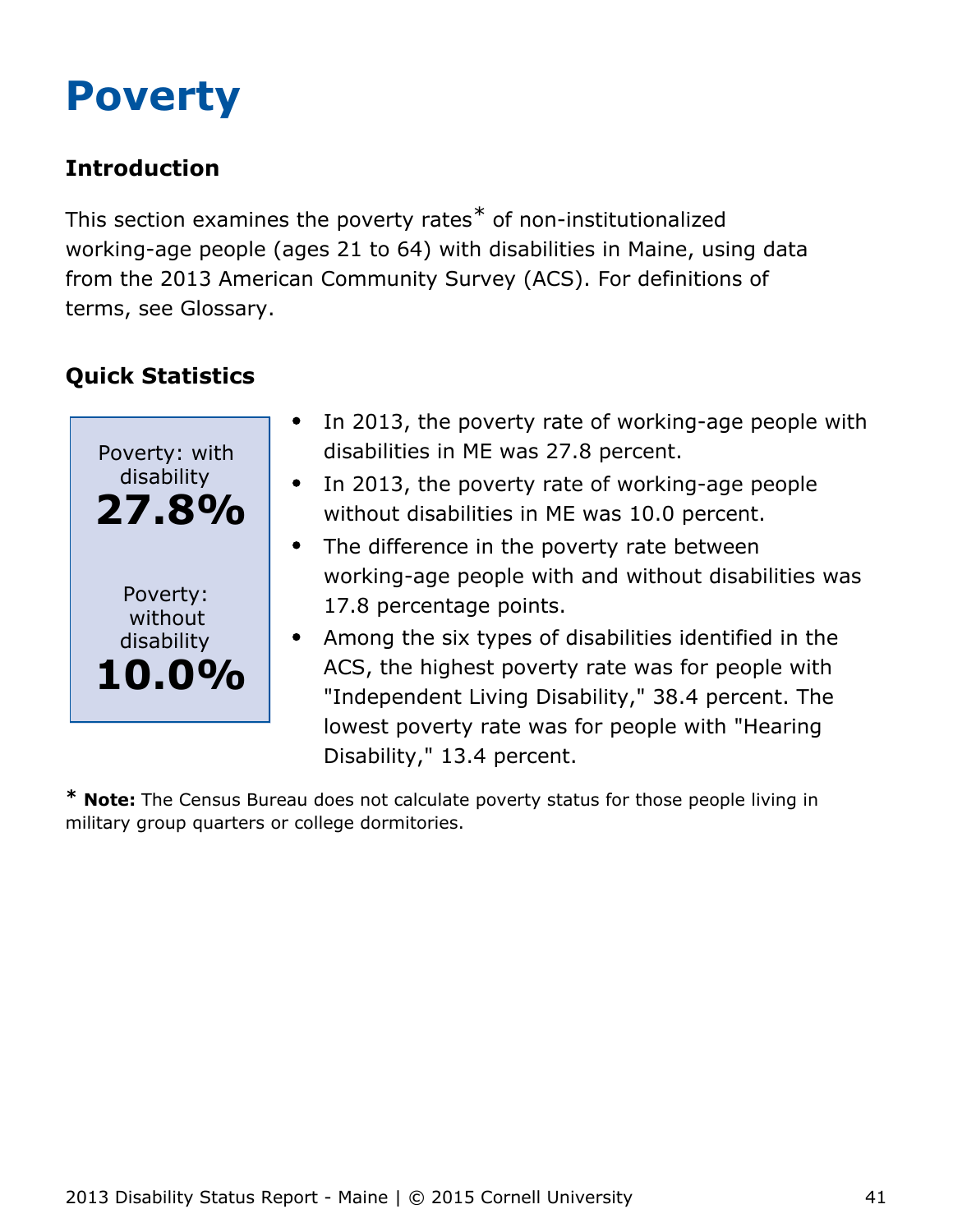# <span id="page-41-0"></span>**Poverty**

## **Introduction**

This section examines the poverty rates\* of non-institutionalized working-age people (ages 21 to 64) with disabilities in Maine, using data from the 2013 American Community Survey (ACS). For definitions of terms, see Glossary.

## **Quick Statistics**



- In 2013, the poverty rate of working-age people with disabilities in ME was 27.8 percent.
- In 2013, the poverty rate of working-age people  $\bullet$ without disabilities in ME was 10.0 percent.
- The difference in the poverty rate between working-age people with and without disabilities was 17.8 percentage points.
- Among the six types of disabilities identified in the ACS, the highest poverty rate was for people with "Independent Living Disability," 38.4 percent. The lowest poverty rate was for people with "Hearing Disability," 13.4 percent.

**\* Note:** The Census Bureau does not calculate poverty status for those people living in military group quarters or college dormitories.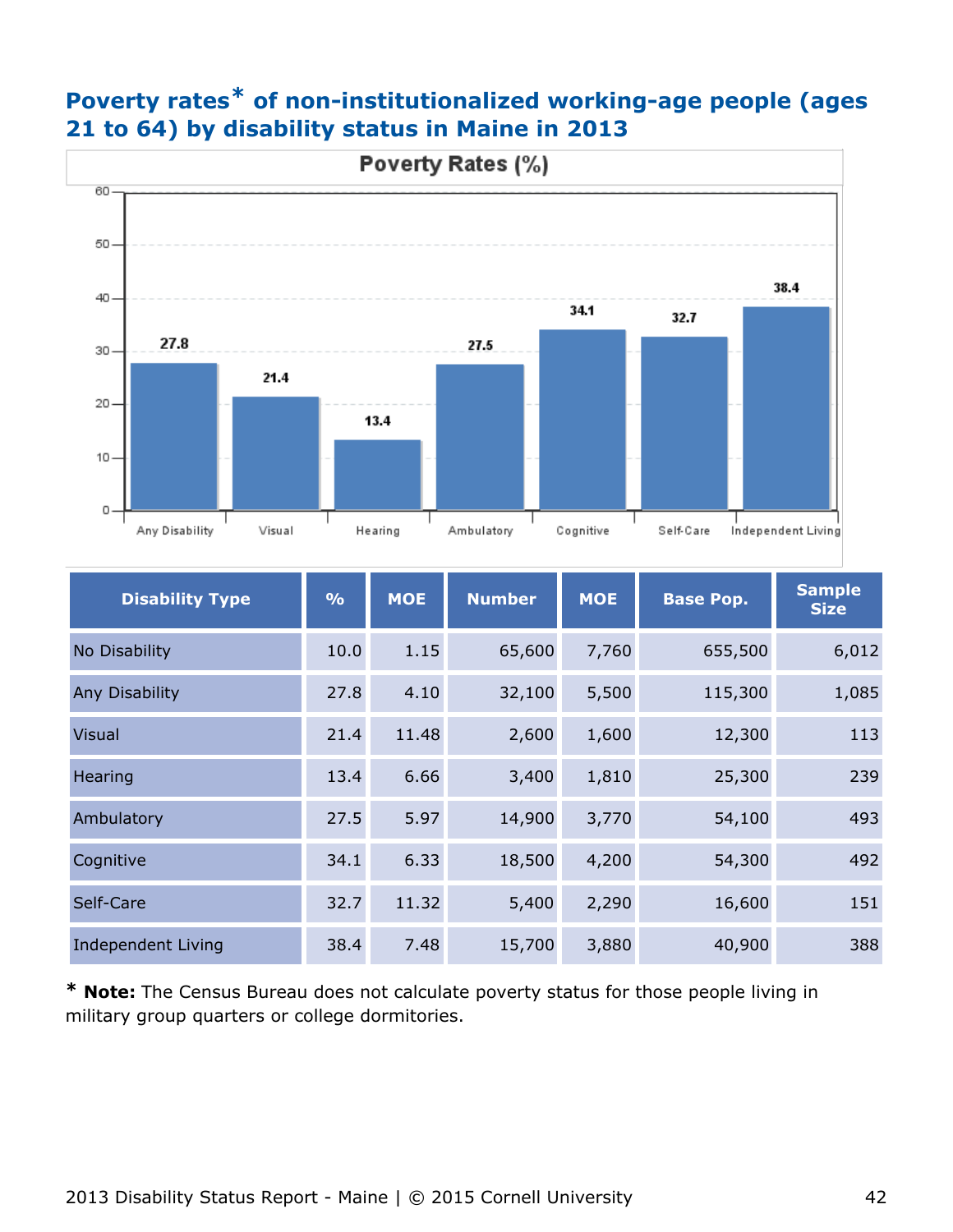## **Poverty rates\* of non-institutionalized working-age people (ages 21 to 64) by disability status in Maine in 2013**



| <b>Disability Type</b> | $\frac{9}{6}$ | <b>MOE</b> | <b>Number</b> | <b>MOE</b> | <b>Base Pop.</b> | <b>Sample</b><br><b>Size</b> |
|------------------------|---------------|------------|---------------|------------|------------------|------------------------------|
| No Disability          | 10.0          | 1.15       | 65,600        | 7,760      | 655,500          | 6,012                        |
| <b>Any Disability</b>  | 27.8          | 4.10       | 32,100        | 5,500      | 115,300          | 1,085                        |
| <b>Visual</b>          | 21.4          | 11.48      | 2,600         | 1,600      | 12,300           | 113                          |
| Hearing                | 13.4          | 6.66       | 3,400         | 1,810      | 25,300           | 239                          |
| Ambulatory             | 27.5          | 5.97       | 14,900        | 3,770      | 54,100           | 493                          |
| Cognitive              | 34.1          | 6.33       | 18,500        | 4,200      | 54,300           | 492                          |
| Self-Care              | 32.7          | 11.32      | 5,400         | 2,290      | 16,600           | 151                          |
| Independent Living     | 38.4          | 7.48       | 15,700        | 3,880      | 40,900           | 388                          |

**\* Note:** The Census Bureau does not calculate poverty status for those people living in military group quarters or college dormitories.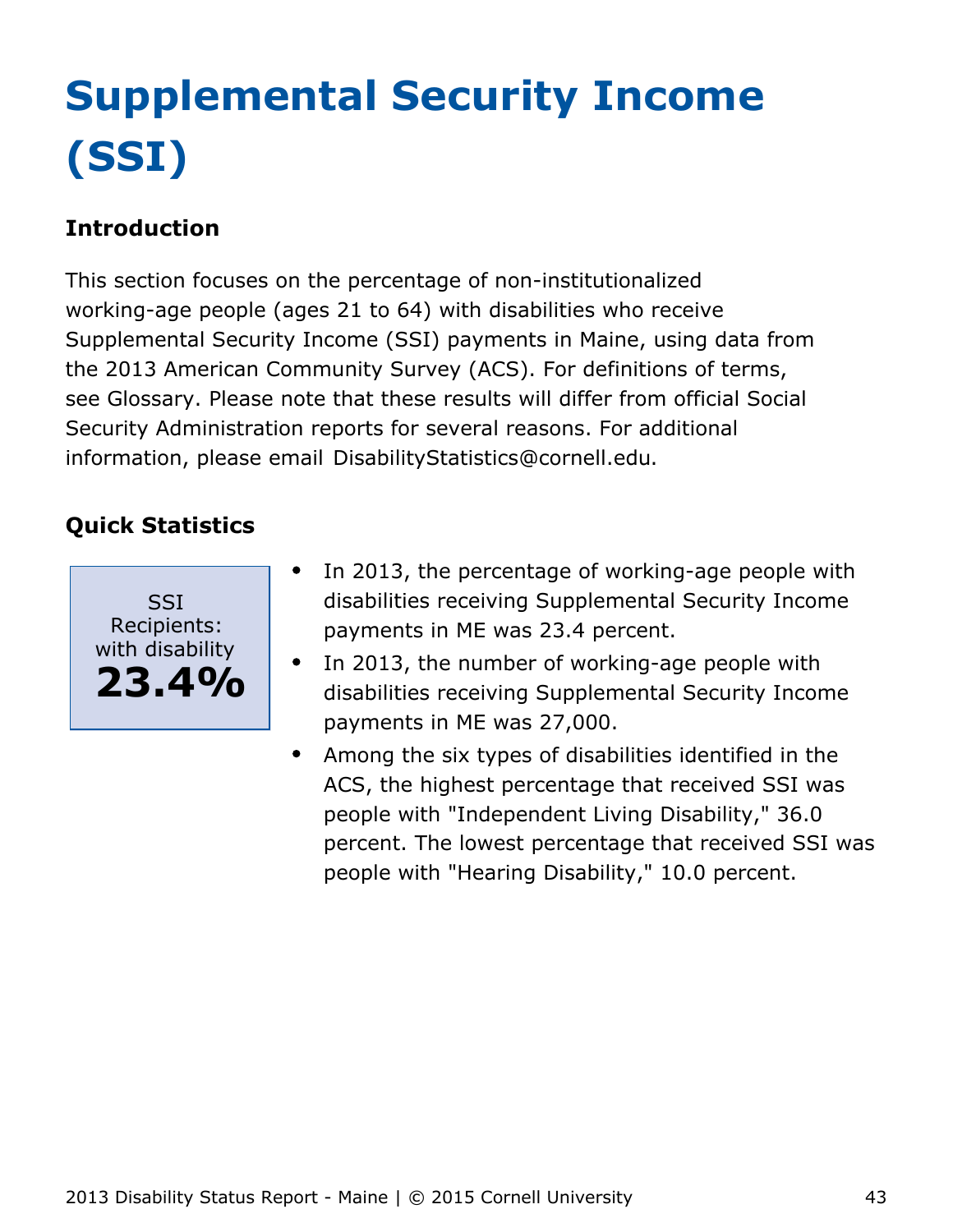# <span id="page-43-0"></span>**Supplemental Security Income (SSI)**

## **Introduction**

This section focuses on the percentage of non-institutionalized working-age people (ages 21 to 64) with disabilities who receive Supplemental Security Income (SSI) payments in Maine, using data from the 2013 American Community Survey (ACS). For definitions of terms, see Glossary. Please note that these results will differ from official Social Security Administration reports for several reasons. For additional information, please email [DisabilityStatistics@cornell.edu](mailto:DisabilityStatistics@cornell.edu).



- In 2013, the percentage of working-age people with disabilities receiving Supplemental Security Income payments in ME was 23.4 percent.
- In 2013, the number of working-age people with  $\bullet$ disabilities receiving Supplemental Security Income payments in ME was 27,000.
- Among the six types of disabilities identified in the  $\bullet$ ACS, the highest percentage that received SSI was people with "Independent Living Disability," 36.0 percent. The lowest percentage that received SSI was people with "Hearing Disability," 10.0 percent.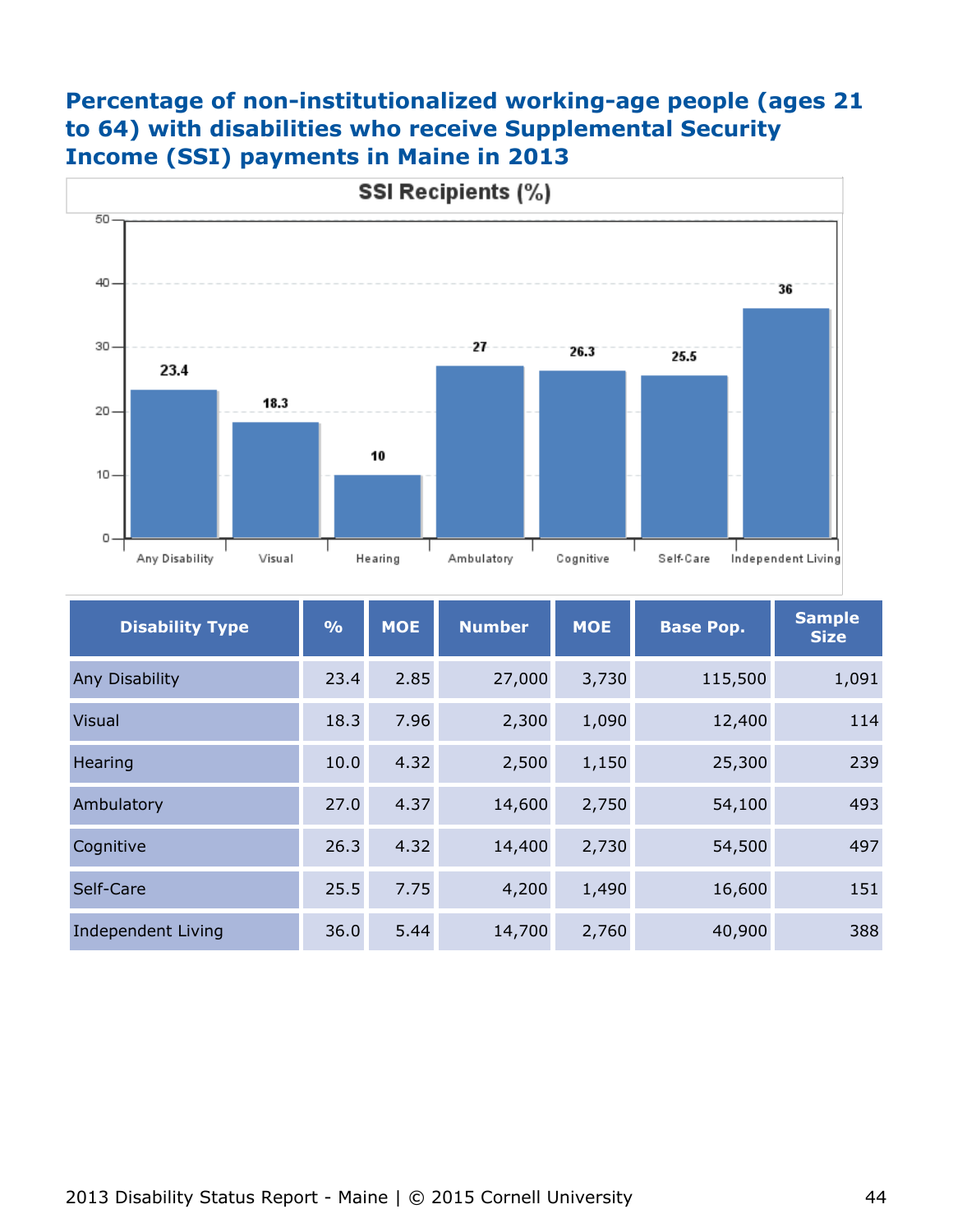## **Percentage of non-institutionalized working-age people (ages 21 to 64) with disabilities who receive Supplemental Security Income (SSI) payments in Maine in 2013**



| <b>Disability Type</b>    | $\frac{0}{0}$ | <b>MOE</b> | <b>Number</b> | <b>MOE</b> | <b>Base Pop.</b> | <b>Sample</b><br><b>Size</b> |
|---------------------------|---------------|------------|---------------|------------|------------------|------------------------------|
| Any Disability            | 23.4          | 2.85       | 27,000        | 3,730      | 115,500          | 1,091                        |
| <b>Visual</b>             | 18.3          | 7.96       | 2,300         | 1,090      | 12,400           | 114                          |
| Hearing                   | 10.0          | 4.32       | 2,500         | 1,150      | 25,300           | 239                          |
| Ambulatory                | 27.0          | 4.37       | 14,600        | 2,750      | 54,100           | 493                          |
| Cognitive                 | 26.3          | 4.32       | 14,400        | 2,730      | 54,500           | 497                          |
| Self-Care                 | 25.5          | 7.75       | 4,200         | 1,490      | 16,600           | 151                          |
| <b>Independent Living</b> | 36.0          | 5.44       | 14,700        | 2,760      | 40,900           | 388                          |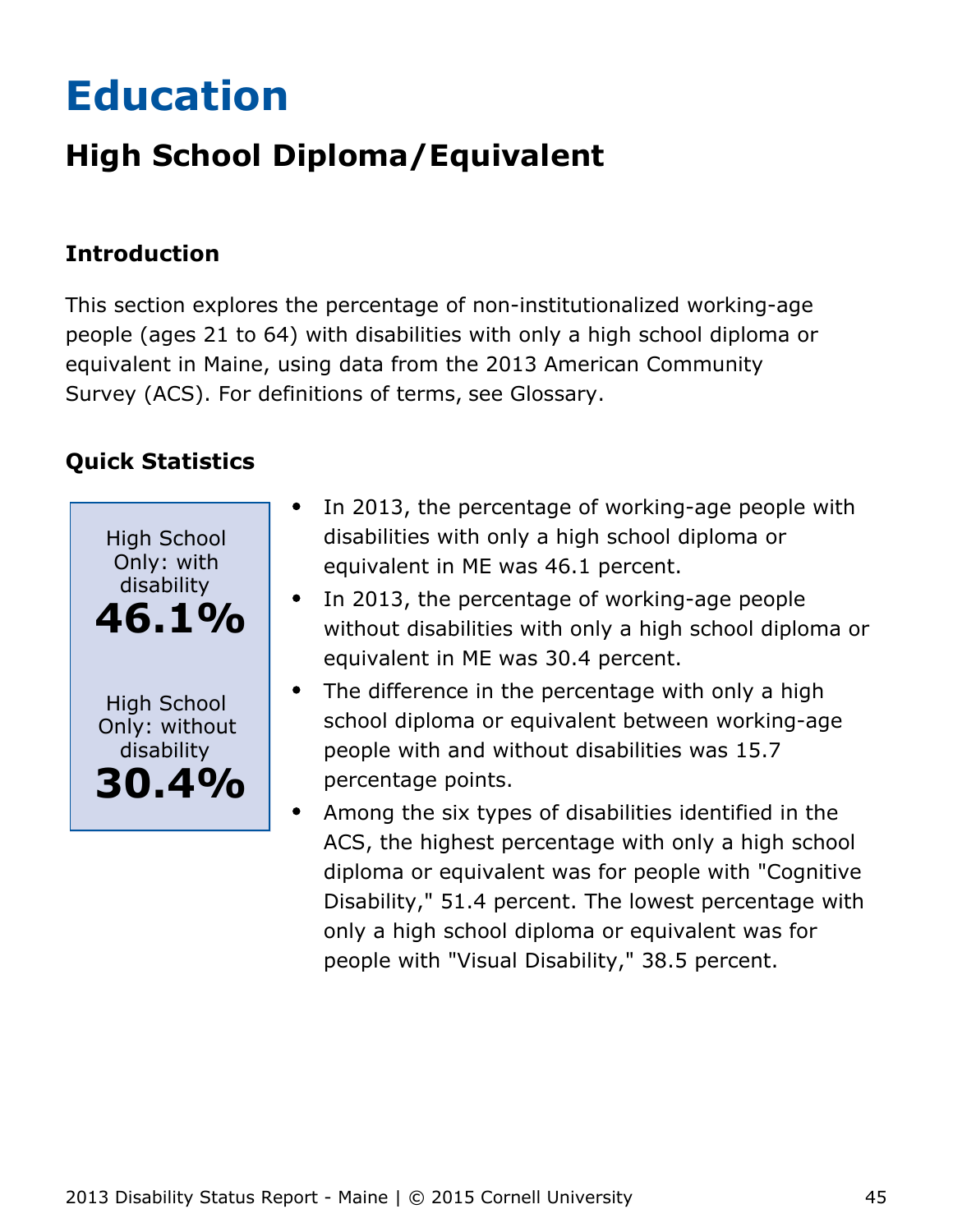# <span id="page-45-0"></span>**Education**

## **High School Diploma/Equivalent**

## **Introduction**

This section explores the percentage of non-institutionalized working-age people (ages 21 to 64) with disabilities with only a high school diploma or equivalent in Maine, using data from the 2013 American Community Survey (ACS). For definitions of terms, see Glossary.



- In 2013, the percentage of working-age people with  $\bullet$ disabilities with only a high school diploma or equivalent in ME was 46.1 percent.
- In 2013, the percentage of working-age people without disabilities with only a high school diploma or equivalent in ME was 30.4 percent.
- The difference in the percentage with only a high school diploma or equivalent between working-age people with and without disabilities was 15.7 percentage points.
- Among the six types of disabilities identified in the ACS, the highest percentage with only a high school diploma or equivalent was for people with "Cognitive Disability," 51.4 percent. The lowest percentage with only a high school diploma or equivalent was for people with "Visual Disability," 38.5 percent.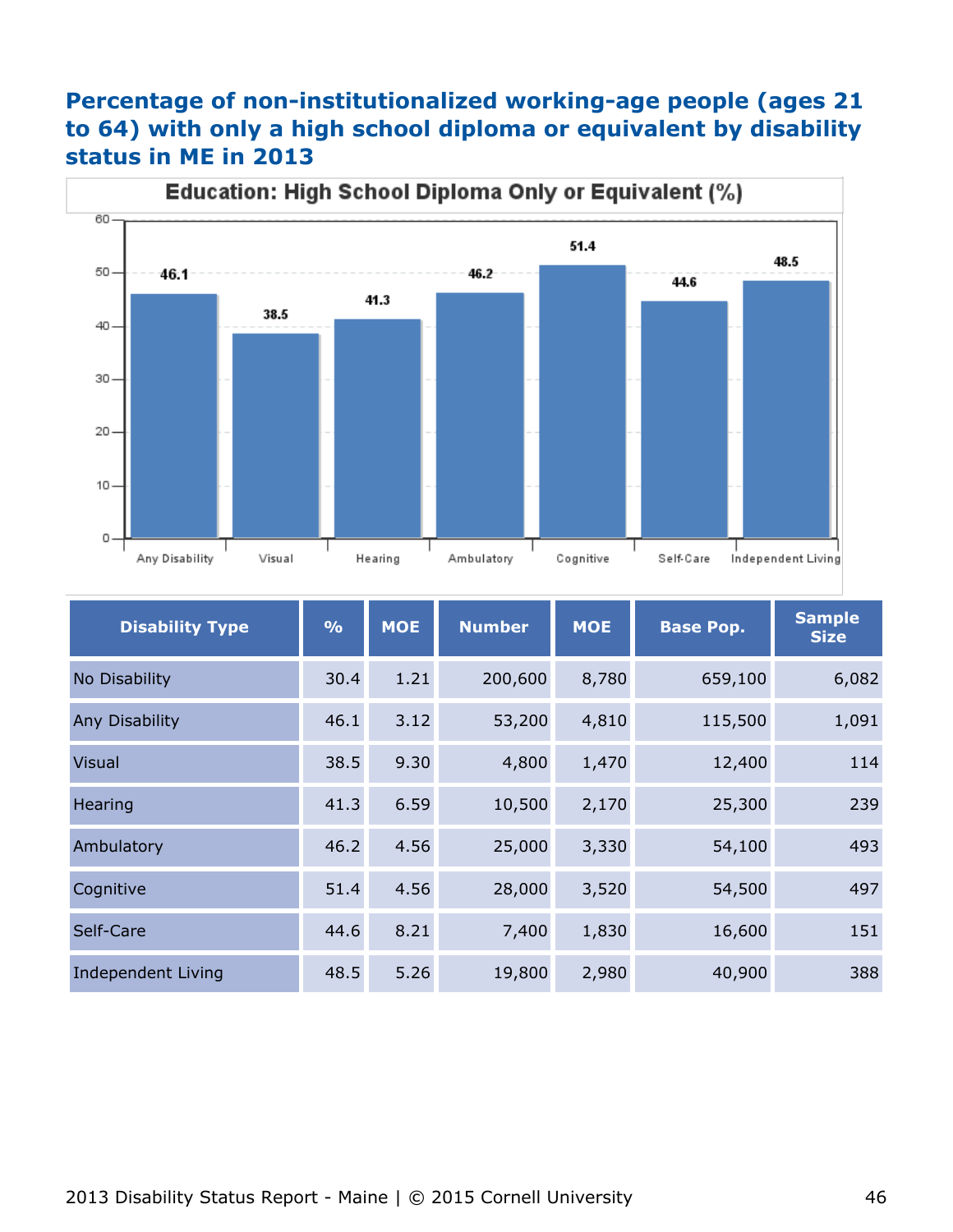## **Percentage of non-institutionalized working-age people (ages 21 to 64) with only a high school diploma or equivalent by disability status in ME in 2013**



| <b>Disability Type</b>    | $\frac{9}{6}$ | <b>MOE</b> | <b>Number</b> | <b>MOE</b> | <b>Base Pop.</b> | <b>Sample</b><br><b>Size</b> |
|---------------------------|---------------|------------|---------------|------------|------------------|------------------------------|
| No Disability             | 30.4          | 1.21       | 200,600       | 8,780      | 659,100          | 6,082                        |
| Any Disability            | 46.1          | 3.12       | 53,200        | 4,810      | 115,500          | 1,091                        |
| <b>Visual</b>             | 38.5          | 9.30       | 4,800         | 1,470      | 12,400           | 114                          |
| Hearing                   | 41.3          | 6.59       | 10,500        | 2,170      | 25,300           | 239                          |
| Ambulatory                | 46.2          | 4.56       | 25,000        | 3,330      | 54,100           | 493                          |
| Cognitive                 | 51.4          | 4.56       | 28,000        | 3,520      | 54,500           | 497                          |
| Self-Care                 | 44.6          | 8.21       | 7,400         | 1,830      | 16,600           | 151                          |
| <b>Independent Living</b> | 48.5          | 5.26       | 19,800        | 2,980      | 40,900           | 388                          |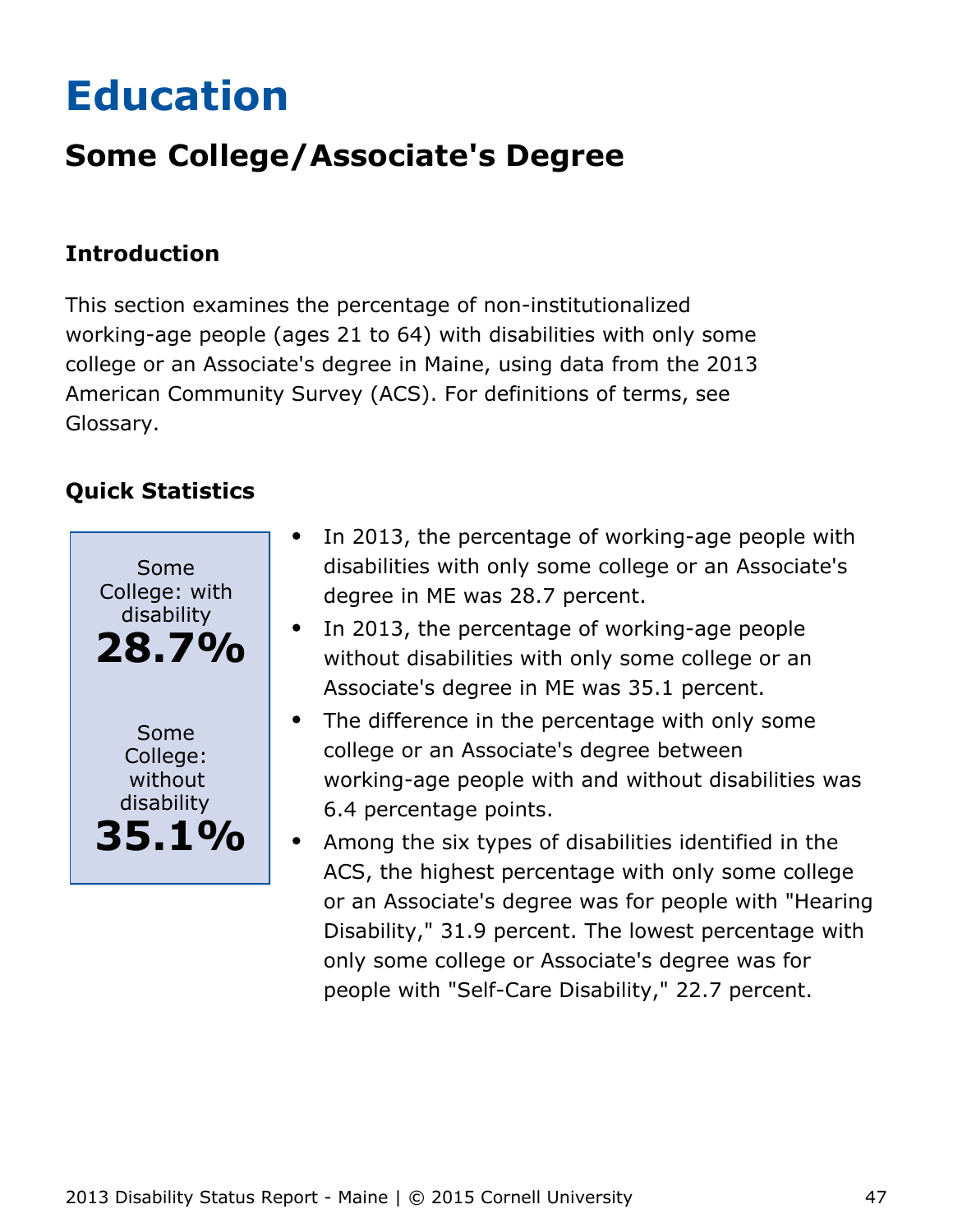# <span id="page-47-0"></span>**Education**

## **Some College/Associate's Degree**

## **Introduction**

This section examines the percentage of non-institutionalized working-age people (ages 21 to 64) with disabilities with only some college or an Associate's degree in Maine, using data from the 2013 American Community Survey (ACS). For definitions of terms, see Glossary.



- In 2013, the percentage of working-age people with  $\bullet$ disabilities with only some college or an Associate's degree in ME was 28.7 percent.
- In 2013, the percentage of working-age people without disabilities with only some college or an Associate's degree in ME was 35.1 percent.
- The difference in the percentage with only some  $\bullet$ college or an Associate's degree between working-age people with and without disabilities was 6.4 percentage points.
- Among the six types of disabilities identified in the ACS, the highest percentage with only some college or an Associate's degree was for people with "Hearing Disability," 31.9 percent. The lowest percentage with only some college or Associate's degree was for people with "Self-Care Disability," 22.7 percent.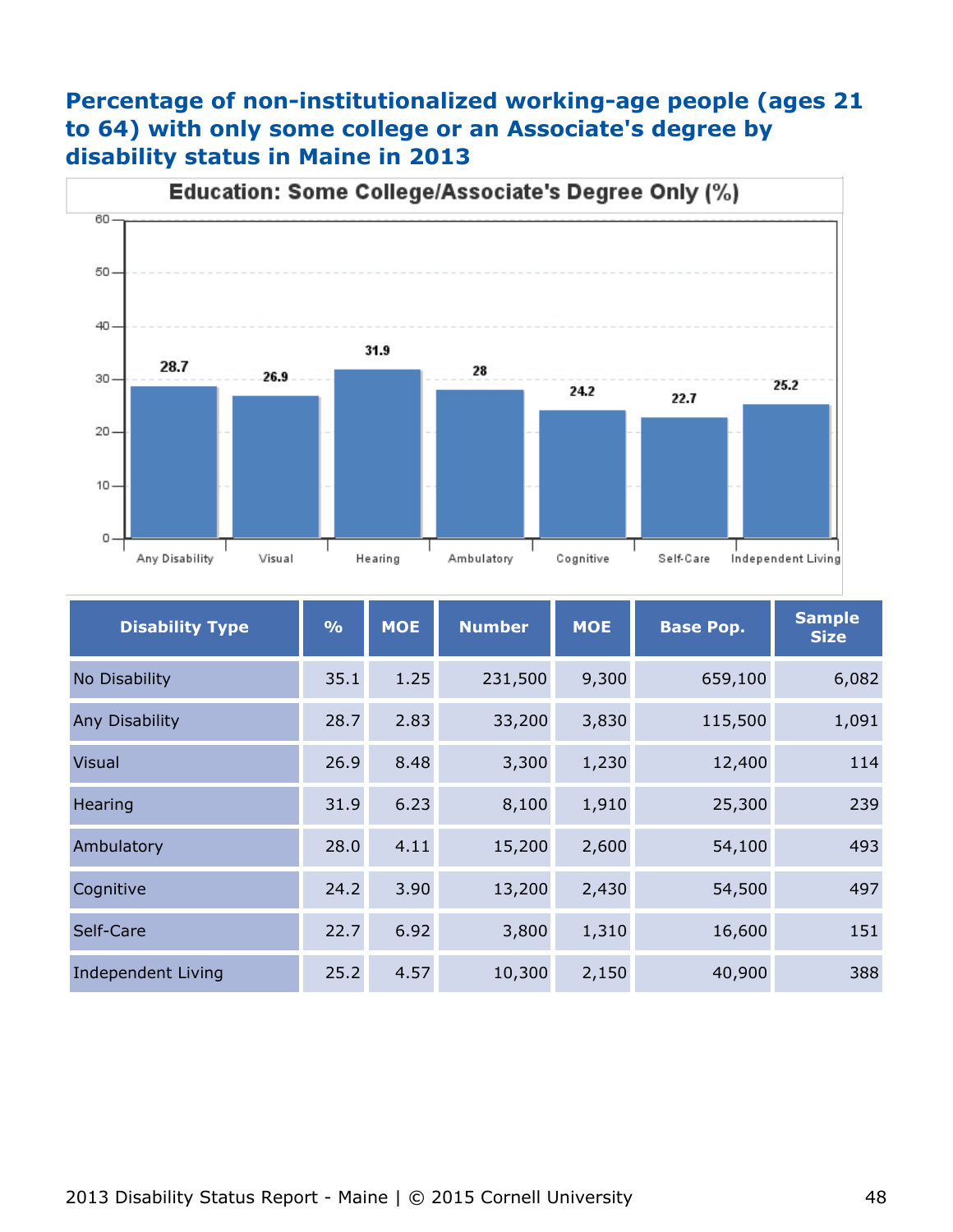## **Percentage of non-institutionalized working-age people (ages 21 to 64) with only some college or an Associate's degree by disability status in Maine in 2013**



| <b>Disability Type</b>    | $\frac{0}{0}$ | <b>MOE</b> | <b>Number</b> | <b>MOE</b> | <b>Base Pop.</b> | <b>Sample</b><br><b>Size</b> |
|---------------------------|---------------|------------|---------------|------------|------------------|------------------------------|
| No Disability             | 35.1          | 1.25       | 231,500       | 9,300      | 659,100          | 6,082                        |
| Any Disability            | 28.7          | 2.83       | 33,200        | 3,830      | 115,500          | 1,091                        |
| <b>Visual</b>             | 26.9          | 8.48       | 3,300         | 1,230      | 12,400           | 114                          |
| Hearing                   | 31.9          | 6.23       | 8,100         | 1,910      | 25,300           | 239                          |
| Ambulatory                | 28.0          | 4.11       | 15,200        | 2,600      | 54,100           | 493                          |
| Cognitive                 | 24.2          | 3.90       | 13,200        | 2,430      | 54,500           | 497                          |
| Self-Care                 | 22.7          | 6.92       | 3,800         | 1,310      | 16,600           | 151                          |
| <b>Independent Living</b> | 25.2          | 4.57       | 10,300        | 2,150      | 40,900           | 388                          |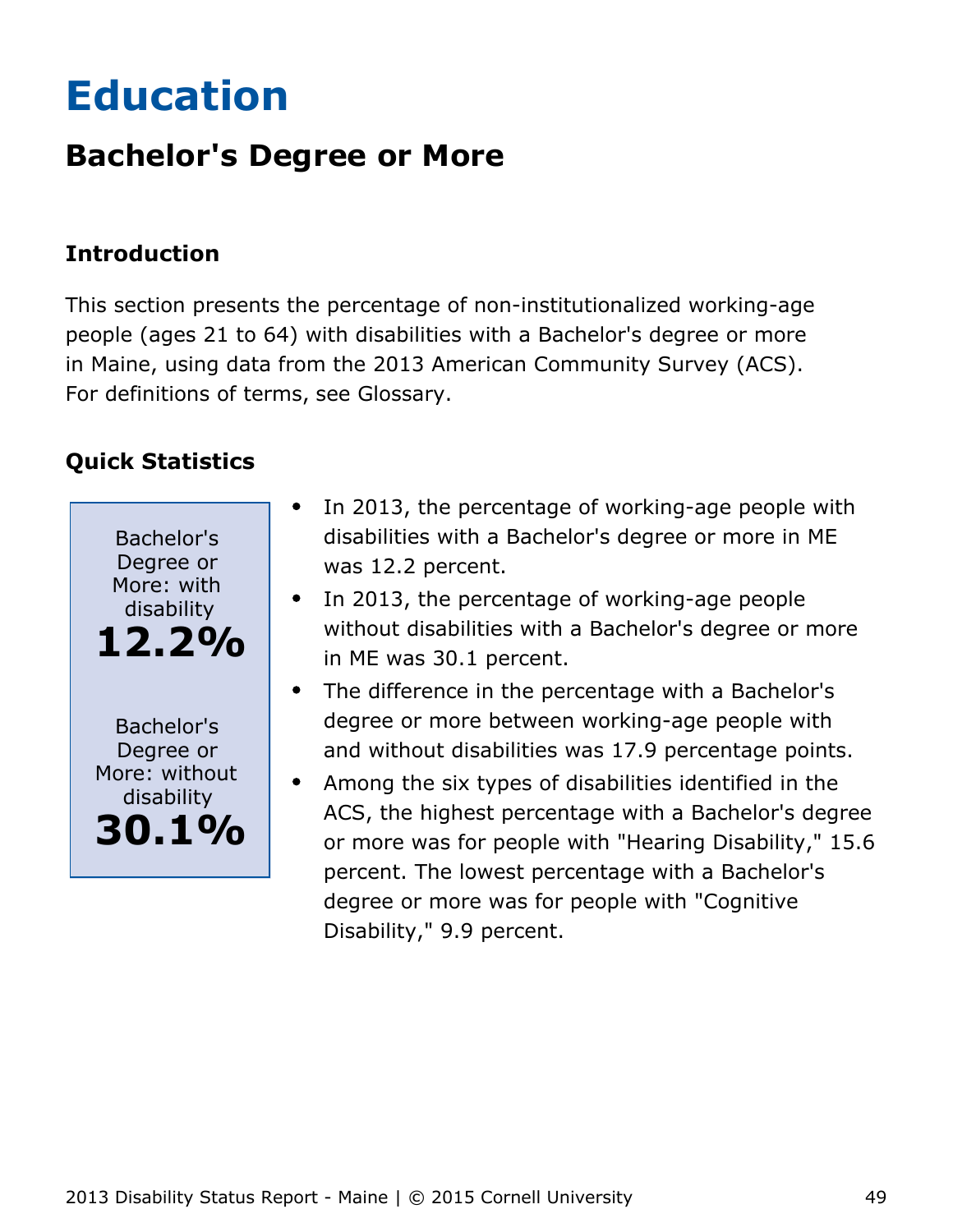# <span id="page-49-0"></span>**Education**

## **Bachelor's Degree or More**

## **Introduction**

This section presents the percentage of non-institutionalized working-age people (ages 21 to 64) with disabilities with a Bachelor's degree or more in Maine, using data from the 2013 American Community Survey (ACS). For definitions of terms, see Glossary.



- In 2013, the percentage of working-age people with disabilities with a Bachelor's degree or more in ME was 12.2 percent.
- In 2013, the percentage of working-age people without disabilities with a Bachelor's degree or more in ME was 30.1 percent.
- The difference in the percentage with a Bachelor's degree or more between working-age people with and without disabilities was 17.9 percentage points.
- Among the six types of disabilities identified in the ACS, the highest percentage with a Bachelor's degree or more was for people with "Hearing Disability," 15.6 percent. The lowest percentage with a Bachelor's degree or more was for people with "Cognitive Disability," 9.9 percent.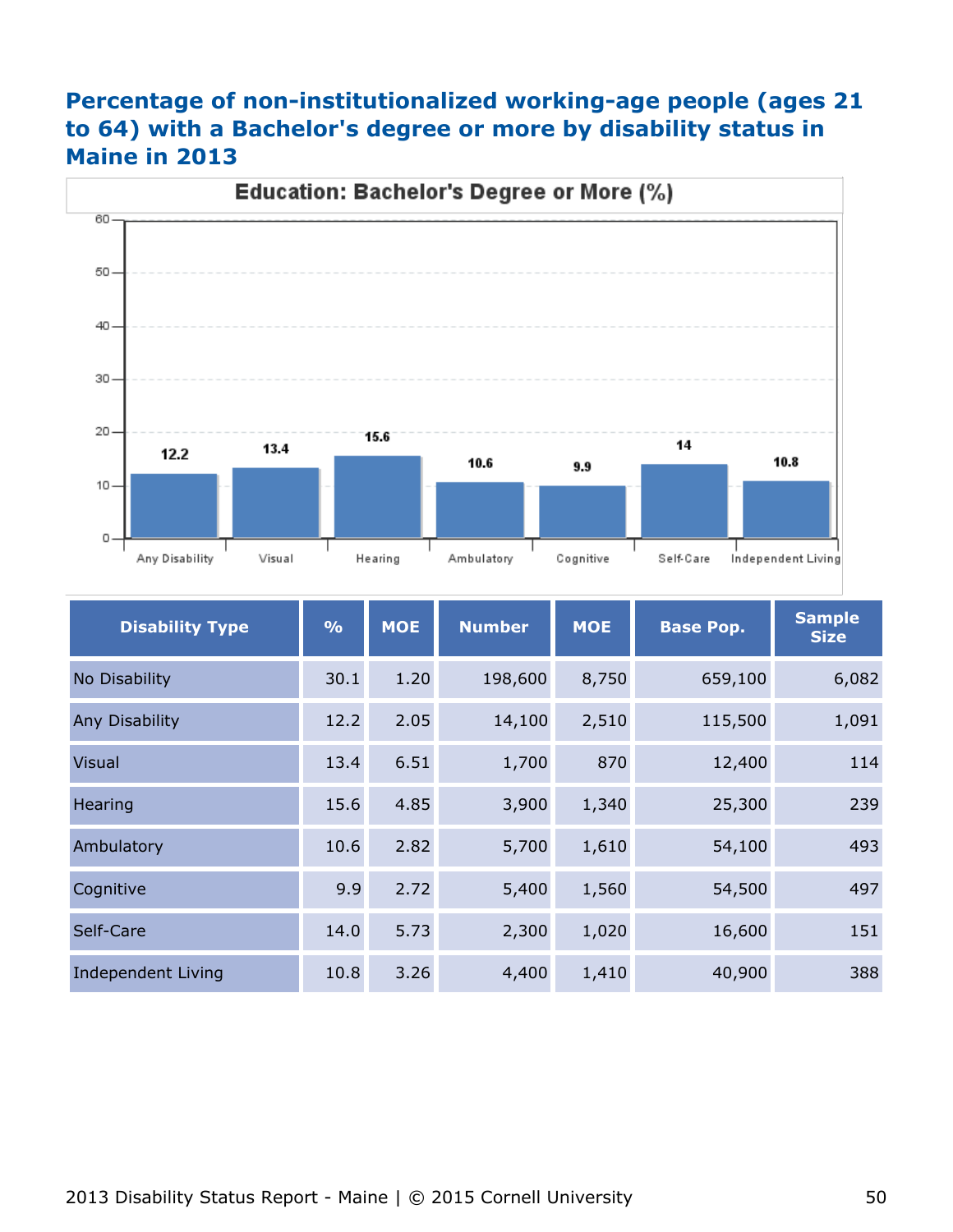## **Percentage of non-institutionalized working-age people (ages 21 to 64) with a Bachelor's degree or more by disability status in Maine in 2013**



| <b>Disability Type</b>    | $\frac{0}{0}$ | <b>MOE</b> | <b>Number</b> | <b>MOE</b> | <b>Base Pop.</b> | <b>Sample</b><br><b>Size</b> |
|---------------------------|---------------|------------|---------------|------------|------------------|------------------------------|
| No Disability             | 30.1          | 1.20       | 198,600       | 8,750      | 659,100          | 6,082                        |
| Any Disability            | 12.2          | 2.05       | 14,100        | 2,510      | 115,500          | 1,091                        |
| <b>Visual</b>             | 13.4          | 6.51       | 1,700         | 870        | 12,400           | 114                          |
| Hearing                   | 15.6          | 4.85       | 3,900         | 1,340      | 25,300           | 239                          |
| Ambulatory                | 10.6          | 2.82       | 5,700         | 1,610      | 54,100           | 493                          |
| Cognitive                 | 9.9           | 2.72       | 5,400         | 1,560      | 54,500           | 497                          |
| Self-Care                 | 14.0          | 5.73       | 2,300         | 1,020      | 16,600           | 151                          |
| <b>Independent Living</b> | 10.8          | 3.26       | 4,400         | 1,410      | 40,900           | 388                          |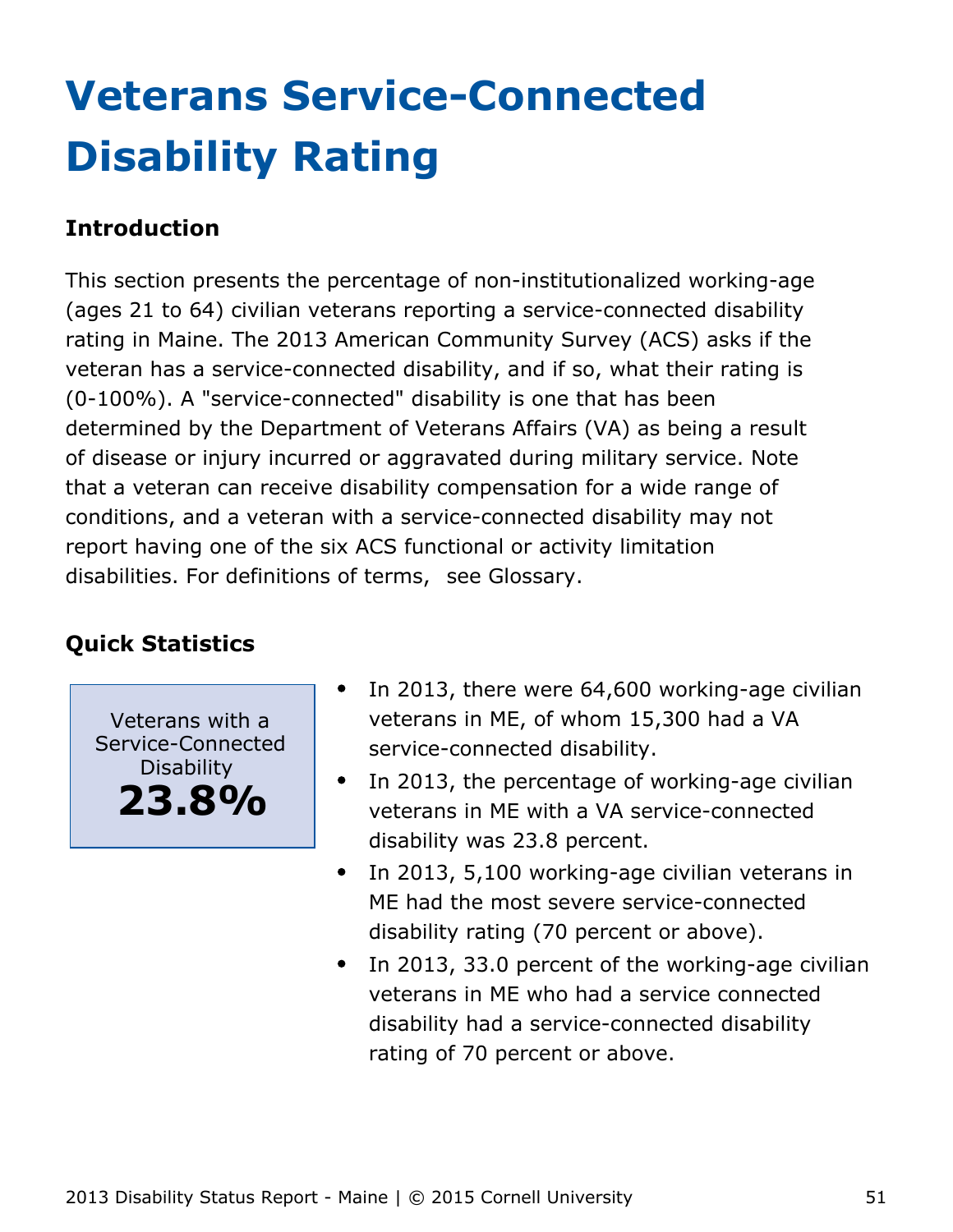# <span id="page-51-0"></span>**Veterans Service-Connected Disability Rating**

## **Introduction**

This section presents the percentage of non-institutionalized working-age (ages 21 to 64) civilian veterans reporting a service-connected disability rating in Maine. The 2013 American Community Survey (ACS) asks if the veteran has a service-connected disability, and if so, what their rating is (0-100%). A "service-connected" disability is one that has been determined by the Department of Veterans Affairs (VA) as being a result of disease or injury incurred or aggravated during military service. Note that a veteran can receive disability compensation for a wide range of conditions, and a veteran with a service-connected disability may not report having one of the six ACS functional or activity limitation disabilities. For definitions of terms, see Glossary.

## **Quick Statistics**

Veterans with a Service-Connected Disability **23.8%**

- In 2013, there were 64,600 working-age civilian veterans in ME, of whom 15,300 had a VA service-connected disability.
- $\bullet$ In 2013, the percentage of working-age civilian veterans in ME with a VA service-connected disability was 23.8 percent.
- In 2013, 5,100 working-age civilian veterans in  $\bullet$ ME had the most severe service-connected disability rating (70 percent or above).
- In 2013, 33.0 percent of the working-age civilian  $\bullet$ veterans in ME who had a service connected disability had a service-connected disability rating of 70 percent or above.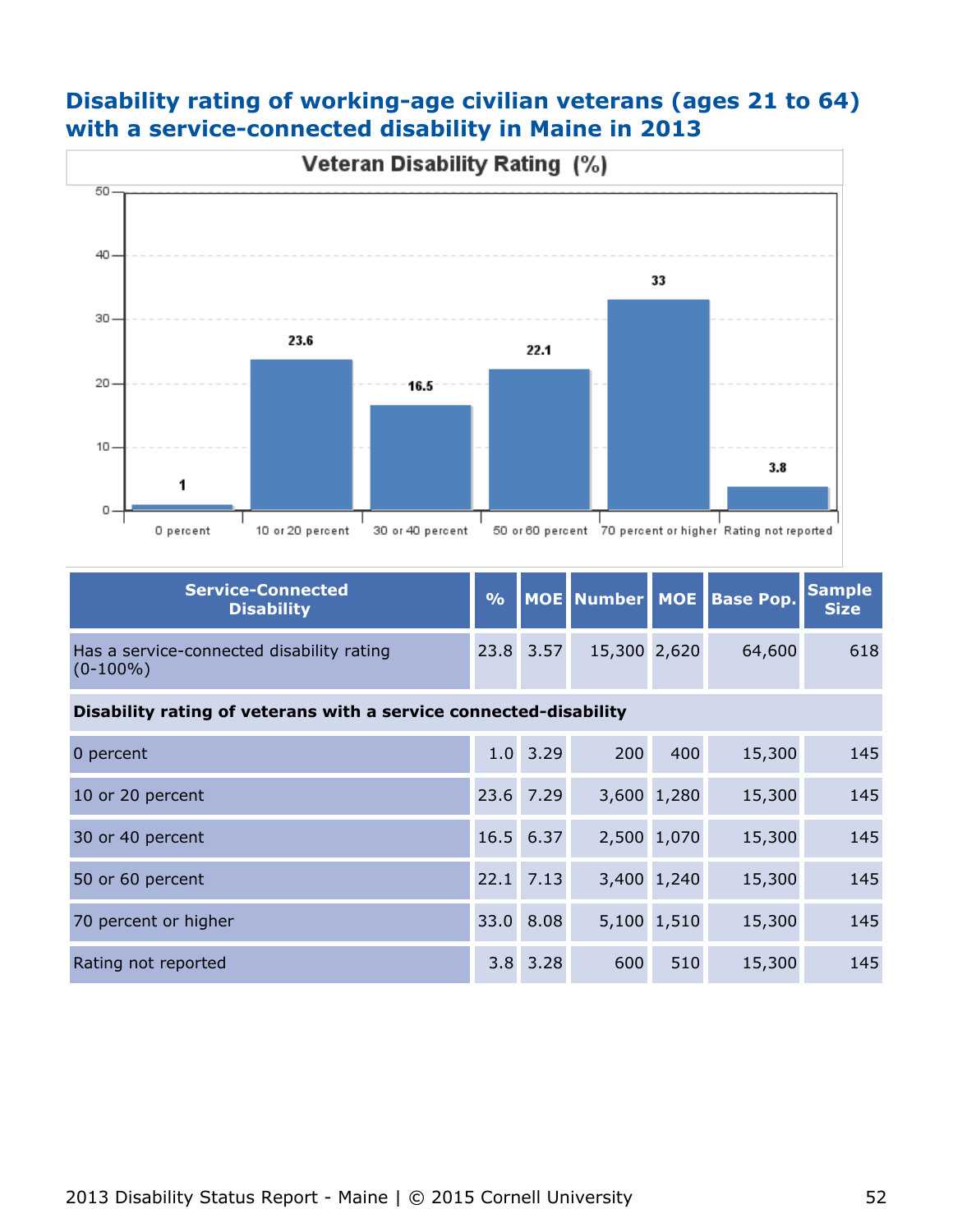## **Disability rating of working-age civilian veterans (ages 21 to 64) with a service-connected disability in Maine in 2013**



| Service-Connected<br><b>Disability</b>                   |           |              | % MOE Number MOE Base Pop. Sample |     |
|----------------------------------------------------------|-----------|--------------|-----------------------------------|-----|
| Has a service-connected disability rating<br>$(0-100\%)$ | 23.8 3.57 | 15,300 2,620 | 64,600                            | 618 |

#### **Disability rating of veterans with a service connected-disability**

| 0 percent            | $1.0$ 3.29   | 200 | 400         | 15,300 | 145 |
|----------------------|--------------|-----|-------------|--------|-----|
| 10 or 20 percent     | 23.6 7.29    |     | 3,600 1,280 | 15,300 | 145 |
| 30 or 40 percent     | 16.5 6.37    |     | 2,500 1,070 | 15,300 | 145 |
| 50 or 60 percent     | 22.1 7.13    |     | 3,400 1,240 | 15,300 | 145 |
| 70 percent or higher | 33.0 8.08    |     | 5,100 1,510 | 15,300 | 145 |
| Rating not reported  | $3.8$ $3.28$ | 600 | 510         | 15,300 | 145 |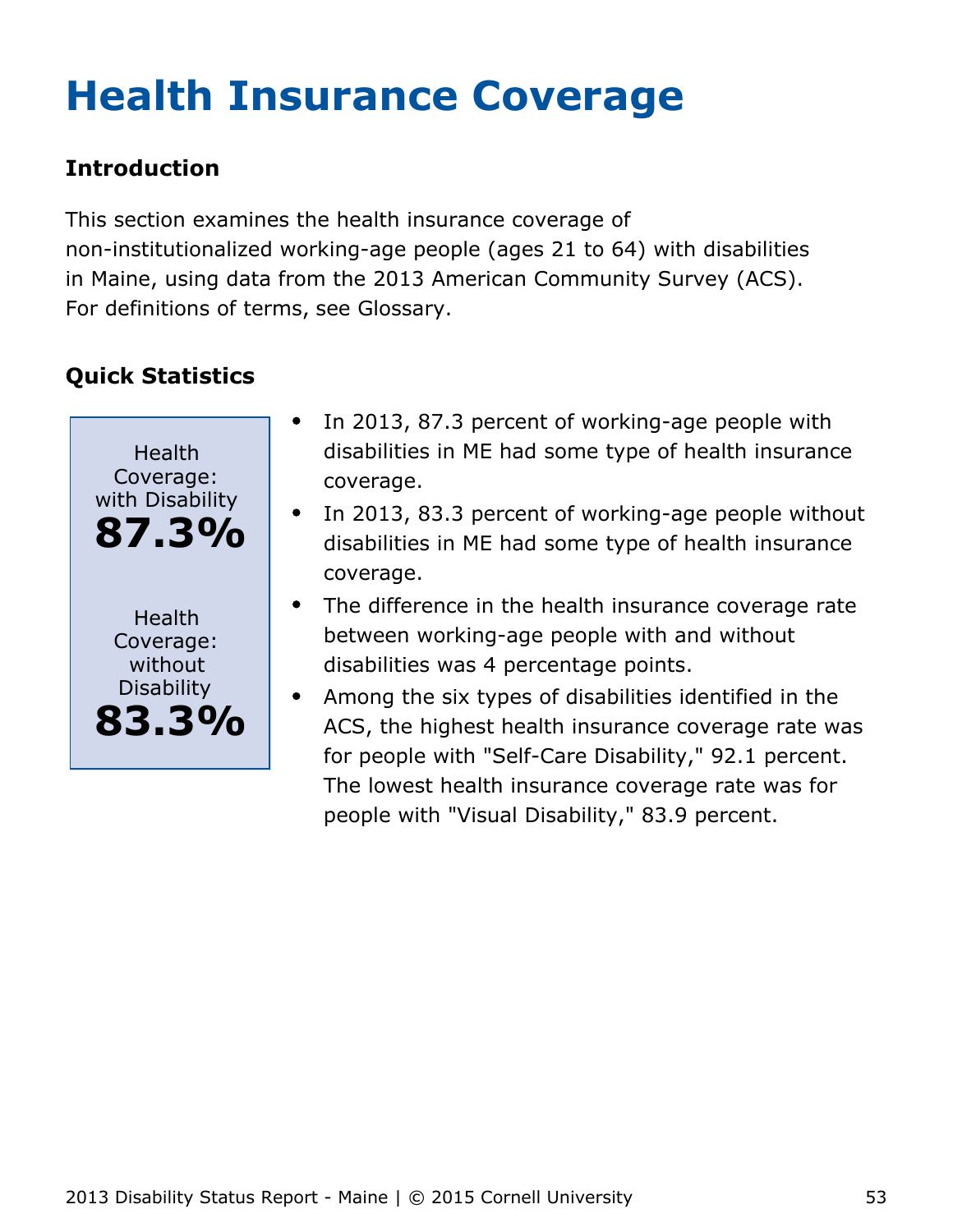# <span id="page-53-0"></span>**Health Insurance Coverage**

## **Introduction**

This section examines the health insurance coverage of non-institutionalized working-age people (ages 21 to 64) with disabilities in Maine, using data from the 2013 American Community Survey (ACS). For definitions of terms, see Glossary.



- In 2013, 87.3 percent of working-age people with disabilities in ME had some type of health insurance coverage.
- In 2013, 83.3 percent of working-age people without disabilities in ME had some type of health insurance coverage.
- The difference in the health insurance coverage rate between working-age people with and without disabilities was 4 percentage points.
- Among the six types of disabilities identified in the  $\bullet$ ACS, the highest health insurance coverage rate was for people with "Self-Care Disability," 92.1 percent. The lowest health insurance coverage rate was for people with "Visual Disability," 83.9 percent.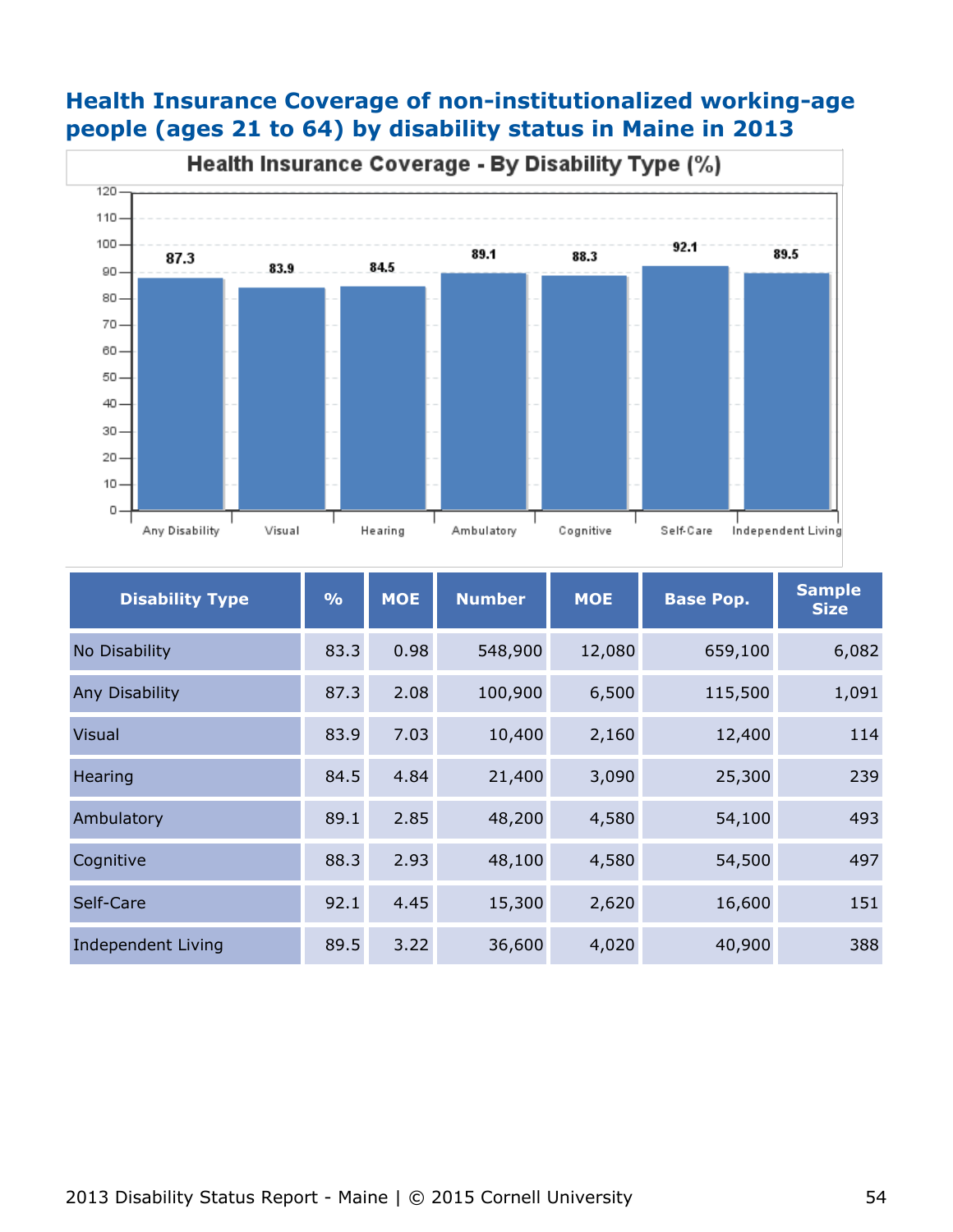



| <b>Disability Type</b>    | $\frac{0}{0}$ | <b>MOE</b> | <b>Number</b> | <b>MOE</b> | <b>Base Pop.</b> | <b>Sample</b><br><b>Size</b> |
|---------------------------|---------------|------------|---------------|------------|------------------|------------------------------|
| No Disability             | 83.3          | 0.98       | 548,900       | 12,080     | 659,100          | 6,082                        |
| Any Disability            | 87.3          | 2.08       | 100,900       | 6,500      | 115,500          | 1,091                        |
| <b>Visual</b>             | 83.9          | 7.03       | 10,400        | 2,160      | 12,400           | 114                          |
| Hearing                   | 84.5          | 4.84       | 21,400        | 3,090      | 25,300           | 239                          |
| Ambulatory                | 89.1          | 2.85       | 48,200        | 4,580      | 54,100           | 493                          |
| Cognitive                 | 88.3          | 2.93       | 48,100        | 4,580      | 54,500           | 497                          |
| Self-Care                 | 92.1          | 4.45       | 15,300        | 2,620      | 16,600           | 151                          |
| <b>Independent Living</b> | 89.5          | 3.22       | 36,600        | 4,020      | 40,900           | 388                          |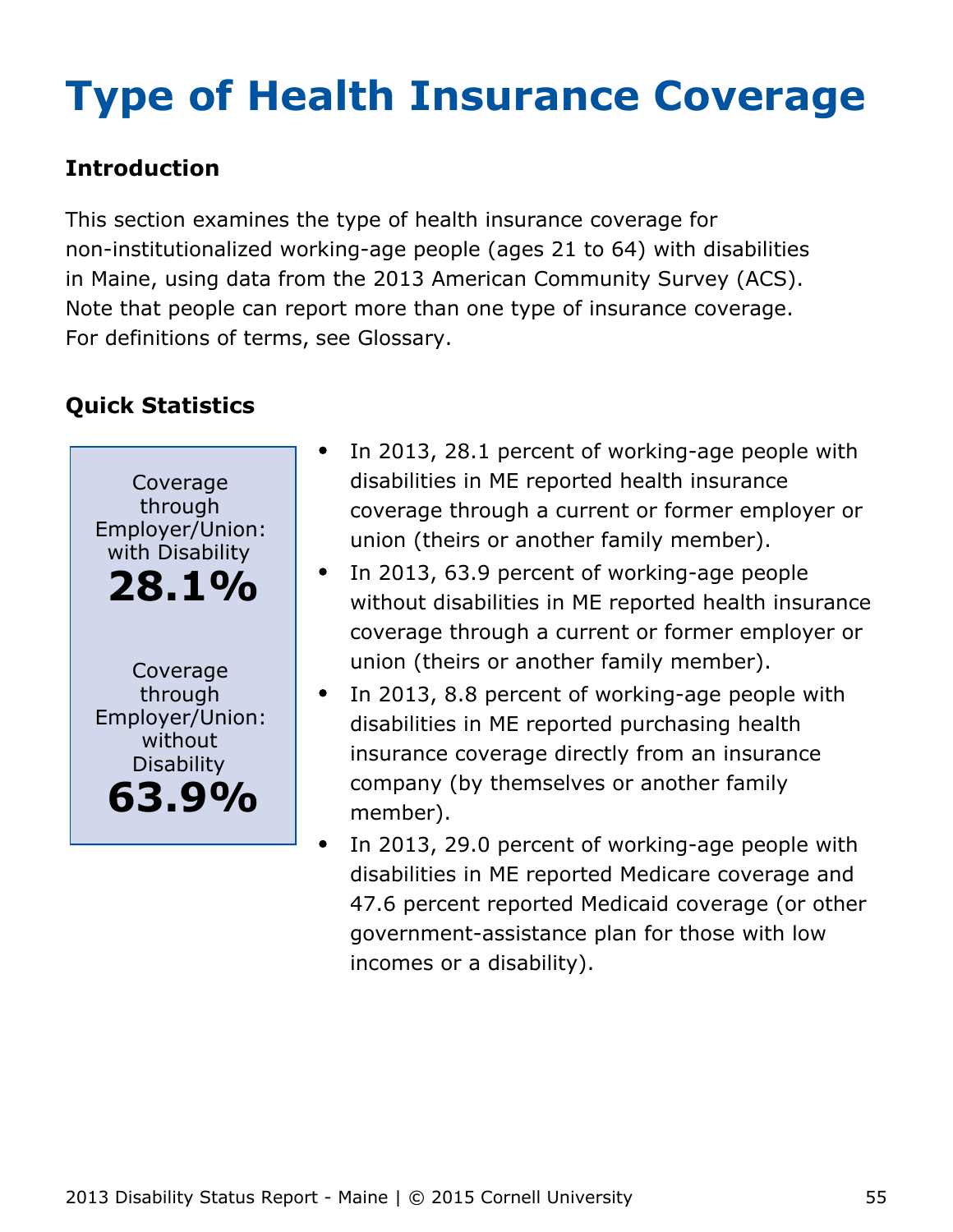# <span id="page-55-0"></span>**Type of Health Insurance Coverage**

## **Introduction**

This section examines the type of health insurance coverage for non-institutionalized working-age people (ages 21 to 64) with disabilities in Maine, using data from the 2013 American Community Survey (ACS). Note that people can report more than one type of insurance coverage. For definitions of terms, see Glossary.



- In 2013, 28.1 percent of working-age people with disabilities in ME reported health insurance coverage through a current or former employer or union (theirs or another family member).
- In 2013, 63.9 percent of working-age people  $\bullet$ without disabilities in ME reported health insurance coverage through a current or former employer or union (theirs or another family member).
- In 2013, 8.8 percent of working-age people with disabilities in ME reported purchasing health insurance coverage directly from an insurance company (by themselves or another family member).
- In 2013, 29.0 percent of working-age people with disabilities in ME reported Medicare coverage and 47.6 percent reported Medicaid coverage (or other government-assistance plan for those with low incomes or a disability).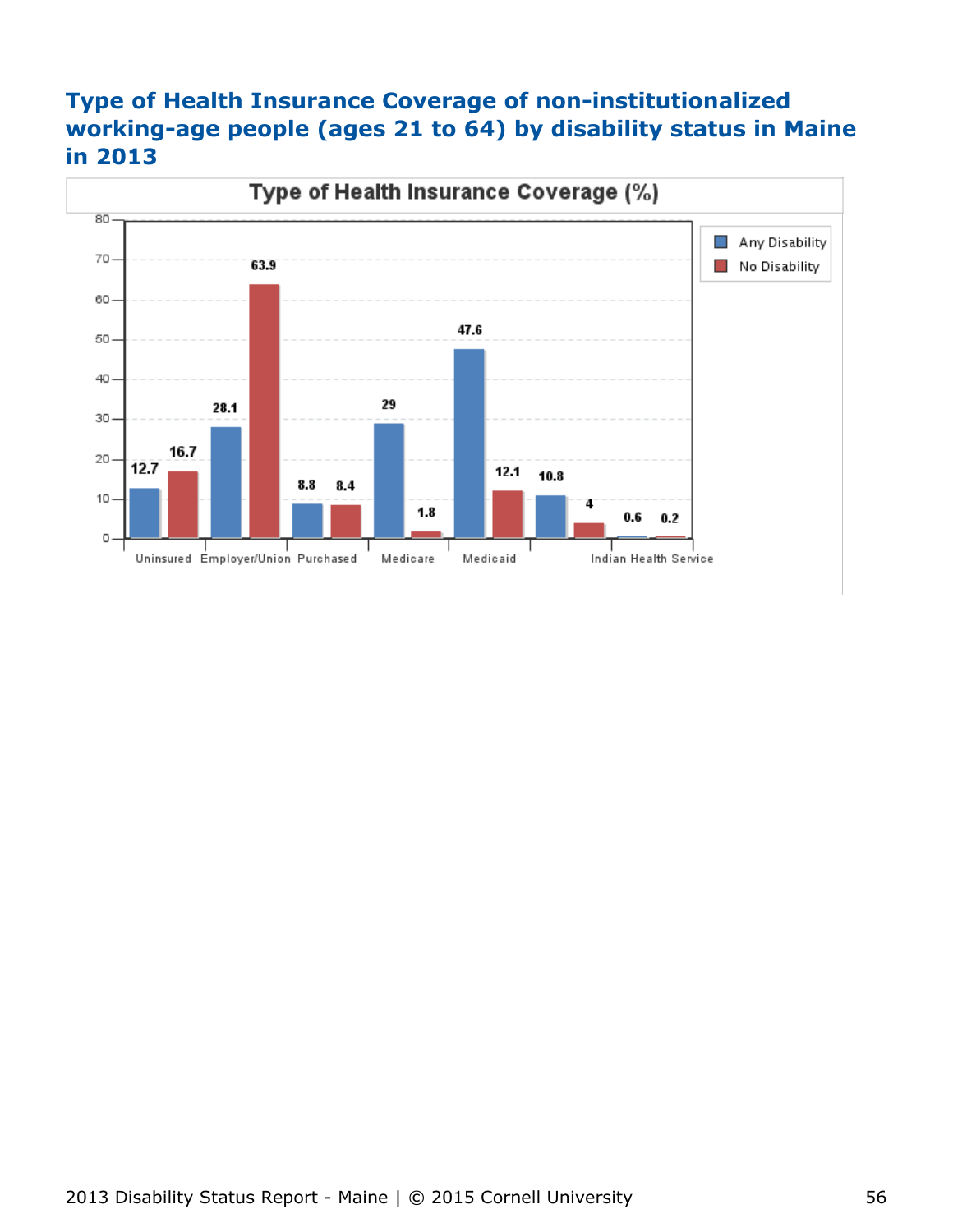## **Type of Health Insurance Coverage of non-institutionalized working-age people (ages 21 to 64) by disability status in Maine in 2013**

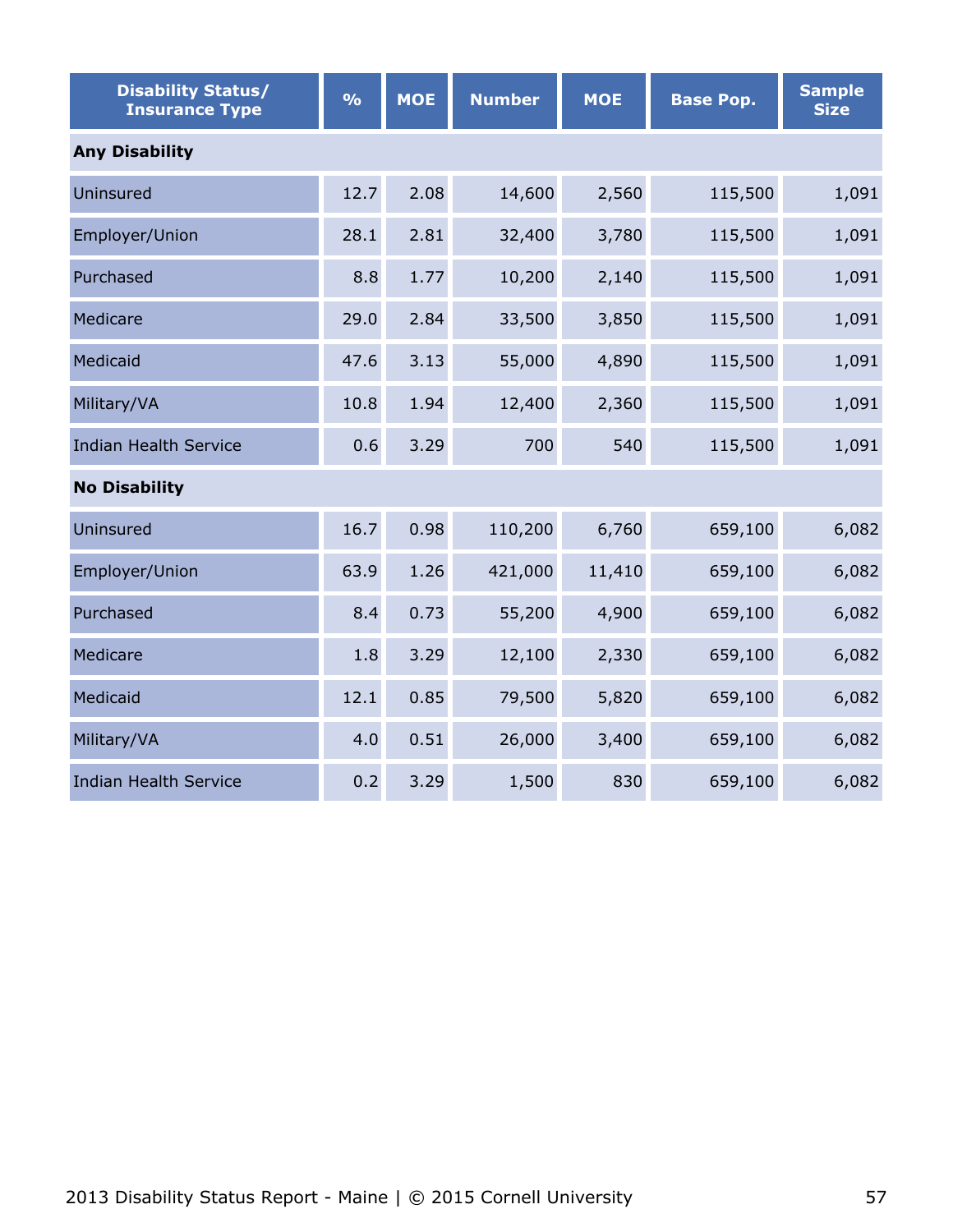| <b>Disability Status/</b><br><b>Insurance Type</b> | $\frac{1}{2}$ | <b>MOE</b> | <b>Number</b> | <b>MOE</b> | <b>Base Pop.</b> | <b>Sample</b><br><b>Size</b> |  |  |  |
|----------------------------------------------------|---------------|------------|---------------|------------|------------------|------------------------------|--|--|--|
| <b>Any Disability</b>                              |               |            |               |            |                  |                              |  |  |  |
| Uninsured                                          | 12.7          | 2.08       | 14,600        | 2,560      | 115,500          | 1,091                        |  |  |  |
| Employer/Union                                     | 28.1          | 2.81       | 32,400        | 3,780      | 115,500          | 1,091                        |  |  |  |
| Purchased                                          | 8.8           | 1.77       | 10,200        | 2,140      | 115,500          | 1,091                        |  |  |  |
| Medicare                                           | 29.0          | 2.84       | 33,500        | 3,850      | 115,500          | 1,091                        |  |  |  |
| Medicaid                                           | 47.6          | 3.13       | 55,000        | 4,890      | 115,500          | 1,091                        |  |  |  |
| Military/VA                                        | 10.8          | 1.94       | 12,400        | 2,360      | 115,500          | 1,091                        |  |  |  |
| <b>Indian Health Service</b>                       | 0.6           | 3.29       | 700           | 540        | 115,500          | 1,091                        |  |  |  |
| <b>No Disability</b>                               |               |            |               |            |                  |                              |  |  |  |
| Uninsured                                          | 16.7          | 0.98       | 110,200       | 6,760      | 659,100          | 6,082                        |  |  |  |
| Employer/Union                                     | 63.9          | 1.26       | 421,000       | 11,410     | 659,100          | 6,082                        |  |  |  |
| Purchased                                          | 8.4           | 0.73       | 55,200        | 4,900      | 659,100          | 6,082                        |  |  |  |
| Medicare                                           | 1.8           | 3.29       | 12,100        | 2,330      | 659,100          | 6,082                        |  |  |  |
| Medicaid                                           | 12.1          | 0.85       | 79,500        | 5,820      | 659,100          | 6,082                        |  |  |  |
| Military/VA                                        | 4.0           | 0.51       | 26,000        | 3,400      | 659,100          | 6,082                        |  |  |  |
| <b>Indian Health Service</b>                       | 0.2           | 3.29       | 1,500         | 830        | 659,100          | 6,082                        |  |  |  |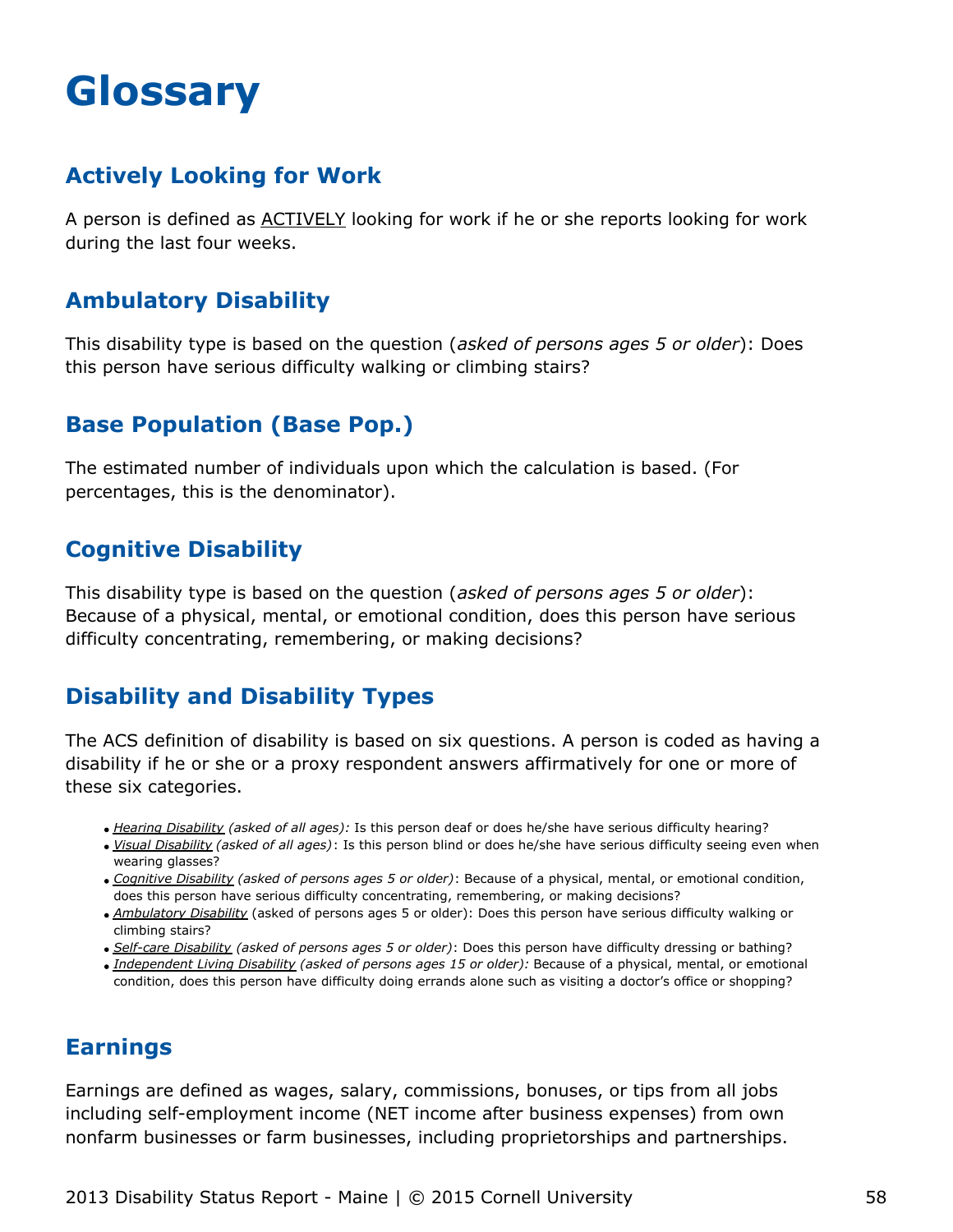## <span id="page-58-0"></span>**Glossary**

## **Actively Looking for Work**

A person is defined as ACTIVELY looking for work if he or she reports looking for work during the last four weeks.

## **Ambulatory Disability**

This disability type is based on the question (*asked of persons ages 5 or older*): Does this person have serious difficulty walking or climbing stairs?

## **Base Population (Base Pop.)**

The estimated number of individuals upon which the calculation is based. (For percentages, this is the denominator).

## **Cognitive Disability**

This disability type is based on the question (*asked of persons ages 5 or older*): Because of a physical, mental, or emotional condition, does this person have serious difficulty concentrating, remembering, or making decisions?

## **Disability and Disability Types**

The ACS definition of disability is based on six questions. A person is coded as having a disability if he or she or a proxy respondent answers affirmatively for one or more of these six categories.

- *Hearing Disability (asked of all ages):* Is this person deaf or does he/she have serious difficulty hearing?
- *Visual Disability (asked of all ages)*: Is this person blind or does he/she have serious difficulty seeing even when wearing glasses?
- *Cognitive Disability (asked of persons ages 5 or older)*: Because of a physical, mental, or emotional condition, does this person have serious difficulty concentrating, remembering, or making decisions?
- *Ambulatory Disability* (asked of persons ages 5 or older): Does this person have serious difficulty walking or climbing stairs?
- *Self-care Disability (asked of persons ages 5 or older)*: Does this person have difficulty dressing or bathing?
- *Independent Living Disability (asked of persons ages 15 or older):* Because of a physical, mental, or emotional condition, does this person have difficulty doing errands alone such as visiting a doctor's office or shopping?

#### **Earnings**

Earnings are defined as wages, salary, commissions, bonuses, or tips from all jobs including self-employment income (NET income after business expenses) from own nonfarm businesses or farm businesses, including proprietorships and partnerships.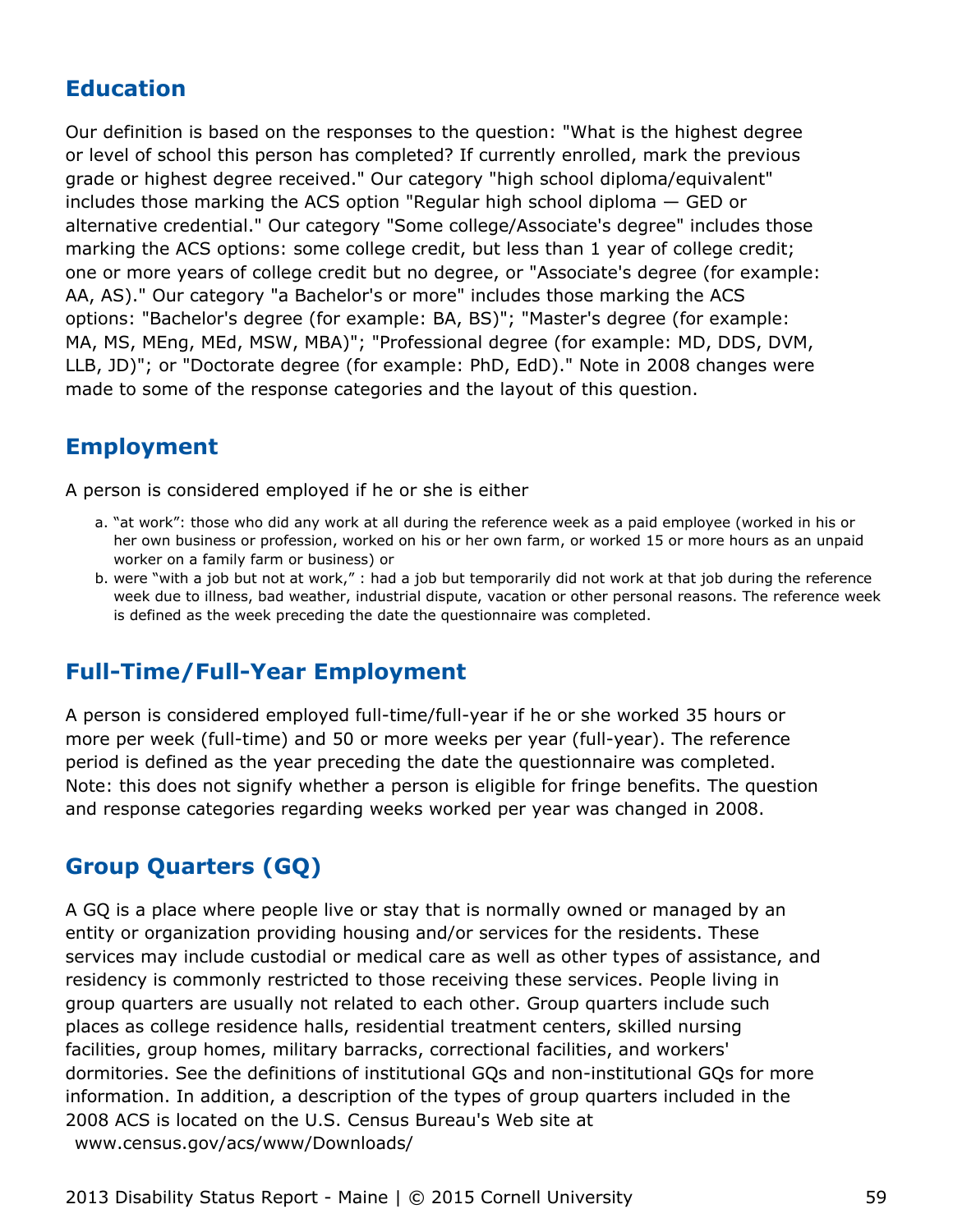## **Education**

Our definition is based on the responses to the question: "What is the highest degree or level of school this person has completed? If currently enrolled, mark the previous grade or highest degree received." Our category "high school diploma/equivalent" includes those marking the ACS option "Regular high school diploma — GED or alternative credential." Our category "Some college/Associate's degree" includes those marking the ACS options: some college credit, but less than 1 year of college credit; one or more years of college credit but no degree, or "Associate's degree (for example: AA, AS)." Our category "a Bachelor's or more" includes those marking the ACS options: "Bachelor's degree (for example: BA, BS)"; "Master's degree (for example: MA, MS, MEng, MEd, MSW, MBA)"; "Professional degree (for example: MD, DDS, DVM, LLB, JD)"; or "Doctorate degree (for example: PhD, EdD)." Note in 2008 changes were made to some of the response categories and the layout of this question.

#### **Employment**

A person is considered employed if he or she is either

- a. "at work": those who did any work at all during the reference week as a paid employee (worked in his or her own business or profession, worked on his or her own farm, or worked 15 or more hours as an unpaid worker on a family farm or business) or
- b. were "with a job but not at work," : had a job but temporarily did not work at that job during the reference week due to illness, bad weather, industrial dispute, vacation or other personal reasons. The reference week is defined as the week preceding the date the questionnaire was completed.

## **Full-Time/Full-Year Employment**

A person is considered employed full-time/full-year if he or she worked 35 hours or more per week (full-time) and 50 or more weeks per year (full-year). The reference period is defined as the year preceding the date the questionnaire was completed. Note: this does not signify whether a person is eligible for fringe benefits. The question and response categories regarding weeks worked per year was changed in 2008.

## **Group Quarters (GQ)**

A GQ is a place where people live or stay that is normally owned or managed by an entity or organization providing housing and/or services for the residents. These services may include custodial or medical care as well as other types of assistance, and residency is commonly restricted to those receiving these services. People living in group quarters are usually not related to each other. Group quarters include such places as college residence halls, residential treatment centers, skilled nursing facilities, group homes, military barracks, correctional facilities, and workers' dormitories. See the definitions of institutional GQs and non-institutional GQs for more information. In addition, a description of the types of group quarters included in the 2008 ACS is located on the U.S. Census Bureau's Web site at [www.census.gov/acs/www/Downloads/](http://www.census.gov/acs/www/Downloads/2008_ACS_GQ_Definitions.pdf)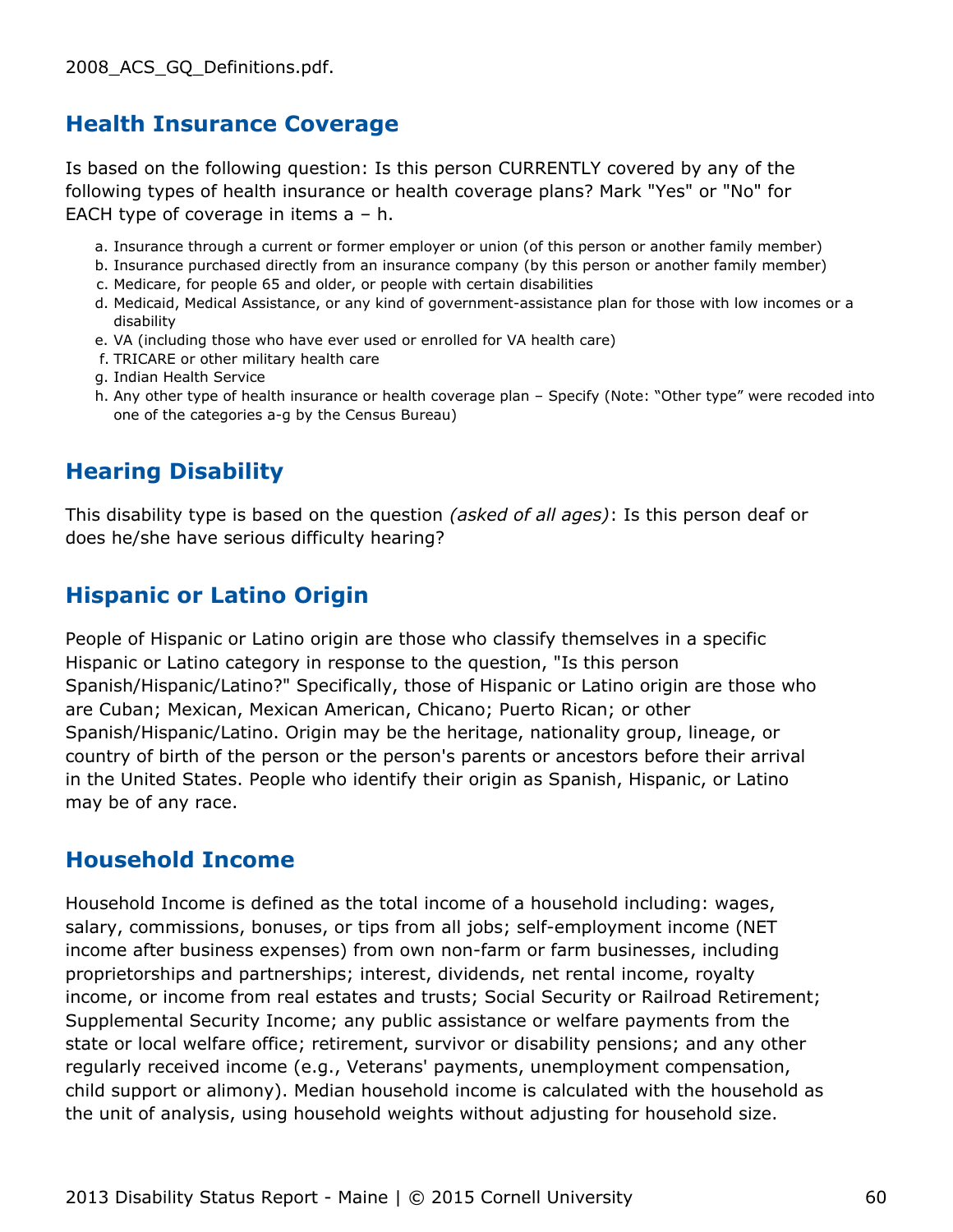#### **Health Insurance Coverage**

Is based on the following question: Is this person CURRENTLY covered by any of the following types of health insurance or health coverage plans? Mark "Yes" or "No" for EACH type of coverage in items a – h.

- a. Insurance through a current or former employer or union (of this person or another family member)
- b. Insurance purchased directly from an insurance company (by this person or another family member)
- c. Medicare, for people 65 and older, or people with certain disabilities
- d. Medicaid, Medical Assistance, or any kind of government-assistance plan for those with low incomes or a disability
- e. VA (including those who have ever used or enrolled for VA health care)
- f. TRICARE or other military health care
- g. Indian Health Service
- h. Any other type of health insurance or health coverage plan Specify (Note: "Other type" were recoded into one of the categories a-g by the Census Bureau)

## **Hearing Disability**

This disability type is based on the question *(asked of all ages)*: Is this person deaf or does he/she have serious difficulty hearing?

## **Hispanic or Latino Origin**

People of Hispanic or Latino origin are those who classify themselves in a specific Hispanic or Latino category in response to the question, "Is this person Spanish/Hispanic/Latino?" Specifically, those of Hispanic or Latino origin are those who are Cuban; Mexican, Mexican American, Chicano; Puerto Rican; or other Spanish/Hispanic/Latino. Origin may be the heritage, nationality group, lineage, or country of birth of the person or the person's parents or ancestors before their arrival in the United States. People who identify their origin as Spanish, Hispanic, or Latino may be of any race.

#### **Household Income**

Household Income is defined as the total income of a household including: wages, salary, commissions, bonuses, or tips from all jobs; self-employment income (NET income after business expenses) from own non-farm or farm businesses, including proprietorships and partnerships; interest, dividends, net rental income, royalty income, or income from real estates and trusts; Social Security or Railroad Retirement; Supplemental Security Income; any public assistance or welfare payments from the state or local welfare office; retirement, survivor or disability pensions; and any other regularly received income (e.g., Veterans' payments, unemployment compensation, child support or alimony). Median household income is calculated with the household as the unit of analysis, using household weights without adjusting for household size.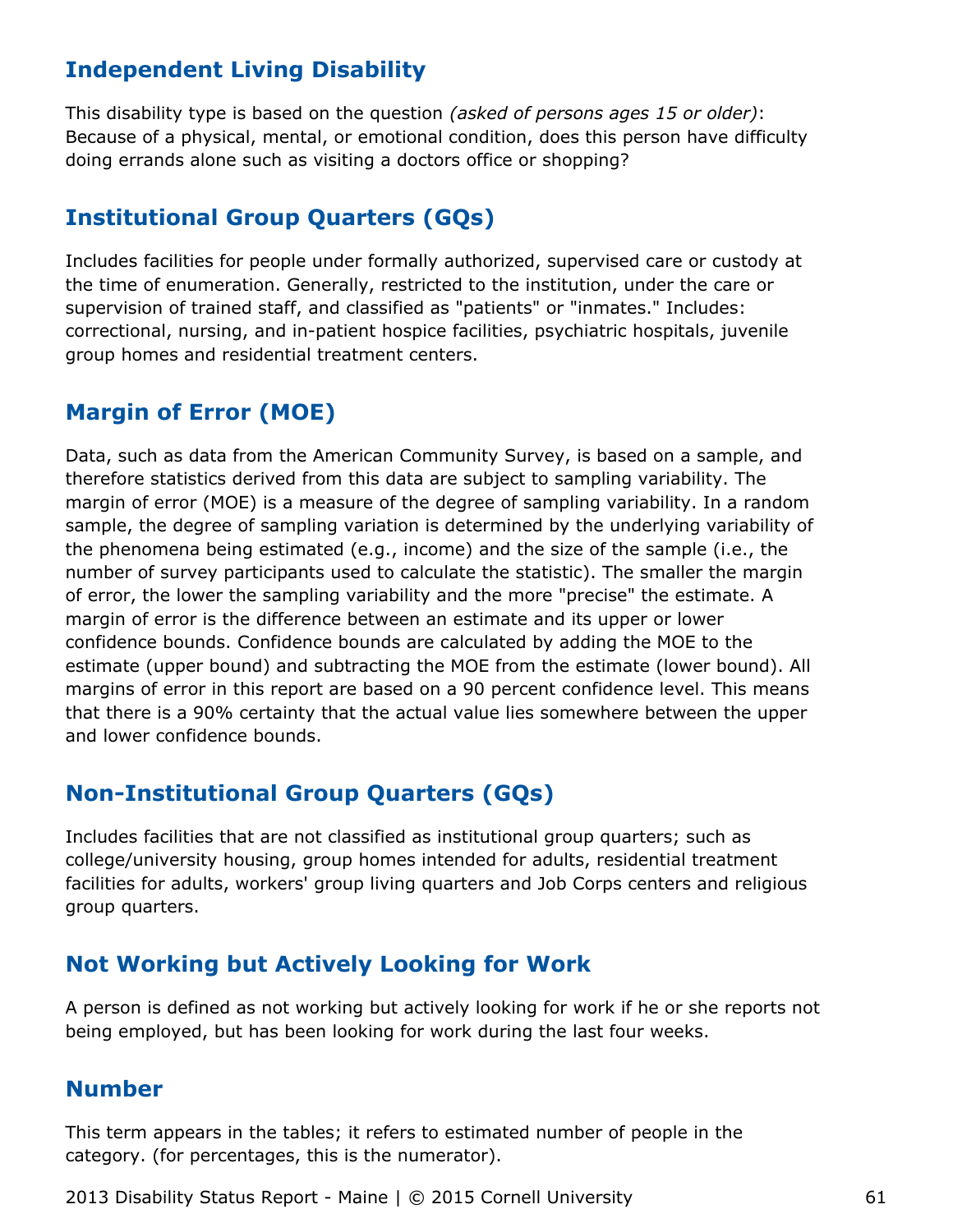## **Independent Living Disability**

This disability type is based on the question *(asked of persons ages 15 or older)*: Because of a physical, mental, or emotional condition, does this person have difficulty doing errands alone such as visiting a doctors office or shopping?

## **Institutional Group Quarters (GQs)**

Includes facilities for people under formally authorized, supervised care or custody at the time of enumeration. Generally, restricted to the institution, under the care or supervision of trained staff, and classified as "patients" or "inmates." Includes: correctional, nursing, and in-patient hospice facilities, psychiatric hospitals, juvenile group homes and residential treatment centers.

## **Margin of Error (MOE)**

Data, such as data from the American Community Survey, is based on a sample, and therefore statistics derived from this data are subject to sampling variability. The margin of error (MOE) is a measure of the degree of sampling variability. In a random sample, the degree of sampling variation is determined by the underlying variability of the phenomena being estimated (e.g., income) and the size of the sample (i.e., the number of survey participants used to calculate the statistic). The smaller the margin of error, the lower the sampling variability and the more "precise" the estimate. A margin of error is the difference between an estimate and its upper or lower confidence bounds. Confidence bounds are calculated by adding the MOE to the estimate (upper bound) and subtracting the MOE from the estimate (lower bound). All margins of error in this report are based on a 90 percent confidence level. This means that there is a 90% certainty that the actual value lies somewhere between the upper and lower confidence bounds.

## **Non-Institutional Group Quarters (GQs)**

Includes facilities that are not classified as institutional group quarters; such as college/university housing, group homes intended for adults, residential treatment facilities for adults, workers' group living quarters and Job Corps centers and religious group quarters.

## **Not Working but Actively Looking for Work**

A person is defined as not working but actively looking for work if he or she reports not being employed, but has been looking for work during the last four weeks.

#### **Number**

This term appears in the tables; it refers to estimated number of people in the category. (for percentages, this is the numerator).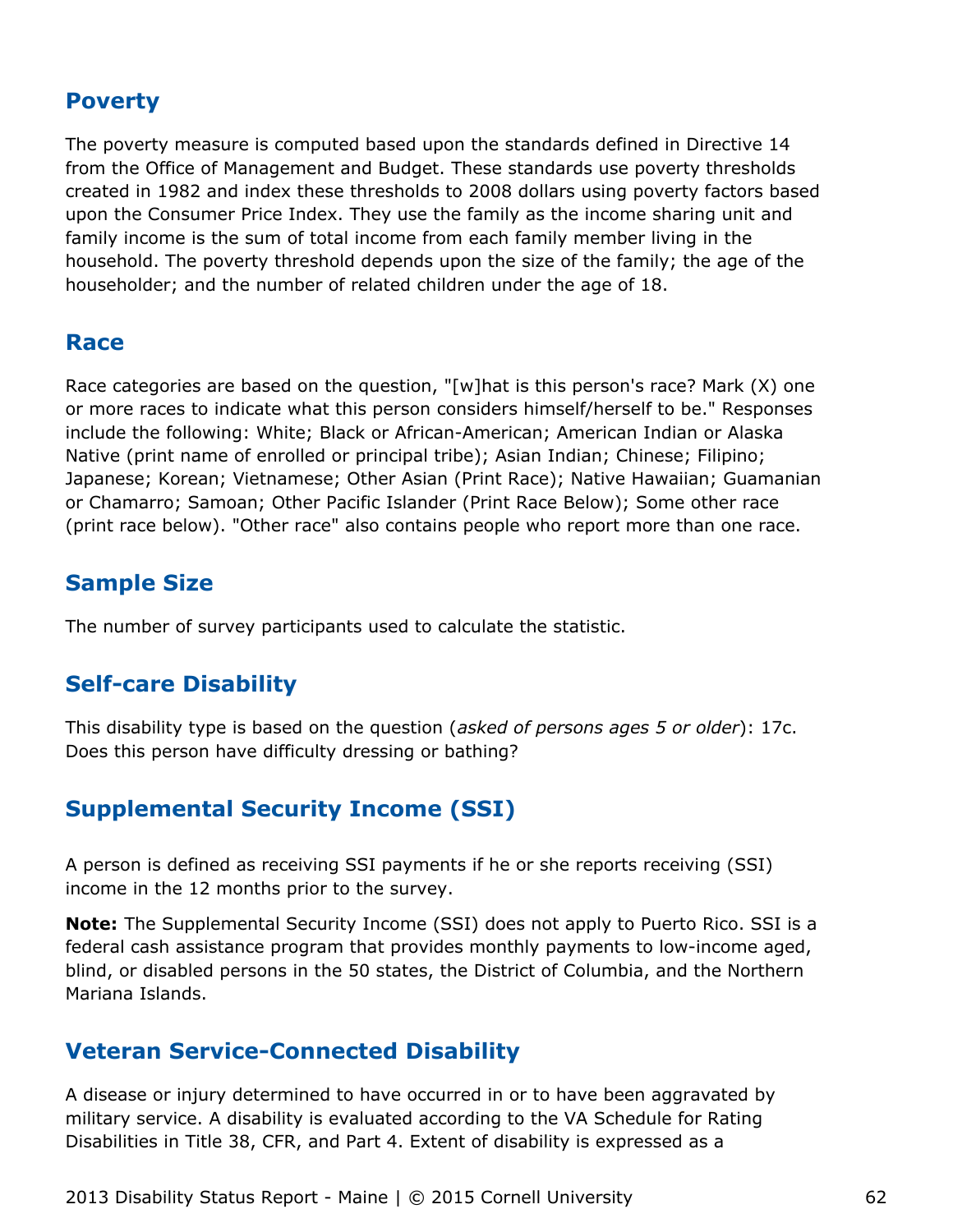#### **Poverty**

The poverty measure is computed based upon the standards defined in Directive 14 from the Office of Management and Budget. These standards use poverty thresholds created in 1982 and index these thresholds to 2008 dollars using poverty factors based upon the Consumer Price Index. They use the family as the income sharing unit and family income is the sum of total income from each family member living in the household. The poverty threshold depends upon the size of the family; the age of the householder; and the number of related children under the age of 18.

#### **Race**

Race categories are based on the question, "[w]hat is this person's race? Mark (X) one or more races to indicate what this person considers himself/herself to be." Responses include the following: White; Black or African-American; American Indian or Alaska Native (print name of enrolled or principal tribe); Asian Indian; Chinese; Filipino; Japanese; Korean; Vietnamese; Other Asian (Print Race); Native Hawaiian; Guamanian or Chamarro; Samoan; Other Pacific Islander (Print Race Below); Some other race (print race below). "Other race" also contains people who report more than one race.

## **Sample Size**

The number of survey participants used to calculate the statistic.

#### **Self-care Disability**

This disability type is based on the question (*asked of persons ages 5 or older*): 17c. Does this person have difficulty dressing or bathing?

## **Supplemental Security Income (SSI)**

A person is defined as receiving SSI payments if he or she reports receiving (SSI) income in the 12 months prior to the survey.

**Note:** The Supplemental Security Income (SSI) does not apply to Puerto Rico. SSI is a federal cash assistance program that provides monthly payments to low-income aged, blind, or disabled persons in the 50 states, the District of Columbia, and the Northern Mariana Islands.

#### **Veteran Service-Connected Disability**

A disease or injury determined to have occurred in or to have been aggravated by military service. A disability is evaluated according to the VA Schedule for Rating Disabilities in Title 38, CFR, and Part 4. Extent of disability is expressed as a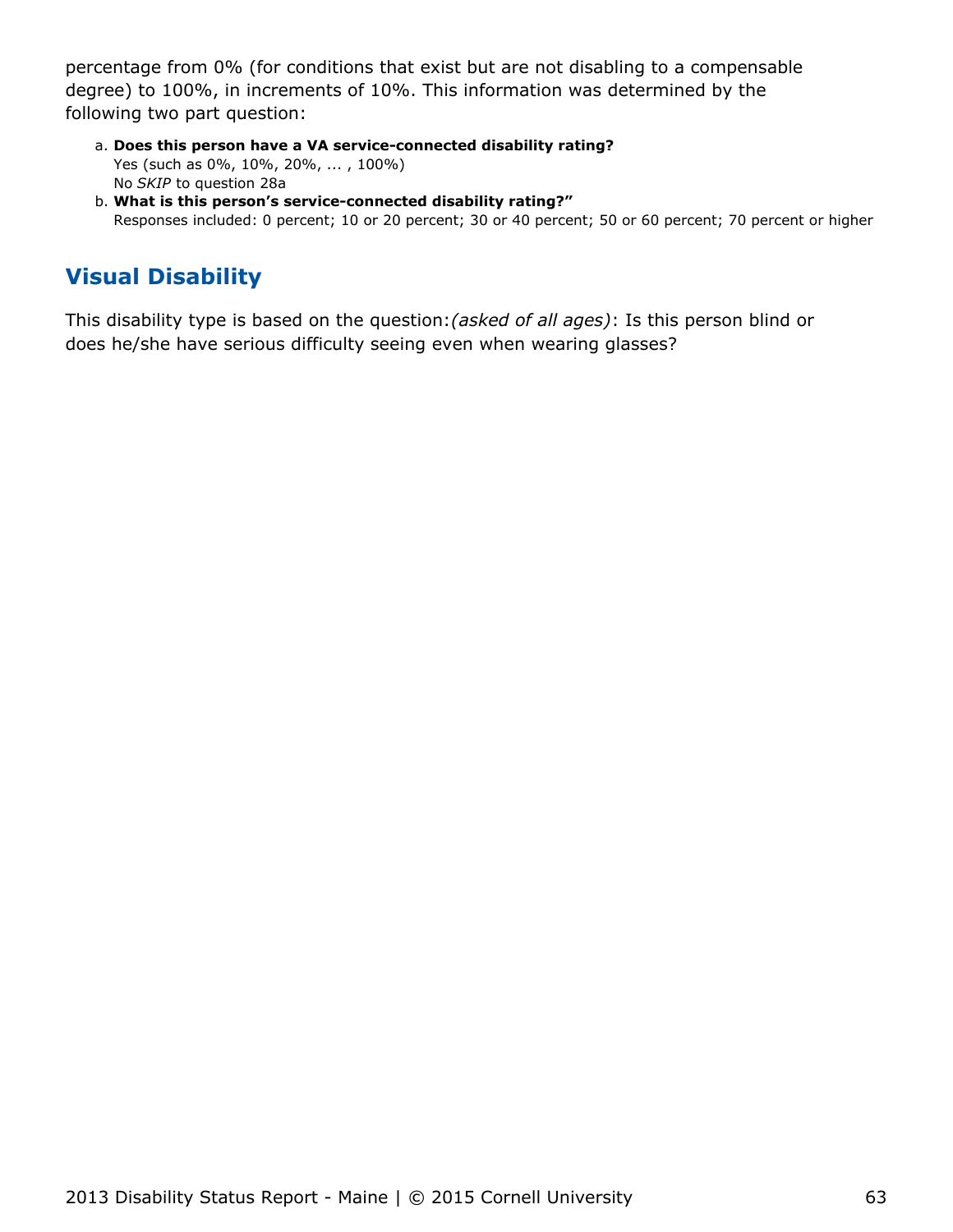percentage from 0% (for conditions that exist but are not disabling to a compensable degree) to 100%, in increments of 10%. This information was determined by the following two part question:

- **Does this person have a VA service-connected disability rating?** a. Yes (such as 0%, 10%, 20%, ... , 100%) No *SKIP* to question 28a
- **What is this person's service-connected disability rating?"** b. Responses included: 0 percent; 10 or 20 percent; 30 or 40 percent; 50 or 60 percent; 70 percent or higher

## **Visual Disability**

This disability type is based on the question:*(asked of all ages)*: Is this person blind or does he/she have serious difficulty seeing even when wearing glasses?